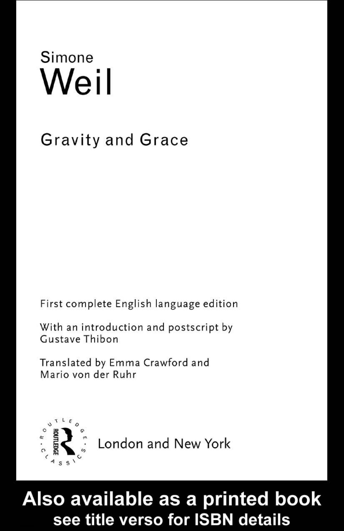## Simone Weil

## **Gravity and Grace**

First complete English language edition

With an introduction and postscript by Gustave Thibon

Translated by Emma Crawford and Mario von der Ruhr



London and New York

## Also available as a printed book see title verso for ISBN details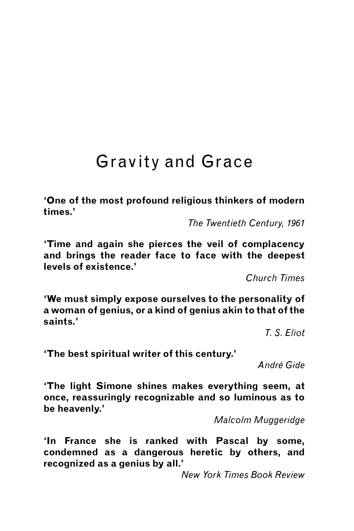## Gravity and Grace

**'One of the most profound religious thinkers of modern times.'**

*The Twentieth Century, 1961*

**'Time and again she pierces the veil of complacency and brings the reader face to face with the deepest levels of existence.'**

*Church Times*

**'We must simply expose ourselves to the personality of a woman of genius, or a kind of genius akin to that of the saints.'**

*T. S. Eliot*

**'The best spiritual writer of this century.'**

*André Gide*

**'The light Simone shines makes everything seem, at once, reassuringly recognizable and so luminous as to be heavenly.'**

*Malcolm Muggeridge*

**'In France she is ranked with Pascal by some, condemned as a dangerous heretic by others, and recognized as a genius by all.'**

*New York Times Book Review*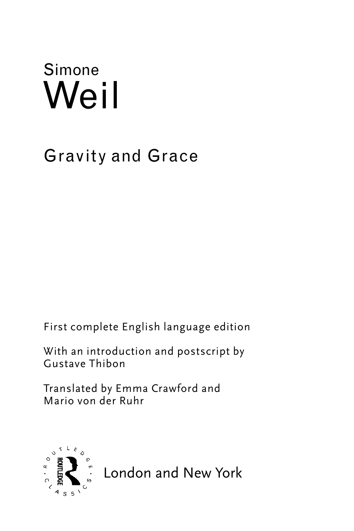# Simone Weil

## Gravity and Grace

First complete English language edition

With an introduction and postscript by Gustave Thibon

Translated by Emma Crawford and Mario von der Ruhr



London and New York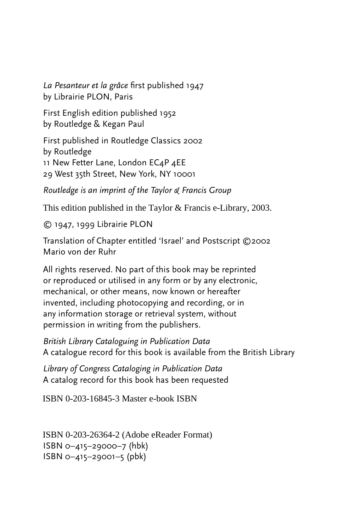*La Pesanteur et la grâce* first published 1947 by Librairie PLON, Paris

First English edition published 1952 by Routledge & Kegan Paul

First published in Routledge Classics 2002 by Routledge 11 New Fetter Lane, London EC4P 4EE 29 West 35th Street, New York, NY 10001

*Routledge is an imprint of the Taylor & Francis Group*

This edition published in the Taylor & Francis e-Library, 2003.

© 1947, 1999 Librairie PLON

Translation of Chapter entitled 'Israel' and Postscript ©2002 Mario von der Ruhr

All rights reserved. No part of this book may be reprinted or reproduced or utilised in any form or by any electronic, mechanical, or other means, now known or hereafter invented, including photocopying and recording, or in any information storage or retrieval system, without permission in writing from the publishers.

*British Library Cataloguing in Publication Data* A catalogue record for this book is available from the British Library

*Library of Congress Cataloging in Publication Data* A catalog record for this book has been requested

ISBN 0-203-16845-3 Master e-book ISBN

ISBN 0–415–29000–7 (hbk) ISBN 0–415–29001–5 (pbk) ISBN 0-203-26364-2 (Adobe eReader Format)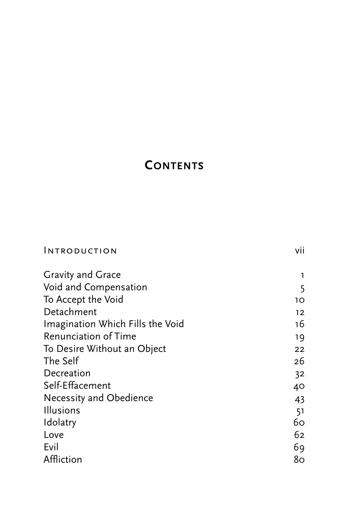#### **CONTENTS**

| INTRODUCTION                     | vii             |
|----------------------------------|-----------------|
| <b>Gravity and Grace</b>         | ı               |
| Void and Compensation            | 5               |
| To Accept the Void               | 10              |
| Detachment                       | 12 <sup>2</sup> |
| Imagination Which Fills the Void | 16              |
| Renunciation of Time             | 19              |
| To Desire Without an Object      | 22              |
| The Self                         | 26              |
| Decreation                       | 32              |
| Self-Effacement                  | 40              |
| Necessity and Obedience          | 43              |
| Illusions                        | 51              |
| Idolatry                         | 60              |
| Love                             | 62              |
| Evil                             | 69              |
| Affliction                       | 80              |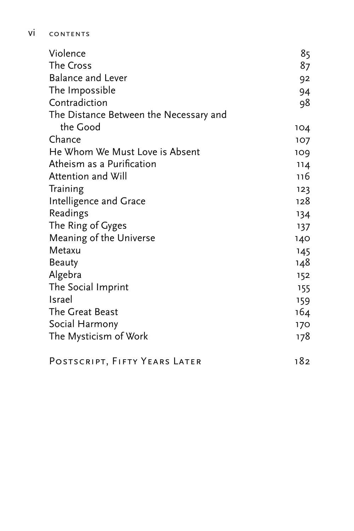| Violence                               | 85  |
|----------------------------------------|-----|
| The Cross                              | 87  |
| <b>Balance and Lever</b>               | 92  |
| The Impossible                         | 94  |
| Contradiction                          | 98  |
| The Distance Between the Necessary and |     |
| the Good                               | 104 |
| Chance                                 | 107 |
| He Whom We Must Love is Absent         | 109 |
| Atheism as a Purification              | 114 |
| Attention and Will                     | 116 |
| Training                               | 123 |
| Intelligence and Grace                 | 128 |
| Readings                               | 134 |
| The Ring of Gyges                      | 137 |
| Meaning of the Universe                | 140 |
| Metaxu                                 | 145 |
| <b>Beauty</b>                          | 148 |
| Algebra                                | 152 |
| The Social Imprint                     | 155 |
| <b>Israel</b>                          | 159 |
| The Great Beast                        | 164 |
| Social Harmony                         | 170 |
| The Mysticism of Work                  | 178 |
| POSTSCRIPT, FIFTY YEARS LATER          | 182 |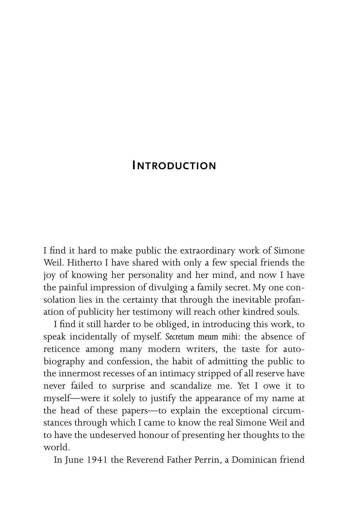#### **INTRODUCTION**

I find it hard to make public the extraordinary work of Simone Weil. Hitherto I have shared with only a few special friends the joy of knowing her personality and her mind, and now I have the painful impression of divulging a family secret. My one consolation lies in the certainty that through the inevitable profanation of publicity her testimony will reach other kindred souls.

I find it still harder to be obliged, in introducing this work, to speak incidentally of myself. *Secretum meum mihi*: the absence of reticence among many modern writers, the taste for autobiography and confession, the habit of admitting the public to the innermost recesses of an intimacy stripped of all reserve have never failed to surprise and scandalize me. Yet I owe it to myself—were it solely to justify the appearance of my name at the head of these papers—to explain the exceptional circumstances through which I came to know the real Simone Weil and to have the undeserved honour of presenting her thoughts to the world.

In June 1941 the Reverend Father Perrin, a Dominican friend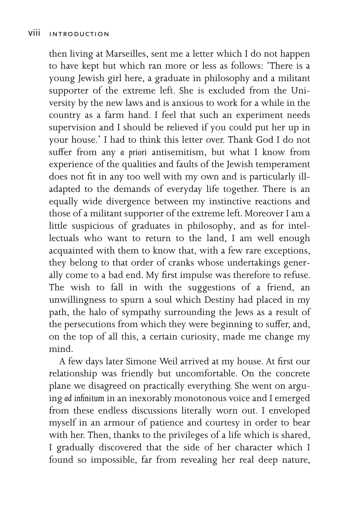then living at Marseilles, sent me a letter which I do not happen to have kept but which ran more or less as follows: 'There is a young Jewish girl here, a graduate in philosophy and a militant supporter of the extreme left. She is excluded from the University by the new laws and is anxious to work for a while in the country as a farm hand. I feel that such an experiment needs supervision and I should be relieved if you could put her up in your house.' I had to think this letter over. Thank God I do not suffer from any *a priori* antisemitism, but what I know from experience of the qualities and faults of the Jewish temperament does not fit in any too well with my own and is particularly illadapted to the demands of everyday life together. There is an equally wide divergence between my instinctive reactions and those of a militant supporter of the extreme left. Moreover I am a little suspicious of graduates in philosophy, and as for intellectuals who want to return to the land, I am well enough acquainted with them to know that, with a few rare exceptions, they belong to that order of cranks whose undertakings generally come to a bad end. My first impulse was therefore to refuse. The wish to fall in with the suggestions of a friend, an unwillingness to spurn a soul which Destiny had placed in my path, the halo of sympathy surrounding the Jews as a result of the persecutions from which they were beginning to suffer, and, on the top of all this, a certain curiosity, made me change my mind.

A few days later Simone Weil arrived at my house. At first our relationship was friendly but uncomfortable. On the concrete plane we disagreed on practically everything. She went on arguing *ad infinitum* in an inexorably monotonous voice and I emerged from these endless discussions literally worn out. I enveloped myself in an armour of patience and courtesy in order to bear with her. Then, thanks to the privileges of a life which is shared, I gradually discovered that the side of her character which I found so impossible, far from revealing her real deep nature,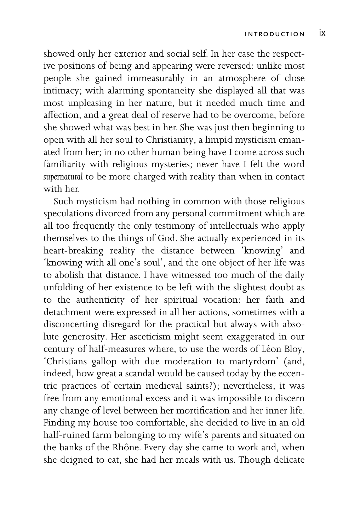showed only her exterior and social self. In her case the respective positions of being and appearing were reversed: unlike most people she gained immeasurably in an atmosphere of close intimacy; with alarming spontaneity she displayed all that was most unpleasing in her nature, but it needed much time and affection, and a great deal of reserve had to be overcome, before she showed what was best in her. She was just then beginning to open with all her soul to Christianity, a limpid mysticism emanated from her; in no other human being have I come across such familiarity with religious mysteries; never have I felt the word *supernatural* to be more charged with reality than when in contact with her.

Such mysticism had nothing in common with those religious speculations divorced from any personal commitment which are all too frequently the only testimony of intellectuals who apply themselves to the things of God. She actually experienced in its heart-breaking reality the distance between 'knowing' and 'knowing with all one's soul', and the one object of her life was to abolish that distance. I have witnessed too much of the daily unfolding of her existence to be left with the slightest doubt as to the authenticity of her spiritual vocation: her faith and detachment were expressed in all her actions, sometimes with a disconcerting disregard for the practical but always with absolute generosity. Her asceticism might seem exaggerated in our century of half-measures where, to use the words of Léon Bloy, 'Christians gallop with due moderation to martyrdom' (and, indeed, how great a scandal would be caused today by the eccentric practices of certain medieval saints?); nevertheless, it was free from any emotional excess and it was impossible to discern any change of level between her mortification and her inner life. Finding my house too comfortable, she decided to live in an old half-ruined farm belonging to my wife's parents and situated on the banks of the Rhône. Every day she came to work and, when she deigned to eat, she had her meals with us. Though delicate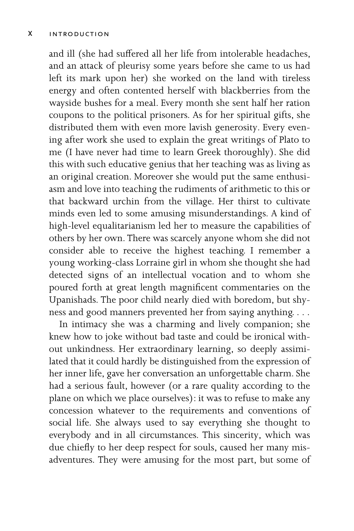and ill (she had suffered all her life from intolerable headaches, and an attack of pleurisy some years before she came to us had left its mark upon her) she worked on the land with tireless energy and often contented herself with blackberries from the wayside bushes for a meal. Every month she sent half her ration coupons to the political prisoners. As for her spiritual gifts, she distributed them with even more lavish generosity. Every evening after work she used to explain the great writings of Plato to me (I have never had time to learn Greek thoroughly). She did this with such educative genius that her teaching was as living as an original creation. Moreover she would put the same enthusiasm and love into teaching the rudiments of arithmetic to this or that backward urchin from the village. Her thirst to cultivate minds even led to some amusing misunderstandings. A kind of high-level equalitarianism led her to measure the capabilities of others by her own. There was scarcely anyone whom she did not consider able to receive the highest teaching. I remember a young working-class Lorraine girl in whom she thought she had detected signs of an intellectual vocation and to whom she poured forth at great length magnificent commentaries on the Upanishads. The poor child nearly died with boredom, but shyness and good manners prevented her from saying anything. . . .

In intimacy she was a charming and lively companion; she knew how to joke without bad taste and could be ironical without unkindness. Her extraordinary learning, so deeply assimilated that it could hardly be distinguished from the expression of her inner life, gave her conversation an unforgettable charm. She had a serious fault, however (or a rare quality according to the plane on which we place ourselves): it was to refuse to make any concession whatever to the requirements and conventions of social life. She always used to say everything she thought to everybody and in all circumstances. This sincerity, which was due chiefly to her deep respect for souls, caused her many misadventures. They were amusing for the most part, but some of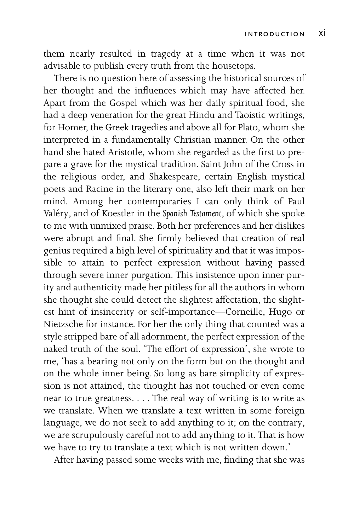them nearly resulted in tragedy at a time when it was not advisable to publish every truth from the housetops.

There is no question here of assessing the historical sources of her thought and the influences which may have affected her. Apart from the Gospel which was her daily spiritual food, she had a deep veneration for the great Hindu and Taoistic writings, for Homer, the Greek tragedies and above all for Plato, whom she interpreted in a fundamentally Christian manner. On the other hand she hated Aristotle, whom she regarded as the first to prepare a grave for the mystical tradition. Saint John of the Cross in the religious order, and Shakespeare, certain English mystical poets and Racine in the literary one, also left their mark on her mind. Among her contemporaries I can only think of Paul Valéry, and of Koestler in the *Spanish Testament*, of which she spoke to me with unmixed praise. Both her preferences and her dislikes were abrupt and final. She firmly believed that creation of real genius required a high level of spirituality and that it was impossible to attain to perfect expression without having passed through severe inner purgation. This insistence upon inner purity and authenticity made her pitiless for all the authors in whom she thought she could detect the slightest affectation, the slightest hint of insincerity or self-importance—Corneille, Hugo or Nietzsche for instance. For her the only thing that counted was a style stripped bare of all adornment, the perfect expression of the naked truth of the soul. 'The effort of expression', she wrote to me, 'has a bearing not only on the form but on the thought and on the whole inner being. So long as bare simplicity of expression is not attained, the thought has not touched or even come near to true greatness. . . . The real way of writing is to write as we translate. When we translate a text written in some foreign language, we do not seek to add anything to it; on the contrary, we are scrupulously careful not to add anything to it. That is how we have to try to translate a text which is not written down.'

After having passed some weeks with me, finding that she was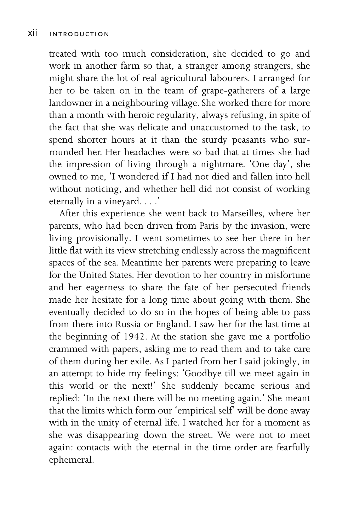treated with too much consideration, she decided to go and work in another farm so that, a stranger among strangers, she might share the lot of real agricultural labourers. I arranged for her to be taken on in the team of grape-gatherers of a large landowner in a neighbouring village. She worked there for more than a month with heroic regularity, always refusing, in spite of the fact that she was delicate and unaccustomed to the task, to spend shorter hours at it than the sturdy peasants who surrounded her. Her headaches were so bad that at times she had the impression of living through a nightmare. 'One day', she owned to me, 'I wondered if I had not died and fallen into hell without noticing, and whether hell did not consist of working eternally in a vineyard. . . .'

After this experience she went back to Marseilles, where her parents, who had been driven from Paris by the invasion, were living provisionally. I went sometimes to see her there in her little flat with its view stretching endlessly across the magnificent spaces of the sea. Meantime her parents were preparing to leave for the United States. Her devotion to her country in misfortune and her eagerness to share the fate of her persecuted friends made her hesitate for a long time about going with them. She eventually decided to do so in the hopes of being able to pass from there into Russia or England. I saw her for the last time at the beginning of 1942. At the station she gave me a portfolio crammed with papers, asking me to read them and to take care of them during her exile. As I parted from her I said jokingly, in an attempt to hide my feelings: 'Goodbye till we meet again in this world or the next!' She suddenly became serious and replied: 'In the next there will be no meeting again.' She meant that the limits which form our 'empirical self' will be done away with in the unity of eternal life. I watched her for a moment as she was disappearing down the street. We were not to meet again: contacts with the eternal in the time order are fearfully ephemeral.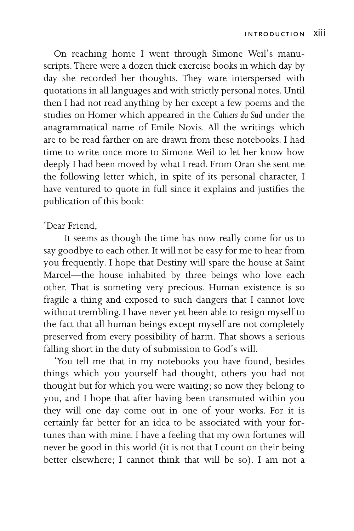On reaching home I went through Simone Weil's manuscripts. There were a dozen thick exercise books in which day by day she recorded her thoughts. They ware interspersed with quotations in all languages and with strictly personal notes. Until then I had not read anything by her except a few poems and the studies on Homer which appeared in the *Cahiers du Sud* under the anagrammatical name of Emile Novis. All the writings which are to be read farther on are drawn from these notebooks. I had time to write once more to Simone Weil to let her know how deeply I had been moved by what I read. From Oran she sent me the following letter which, in spite of its personal character, I have ventured to quote in full since it explains and justifies the publication of this book:

'Dear Friend,

It seems as though the time has now really come for us to say goodbye to each other. It will not be easy for me to hear from you frequently. I hope that Destiny will spare the house at Saint Marcel—the house inhabited by three beings who love each other. That is someting very precious. Human existence is so fragile a thing and exposed to such dangers that I cannot love without trembling. I have never yet been able to resign myself to the fact that all human beings except myself are not completely preserved from every possibility of harm. That shows a serious falling short in the duty of submission to God's will.

'You tell me that in my notebooks you have found, besides things which you yourself had thought, others you had not thought but for which you were waiting; so now they belong to you, and I hope that after having been transmuted within you they will one day come out in one of your works. For it is certainly far better for an idea to be associated with your fortunes than with mine. I have a feeling that my own fortunes will never be good in this world (it is not that I count on their being better elsewhere; I cannot think that will be so). I am not a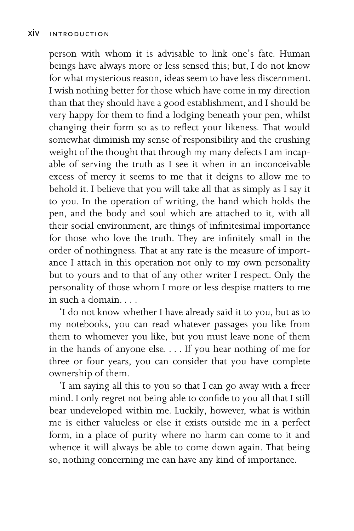person with whom it is advisable to link one's fate. Human beings have always more or less sensed this; but, I do not know for what mysterious reason, ideas seem to have less discernment. I wish nothing better for those which have come in my direction than that they should have a good establishment, and I should be very happy for them to find a lodging beneath your pen, whilst changing their form so as to reflect your likeness. That would somewhat diminish my sense of responsibility and the crushing weight of the thought that through my many defects I am incapable of serving the truth as I see it when in an inconceivable excess of mercy it seems to me that it deigns to allow me to behold it. I believe that you will take all that as simply as I say it to you. In the operation of writing, the hand which holds the pen, and the body and soul which are attached to it, with all their social environment, are things of infinitesimal importance for those who love the truth. They are infinitely small in the order of nothingness. That at any rate is the measure of importance I attach in this operation not only to my own personality but to yours and to that of any other writer I respect. Only the personality of those whom I more or less despise matters to me in such a domain

'I do not know whether I have already said it to you, but as to my notebooks, you can read whatever passages you like from them to whomever you like, but you must leave none of them in the hands of anyone else. . . . If you hear nothing of me for three or four years, you can consider that you have complete ownership of them.

'I am saying all this to you so that I can go away with a freer mind. I only regret not being able to confide to you all that I still bear undeveloped within me. Luckily, however, what is within me is either valueless or else it exists outside me in a perfect form, in a place of purity where no harm can come to it and whence it will always be able to come down again. That being so, nothing concerning me can have any kind of importance.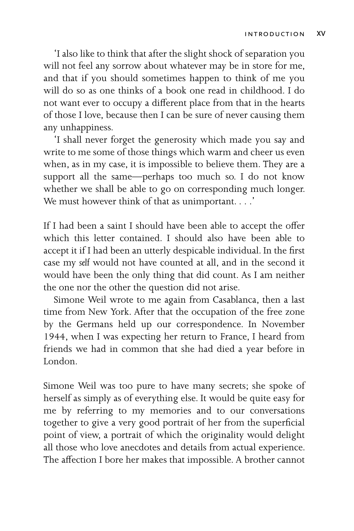'I also like to think that after the slight shock of separation you will not feel any sorrow about whatever may be in store for me, and that if you should sometimes happen to think of me you will do so as one thinks of a book one read in childhood. I do not want ever to occupy a different place from that in the hearts of those I love, because then I can be sure of never causing them any unhappiness.

'I shall never forget the generosity which made you say and write to me some of those things which warm and cheer us even when, as in my case, it is impossible to believe them. They are a support all the same—perhaps too much so. I do not know whether we shall be able to go on corresponding much longer. We must however think of that as unimportant. . . .'

If I had been a saint I should have been able to accept the offer which this letter contained. I should also have been able to accept it if I had been an utterly despicable individual. In the first case my *self* would not have counted at all, and in the second it would have been the only thing that did count. As I am neither the one nor the other the question did not arise.

Simone Weil wrote to me again from Casablanca, then a last time from New York. After that the occupation of the free zone by the Germans held up our correspondence. In November 1944, when I was expecting her return to France, I heard from friends we had in common that she had died a year before in London.

Simone Weil was too pure to have many secrets; she spoke of herself as simply as of everything else. It would be quite easy for me by referring to my memories and to our conversations together to give a very good portrait of her from the superficial point of view, a portrait of which the originality would delight all those who love anecdotes and details from actual experience. The affection I bore her makes that impossible. A brother cannot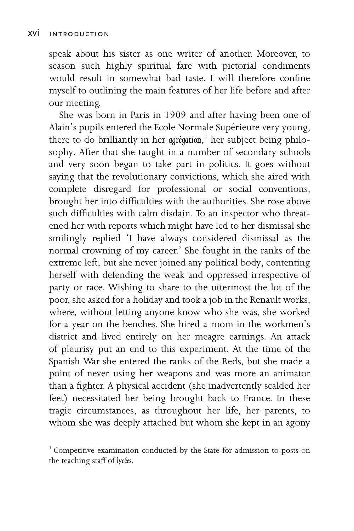speak about his sister as one writer of another. Moreover, to season such highly spiritual fare with pictorial condiments would result in somewhat bad taste. I will therefore confine myself to outlining the main features of her life before and after our meeting.

She was born in Paris in 1909 and after having been one of Alain's pupils entered the Ecole Normale Supérieure very young, there to do brilliantly in her *agrégation*, 1 her subject being philosophy. After that she taught in a number of secondary schools and very soon began to take part in politics. It goes without saying that the revolutionary convictions, which she aired with complete disregard for professional or social conventions, brought her into difficulties with the authorities. She rose above such difficulties with calm disdain. To an inspector who threatened her with reports which might have led to her dismissal she smilingly replied 'I have always considered dismissal as the normal crowning of my career.' She fought in the ranks of the extreme left, but she never joined any political body, contenting herself with defending the weak and oppressed irrespective of party or race. Wishing to share to the uttermost the lot of the poor, she asked for a holiday and took a job in the Renault works, where, without letting anyone know who she was, she worked for a year on the benches. She hired a room in the workmen's district and lived entirely on her meagre earnings. An attack of pleurisy put an end to this experiment. At the time of the Spanish War she entered the ranks of the Reds, but she made a point of never using her weapons and was more an animator than a fighter. A physical accident (she inadvertently scalded her feet) necessitated her being brought back to France. In these tragic circumstances, as throughout her life, her parents, to whom she was deeply attached but whom she kept in an agony

<sup>&</sup>lt;sup>1</sup> Competitive examination conducted by the State for admission to posts on the teaching staff of *lycées*.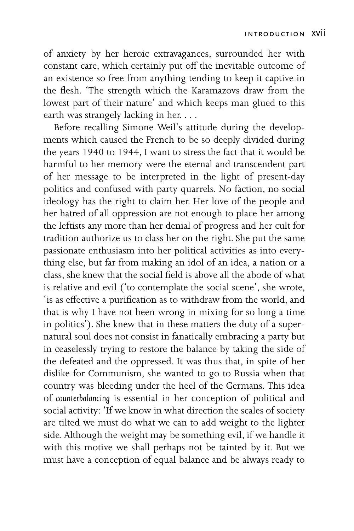of anxiety by her heroic extravagances, surrounded her with constant care, which certainly put off the inevitable outcome of an existence so free from anything tending to keep it captive in the flesh. 'The strength which the Karamazovs draw from the lowest part of their nature' and which keeps man glued to this earth was strangely lacking in her. . . .

Before recalling Simone Weil's attitude during the developments which caused the French to be so deeply divided during the years 1940 to 1944, I want to stress the fact that it would be harmful to her memory were the eternal and transcendent part of her message to be interpreted in the light of present-day politics and confused with party quarrels. No faction, no social ideology has the right to claim her. Her love of the people and her hatred of all oppression are not enough to place her among the leftists any more than her denial of progress and her cult for tradition authorize us to class her on the right. She put the same passionate enthusiasm into her political activities as into everything else, but far from making an idol of an idea, a nation or a class, she knew that the social field is above all the abode of what is relative and evil ('to contemplate the social scene', she wrote, 'is as effective a purification as to withdraw from the world, and that is why I have not been wrong in mixing for so long a time in politics'). She knew that in these matters the duty of a supernatural soul does not consist in fanatically embracing a party but in ceaselessly trying to restore the balance by taking the side of the defeated and the oppressed. It was thus that, in spite of her dislike for Communism, she wanted to go to Russia when that country was bleeding under the heel of the Germans. This idea of *counterbalancing* is essential in her conception of political and social activity: 'If we know in what direction the scales of society are tilted we must do what we can to add weight to the lighter side. Although the weight may be something evil, if we handle it with this motive we shall perhaps not be tainted by it. But we must have a conception of equal balance and be always ready to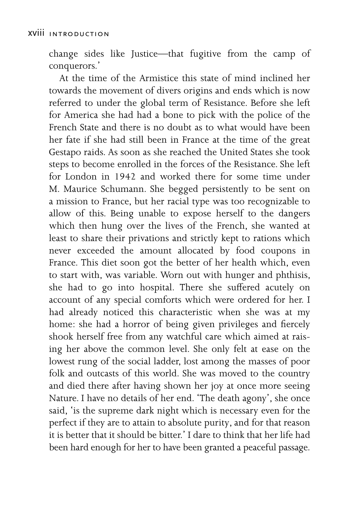change sides like Justice—that fugitive from the camp of conquerors.'

At the time of the Armistice this state of mind inclined her towards the movement of divers origins and ends which is now referred to under the global term of Resistance. Before she left for America she had had a bone to pick with the police of the French State and there is no doubt as to what would have been her fate if she had still been in France at the time of the great Gestapo raids. As soon as she reached the United States she took steps to become enrolled in the forces of the Resistance. She left for London in 1942 and worked there for some time under M. Maurice Schumann. She begged persistently to be sent on a mission to France, but her racial type was too recognizable to allow of this. Being unable to expose herself to the dangers which then hung over the lives of the French, she wanted at least to share their privations and strictly kept to rations which never exceeded the amount allocated by food coupons in France. This diet soon got the better of her health which, even to start with, was variable. Worn out with hunger and phthisis, she had to go into hospital. There she suffered acutely on account of any special comforts which were ordered for her. I had already noticed this characteristic when she was at my home: she had a horror of being given privileges and fiercely shook herself free from any watchful care which aimed at raising her above the common level. She only felt at ease on the lowest rung of the social ladder, lost among the masses of poor folk and outcasts of this world. She was moved to the country and died there after having shown her joy at once more seeing Nature. I have no details of her end. 'The death agony', she once said, 'is the supreme dark night which is necessary even for the perfect if they are to attain to absolute purity, and for that reason it is better that it should be bitter.' I dare to think that her life had been hard enough for her to have been granted a peaceful passage.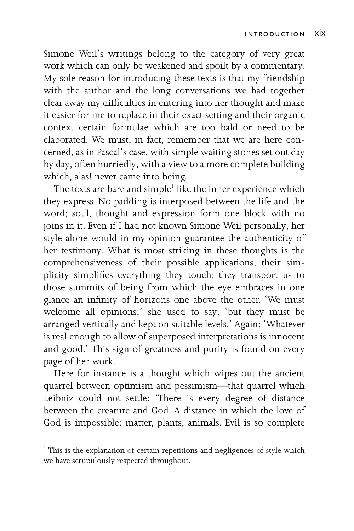Simone Weil's writings belong to the category of very great work which can only be weakened and spoilt by a commentary. My sole reason for introducing these texts is that my friendship with the author and the long conversations we had together clear away my difficulties in entering into her thought and make it easier for me to replace in their exact setting and their organic context certain formulae which are too bald or need to be elaborated. We must, in fact, remember that we are here concerned, as in Pascal's case, with simple waiting stones set out day by day, often hurriedly, with a view to a more complete building which, alas! never came into being.

The texts are bare and simple $^{\rm l}$  like the inner experience which they express. No padding is interposed between the life and the word; soul, thought and expression form one block with no joins in it. Even if I had not known Simone Weil personally, her style alone would in my opinion guarantee the authenticity of her testimony. What is most striking in these thoughts is the comprehensiveness of their possible applications; their simplicity simplifies everything they touch; they transport us to those summits of being from which the eye embraces in one glance an infinity of horizons one above the other. 'We must welcome all opinions,' she used to say, 'but they must be arranged vertically and kept on suitable levels.' Again: 'Whatever is real enough to allow of superposed interpretations is innocent and good.' This sign of greatness and purity is found on every page of her work.

Here for instance is a thought which wipes out the ancient quarrel between optimism and pessimism—that quarrel which Leibniz could not settle: 'There is every degree of distance between the creature and God. A distance in which the love of God is impossible: matter, plants, animals. Evil is so complete

 $1$ <sup>1</sup> This is the explanation of certain repetitions and negligences of style which we have scrupulously respected throughout.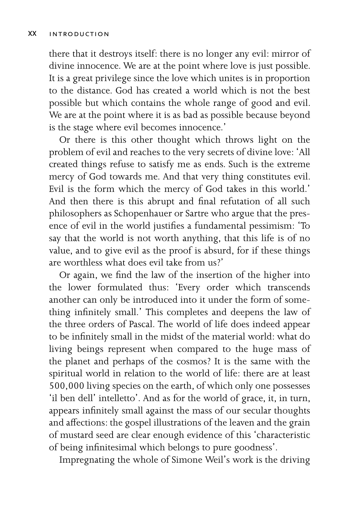there that it destroys itself: there is no longer any evil: mirror of divine innocence. We are at the point where love is just possible. It is a great privilege since the love which unites is in proportion to the distance. God has created a world which is not the best possible but which contains the whole range of good and evil. We are at the point where it is as bad as possible because beyond is the stage where evil becomes innocence.'

Or there is this other thought which throws light on the problem of evil and reaches to the very secrets of divine love: 'All created things refuse to satisfy me as ends. Such is the extreme mercy of God towards me. And that very thing constitutes evil. Evil is the form which the mercy of God takes in this world.' And then there is this abrupt and final refutation of all such philosophers as Schopenhauer or Sartre who argue that the presence of evil in the world justifies a fundamental pessimism: 'To say that the world is not worth anything, that this life is of no value, and to give evil as the proof is absurd, for if these things are worthless what does evil take from us?'

Or again, we find the law of the insertion of the higher into the lower formulated thus: 'Every order which transcends another can only be introduced into it under the form of something infinitely small.' This completes and deepens the law of the three orders of Pascal. The world of life does indeed appear to be infinitely small in the midst of the material world: what do living beings represent when compared to the huge mass of the planet and perhaps of the cosmos? It is the same with the spiritual world in relation to the world of life: there are at least 500,000 living species on the earth, of which only one possesses 'il ben dell' intelletto'. And as for the world of grace, it, in turn, appears infinitely small against the mass of our secular thoughts and affections: the gospel illustrations of the leaven and the grain of mustard seed are clear enough evidence of this 'characteristic of being infinitesimal which belongs to pure goodness'.

Impregnating the whole of Simone Weil's work is the driving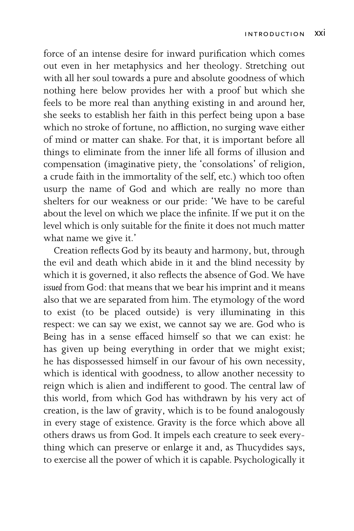force of an intense desire for inward purification which comes out even in her metaphysics and her theology. Stretching out with all her soul towards a pure and absolute goodness of which nothing here below provides her with a proof but which she feels to be more real than anything existing in and around her, she seeks to establish her faith in this perfect being upon a base which no stroke of fortune, no affliction, no surging wave either of mind or matter can shake. For that, it is important before all things to eliminate from the inner life all forms of illusion and compensation (imaginative piety, the 'consolations' of religion, a crude faith in the immortality of the self, etc.) which too often usurp the name of God and which are really no more than shelters for our weakness or our pride: 'We have to be careful about the level on which we place the infinite. If we put it on the level which is only suitable for the finite it does not much matter what name we give it.'

Creation reflects God by its beauty and harmony, but, through the evil and death which abide in it and the blind necessity by which it is governed, it also reflects the absence of God. We have *issued* from God: that means that we bear his imprint and it means also that we are separated from him. The etymology of the word to exist (to be placed outside) is very illuminating in this respect: we can say we exist, we cannot say we are. God who is Being has in a sense effaced himself so that we can exist: he has given up being everything in order that we might exist; he has dispossessed himself in our favour of his own necessity, which is identical with goodness, to allow another necessity to reign which is alien and indifferent to good. The central law of this world, from which God has withdrawn by his very act of creation, is the law of gravity, which is to be found analogously in every stage of existence. Gravity is the force which above all others draws us from God. It impels each creature to seek everything which can preserve or enlarge it and, as Thucydides says, to exercise all the power of which it is capable. Psychologically it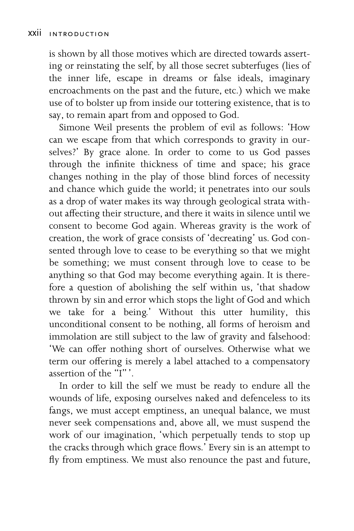is shown by all those motives which are directed towards asserting or reinstating the self, by all those secret subterfuges (lies of the inner life, escape in dreams or false ideals, imaginary encroachments on the past and the future, etc.) which we make use of to bolster up from inside our tottering existence, that is to say, to remain apart from and opposed to God.

Simone Weil presents the problem of evil as follows: 'How can we escape from that which corresponds to gravity in ourselves?' By grace alone. In order to come to us God passes through the infinite thickness of time and space; his grace changes nothing in the play of those blind forces of necessity and chance which guide the world; it penetrates into our souls as a drop of water makes its way through geological strata without affecting their structure, and there it waits in silence until we consent to become God again. Whereas gravity is the work of creation, the work of grace consists of 'decreating' us. God consented through love to cease to be everything so that we might be something; we must consent through love to cease to be anything so that God may become everything again. It is therefore a question of abolishing the self within us, 'that shadow thrown by sin and error which stops the light of God and which we take for a being.' Without this utter humility, this unconditional consent to be nothing, all forms of heroism and immolation are still subject to the law of gravity and falsehood: 'We can offer nothing short of ourselves. Otherwise what we term our offering is merely a label attached to a compensatory assertion of the "I"'.

In order to kill the self we must be ready to endure all the wounds of life, exposing ourselves naked and defenceless to its fangs, we must accept emptiness, an unequal balance, we must never seek compensations and, above all, we must suspend the work of our imagination, 'which perpetually tends to stop up the cracks through which grace flows.' Every sin is an attempt to fly from emptiness. We must also renounce the past and future,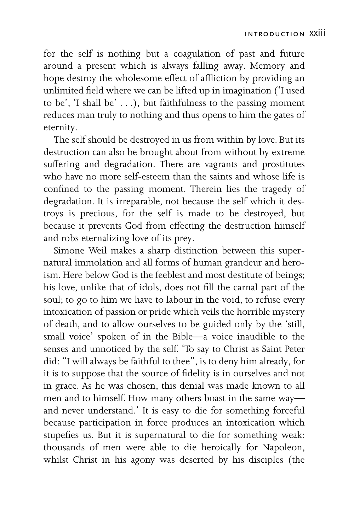for the self is nothing but a coagulation of past and future around a present which is always falling away. Memory and hope destroy the wholesome effect of affliction by providing an unlimited field where we can be lifted up in imagination ('I used to be', 'I shall be' . . .), but faithfulness to the passing moment reduces man truly to nothing and thus opens to him the gates of eternity.

The self should be destroyed in us from within by love. But its destruction can also be brought about from without by extreme suffering and degradation. There are vagrants and prostitutes who have no more self-esteem than the saints and whose life is confined to the passing moment. Therein lies the tragedy of degradation. It is irreparable, not because the self which it destroys is precious, for the self is made to be destroyed, but because it prevents God from effecting the destruction himself and robs eternalizing love of its prey.

Simone Weil makes a sharp distinction between this supernatural immolation and all forms of human grandeur and heroism. Here below God is the feeblest and most destitute of beings; his love, unlike that of idols, does not fill the carnal part of the soul; to go to him we have to labour in the void, to refuse every intoxication of passion or pride which veils the horrible mystery of death, and to allow ourselves to be guided only by the 'still, small voice' spoken of in the Bible—a voice inaudible to the senses and unnoticed by the self. 'To say to Christ as Saint Peter did: "I will always be faithful to thee", is to deny him already, for it is to suppose that the source of fidelity is in ourselves and not in grace. As he was chosen, this denial was made known to all men and to himself. How many others boast in the same way and never understand.' It is easy to die for something forceful because participation in force produces an intoxication which stupefies us. But it is supernatural to die for something weak: thousands of men were able to die heroically for Napoleon, whilst Christ in his agony was deserted by his disciples (the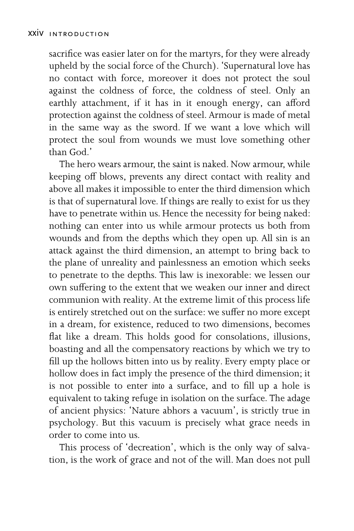sacrifice was easier later on for the martyrs, for they were already upheld by the social force of the Church). 'Supernatural love has no contact with force, moreover it does not protect the soul against the coldness of force, the coldness of steel. Only an earthly attachment, if it has in it enough energy, can afford protection against the coldness of steel. Armour is made of metal in the same way as the sword. If we want a love which will protect the soul from wounds we must love something other than God.'

The hero wears armour, the saint is naked. Now armour, while keeping off blows, prevents any direct contact with reality and above all makes it impossible to enter the third dimension which is that of supernatural love. If things are really to exist for us they have to penetrate within us. Hence the necessity for being naked: nothing can enter into us while armour protects us both from wounds and from the depths which they open up. All sin is an attack against the third dimension, an attempt to bring back to the plane of unreality and painlessness an emotion which seeks to penetrate to the depths. This law is inexorable: we lessen our own suffering to the extent that we weaken our inner and direct communion with reality. At the extreme limit of this process life is entirely stretched out on the surface: we suffer no more except in a dream, for existence, reduced to two dimensions, becomes flat like a dream. This holds good for consolations, illusions, boasting and all the compensatory reactions by which we try to fill up the hollows bitten into us by reality. Every empty place or hollow does in fact imply the presence of the third dimension; it is not possible to enter *into* a surface, and to fill up a hole is equivalent to taking refuge in isolation on the surface. The adage of ancient physics: 'Nature abhors a vacuum', is strictly true in psychology. But this vacuum is precisely what grace needs in order to come into us.

This process of 'decreation', which is the only way of salvation, is the work of grace and not of the will. Man does not pull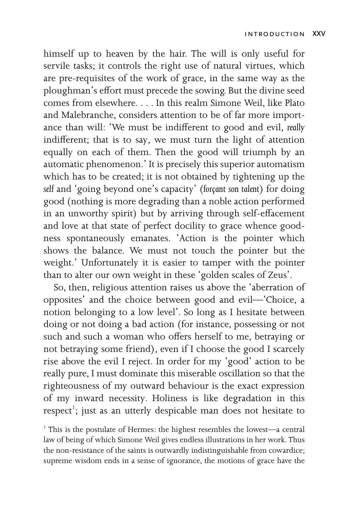himself up to heaven by the hair. The will is only useful for servile tasks; it controls the right use of natural virtues, which are pre-requisites of the work of grace, in the same way as the ploughman's effort must precede the sowing. But the divine seed comes from elsewhere. . . . In this realm Simone Weil, like Plato and Malebranche, considers attention to be of far more importance than will: 'We must be indifferent to good and evil, *really* indifferent; that is to say, we must turn the light of attention equally on each of them. Then the good will triumph by an automatic phenomenon.' It is precisely this superior automatism which has to be created; it is not obtained by tightening up the *self* and 'going beyond one's capacity' (*forçant son talent*) for doing good (nothing is more degrading than a noble action performed in an unworthy spirit) but by arriving through self-effacement and love at that state of perfect docility to grace whence goodness spontaneously emanates. 'Action is the pointer which shows the balance. We must not touch the pointer but the weight.' Unfortunately it is easier to tamper with the pointer than to alter our own weight in these 'golden scales of Zeus'.

So, then, religious attention raises us above the 'aberration of opposites' and the choice between good and evil—'Choice, a notion belonging to a low level'. So long as I hesitate between doing or not doing a bad action (for instance, possessing or not such and such a woman who offers herself to me, betraying or not betraying some friend), even if I choose the good I scarcely rise above the evil I reject. In order for my 'good' action to be really pure, I must dominate this miserable oscillation so that the righteousness of my outward behaviour is the exact expression of my inward necessity. Holiness is like degradation in this respect<sup>1</sup>; just as an utterly despicable man does not hesitate to

 $1$  This is the postulate of Hermes: the highest resembles the lowest—a central law of being of which Simone Weil gives endless illustrations in her work. Thus the non-resistance of the saints is outwardly indistinguishable from cowardice; supreme wisdom ends in a sense of ignorance, the motions of grace have the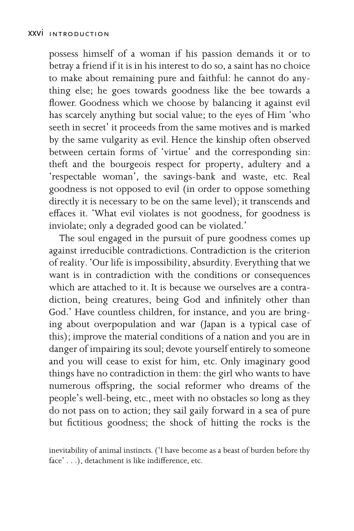possess himself of a woman if his passion demands it or to betray a friend if it is in his interest to do so, a saint has no choice to make about remaining pure and faithful: he cannot do anything else; he goes towards goodness like the bee towards a flower. Goodness which we choose by balancing it against evil has scarcely anything but social value; to the eyes of Him 'who seeth in secret' it proceeds from the same motives and is marked by the same vulgarity as evil. Hence the kinship often observed between certain forms of 'virtue' and the corresponding sin: theft and the bourgeois respect for property, adultery and a 'respectable woman', the savings-bank and waste, etc. Real goodness is not opposed to evil (in order to oppose something directly it is necessary to be on the same level); it transcends and effaces it. 'What evil violates is not goodness, for goodness is inviolate; only a degraded good can be violated.'

The soul engaged in the pursuit of pure goodness comes up against irreducible contradictions. Contradiction is the criterion of reality. 'Our life is impossibility, absurdity. Everything that we want is in contradiction with the conditions or consequences which are attached to it. It is because we ourselves are a contradiction, being creatures, being God and infinitely other than God.' Have countless children, for instance, and you are bringing about overpopulation and war (Japan is a typical case of this); improve the material conditions of a nation and you are in danger of impairing its soul; devote yourself entirely to someone and you will cease to exist for him, etc. Only imaginary good things have no contradiction in them: the girl who wants to have numerous offspring, the social reformer who dreams of the people's well-being, etc., meet with no obstacles so long as they do not pass on to action; they sail gaily forward in a sea of pure but fictitious goodness; the shock of hitting the rocks is the

inevitability of animal instincts. ('I have become as a beast of burden before thy face' . . .), detachment is like indifference, etc.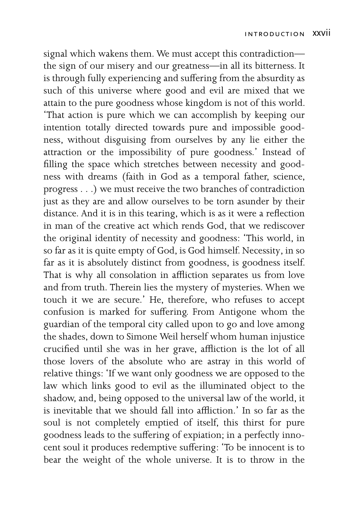signal which wakens them. We must accept this contradiction the sign of our misery and our greatness—in all its bitterness. It is through fully experiencing and suffering from the absurdity as such of this universe where good and evil are mixed that we attain to the pure goodness whose kingdom is not of this world. 'That action is pure which we can accomplish by keeping our intention totally directed towards pure and impossible goodness, without disguising from ourselves by any lie either the attraction or the impossibility of pure goodness.' Instead of filling the space which stretches between necessity and goodness with dreams (faith in God as a temporal father, science, progress . . .) we must receive the two branches of contradiction just as they are and allow ourselves to be torn asunder by their distance. And it is in this tearing, which is as it were a reflection in man of the creative act which rends God, that we rediscover the original identity of necessity and goodness: 'This world, in so far as it is quite empty of God, is God himself. Necessity, in so far as it is absolutely distinct from goodness, is goodness itself. That is why all consolation in affliction separates us from love and from truth. Therein lies the mystery of mysteries. When we touch it we are secure.' He, therefore, who refuses to accept confusion is marked for suffering. From Antigone whom the guardian of the temporal city called upon to go and love among the shades, down to Simone Weil herself whom human injustice crucified until she was in her grave, affliction is the lot of all those lovers of the absolute who are astray in this world of relative things: 'If we want only goodness we are opposed to the law which links good to evil as the illuminated object to the shadow, and, being opposed to the universal law of the world, it is inevitable that we should fall into affliction.' In so far as the soul is not completely emptied of itself, this thirst for pure goodness leads to the suffering of expiation; in a perfectly innocent soul it produces redemptive suffering: 'To be innocent is to bear the weight of the whole universe. It is to throw in the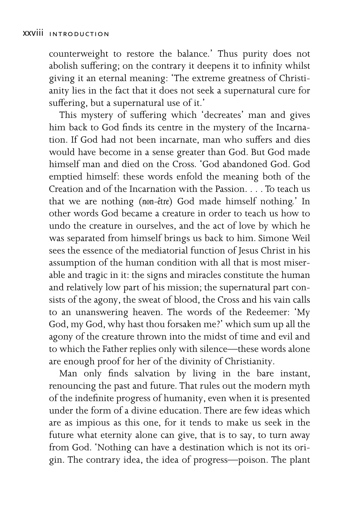counterweight to restore the balance.' Thus purity does not abolish suffering; on the contrary it deepens it to infinity whilst giving it an eternal meaning: 'The extreme greatness of Christianity lies in the fact that it does not seek a supernatural cure for suffering, but a supernatural use of it.'

This mystery of suffering which 'decreates' man and gives him back to God finds its centre in the mystery of the Incarnation. If God had not been incarnate, man who suffers and dies would have become in a sense greater than God. But God made himself man and died on the Cross. 'God abandoned God. God emptied himself: these words enfold the meaning both of the Creation and of the Incarnation with the Passion. . . . To teach us that we are nothing (*non-être*) God made himself nothing.' In other words God became a creature in order to teach us how to undo the creature in ourselves, and the act of love by which he was separated from himself brings us back to him. Simone Weil sees the essence of the mediatorial function of Jesus Christ in his assumption of the human condition with all that is most miserable and tragic in it: the signs and miracles constitute the human and relatively low part of his mission; the supernatural part consists of the agony, the sweat of blood, the Cross and his vain calls to an unanswering heaven. The words of the Redeemer: 'My God, my God, why hast thou forsaken me?' which sum up all the agony of the creature thrown into the midst of time and evil and to which the Father replies only with silence—these words alone are enough proof for her of the divinity of Christianity.

Man only finds salvation by living in the bare instant, renouncing the past and future. That rules out the modern myth of the indefinite progress of humanity, even when it is presented under the form of a divine education. There are few ideas which are as impious as this one, for it tends to make us seek in the future what eternity alone can give, that is to say, to turn away from God. 'Nothing can have a destination which is not its origin. The contrary idea, the idea of progress—poison. The plant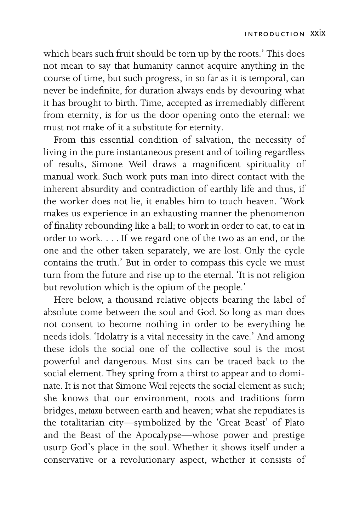which bears such fruit should be torn up by the roots.' This does not mean to say that humanity cannot acquire anything in the course of time, but such progress, in so far as it is temporal, can never be indefinite, for duration always ends by devouring what it has brought to birth. Time, accepted as irremediably different from eternity, is for us the door opening onto the eternal: we must not make of it a substitute for eternity.

From this essential condition of salvation, the necessity of living in the pure instantaneous present and of toiling regardless of results, Simone Weil draws a magnificent spirituality of manual work. Such work puts man into direct contact with the inherent absurdity and contradiction of earthly life and thus, if the worker does not lie, it enables him to touch heaven. 'Work makes us experience in an exhausting manner the phenomenon of finality rebounding like a ball; to work in order to eat, to eat in order to work. . . . If we regard one of the two as an end, or the one and the other taken separately, we are lost. Only the cycle contains the truth.' But in order to compass this cycle we must turn from the future and rise up to the eternal. 'It is not religion but revolution which is the opium of the people.'

Here below, a thousand relative objects bearing the label of absolute come between the soul and God. So long as man does not consent to become nothing in order to be everything he needs idols. 'Idolatry is a vital necessity in the cave.' And among these idols the social one of the collective soul is the most powerful and dangerous. Most sins can be traced back to the social element. They spring from a thirst to appear and to dominate. It is not that Simone Weil rejects the social element as such; she knows that our environment, roots and traditions form bridges, *metaxu* between earth and heaven; what she repudiates is the totalitarian city—symbolized by the 'Great Beast' of Plato and the Beast of the Apocalypse—whose power and prestige usurp God's place in the soul. Whether it shows itself under a conservative or a revolutionary aspect, whether it consists of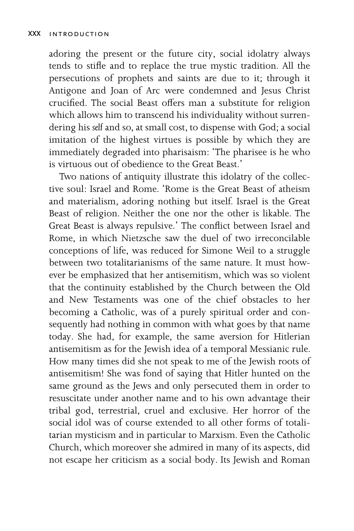adoring the present or the future city, social idolatry always tends to stifle and to replace the true mystic tradition. All the persecutions of prophets and saints are due to it; through it Antigone and Joan of Arc were condemned and Jesus Christ crucified. The social Beast offers man a substitute for religion which allows him to transcend his individuality without surrendering his *self* and so, at small cost, to dispense with God; a social imitation of the highest virtues is possible by which they are immediately degraded into pharisaism: 'The pharisee is he who is virtuous out of obedience to the Great Beast.'

Two nations of antiquity illustrate this idolatry of the collective soul: Israel and Rome. 'Rome is the Great Beast of atheism and materialism, adoring nothing but itself. Israel is the Great Beast of religion. Neither the one nor the other is likable. The Great Beast is always repulsive.' The conflict between Israel and Rome, in which Nietzsche saw the duel of two irreconcilable conceptions of life, was reduced for Simone Weil to a struggle between two totalitarianisms of the same nature. It must however be emphasized that her antisemitism, which was so violent that the continuity established by the Church between the Old and New Testaments was one of the chief obstacles to her becoming a Catholic, was of a purely spiritual order and consequently had nothing in common with what goes by that name today. She had, for example, the same aversion for Hitlerian antisemitism as for the Jewish idea of a temporal Messianic rule. How many times did she not speak to me of the Jewish roots of antisemitism! She was fond of saying that Hitler hunted on the same ground as the Jews and only persecuted them in order to resuscitate under another name and to his own advantage their tribal god, terrestrial, cruel and exclusive. Her horror of the social idol was of course extended to all other forms of totalitarian mysticism and in particular to Marxism. Even the Catholic Church, which moreover she admired in many of its aspects, did not escape her criticism as a social body. Its Jewish and Roman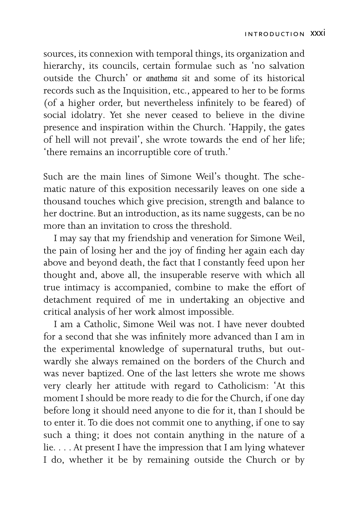sources, its connexion with temporal things, its organization and hierarchy, its councils, certain formulae such as 'no salvation outside the Church' or *anathema sit* and some of its historical records such as the Inquisition, etc., appeared to her to be forms (of a higher order, but nevertheless infinitely to be feared) of social idolatry. Yet she never ceased to believe in the divine presence and inspiration within the Church. 'Happily, the gates of hell will not prevail', she wrote towards the end of her life; 'there remains an incorruptible core of truth.'

Such are the main lines of Simone Weil's thought. The schematic nature of this exposition necessarily leaves on one side a thousand touches which give precision, strength and balance to her doctrine. But an introduction, as its name suggests, can be no more than an invitation to cross the threshold.

I may say that my friendship and veneration for Simone Weil, the pain of losing her and the joy of finding her again each day above and beyond death, the fact that I constantly feed upon her thought and, above all, the insuperable reserve with which all true intimacy is accompanied, combine to make the effort of detachment required of me in undertaking an objective and critical analysis of her work almost impossible.

I am a Catholic, Simone Weil was not. I have never doubted for a second that she was infinitely more advanced than I am in the experimental knowledge of supernatural truths, but outwardly she always remained on the borders of the Church and was never baptized. One of the last letters she wrote me shows very clearly her attitude with regard to Catholicism: 'At this moment I should be more ready to die for the Church, if one day before long it should need anyone to die for it, than I should be to enter it. To die does not commit one to anything, if one to say such a thing; it does not contain anything in the nature of a lie. . . . At present I have the impression that I am lying whatever I do, whether it be by remaining outside the Church or by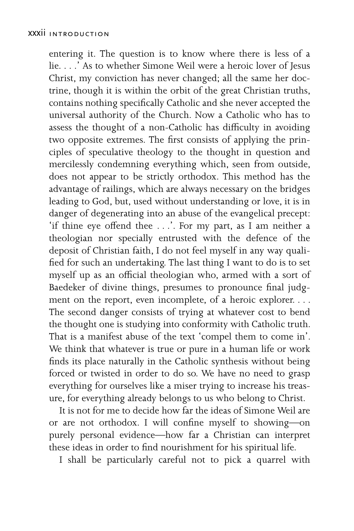entering it. The question is to know where there is less of a lie. . . .' As to whether Simone Weil were a heroic lover of Jesus Christ, my conviction has never changed; all the same her doctrine, though it is within the orbit of the great Christian truths, contains nothing specifically Catholic and she never accepted the universal authority of the Church. Now a Catholic who has to assess the thought of a non-Catholic has difficulty in avoiding two opposite extremes. The first consists of applying the principles of speculative theology to the thought in question and mercilessly condemning everything which, seen from outside, does not appear to be strictly orthodox. This method has the advantage of railings, which are always necessary on the bridges leading to God, but, used without understanding or love, it is in danger of degenerating into an abuse of the evangelical precept: 'if thine eye offend thee . . .'. For my part, as I am neither a theologian nor specially entrusted with the defence of the deposit of Christian faith, I do not feel myself in any way qualified for such an undertaking. The last thing I want to do is to set myself up as an official theologian who, armed with a sort of Baedeker of divine things, presumes to pronounce final judgment on the report, even incomplete, of a heroic explorer.... The second danger consists of trying at whatever cost to bend the thought one is studying into conformity with Catholic truth. That is a manifest abuse of the text 'compel them to come in'. We think that whatever is true or pure in a human life or work finds its place naturally in the Catholic synthesis without being forced or twisted in order to do so. We have no need to grasp everything for ourselves like a miser trying to increase his treasure, for everything already belongs to us who belong to Christ.

It is not for me to decide how far the ideas of Simone Weil are or are not orthodox. I will confine myself to showing—on purely personal evidence—how far a Christian can interpret these ideas in order to find nourishment for his spiritual life.

I shall be particularly careful not to pick a quarrel with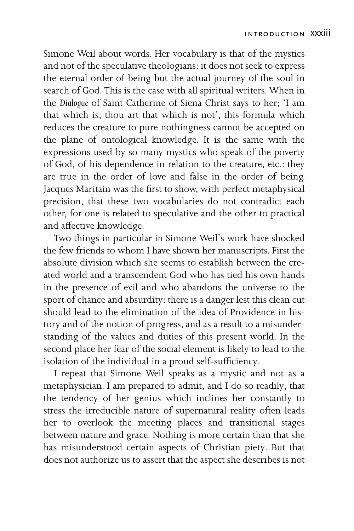Simone Weil about words. Her vocabulary is that of the mystics and not of the speculative theologians: it does not seek to express the eternal order of being but the actual journey of the soul in search of God. This is the case with all spiritual writers. When in the *Dialogue* of Saint Catherine of Siena Christ says to her; 'I am that which is, thou art that which is not', this formula which reduces the creature to pure nothingness cannot be accepted on the plane of ontological knowledge. It is the same with the expressions used by so many mystics who speak of the poverty of God, of his dependence in relation to the creature, etc.: they are true in the order of love and false in the order of being. Jacques Maritain was the first to show, with perfect metaphysical precision, that these two vocabularies do not contradict each other, for one is related to speculative and the other to practical and affective knowledge.

Two things in particular in Simone Weil's work have shocked the few friends to whom I have shown her manuscripts. First the absolute division which she seems to establish between the created world and a transcendent God who has tied his own hands in the presence of evil and who abandons the universe to the sport of chance and absurdity: there is a danger lest this clean cut should lead to the elimination of the idea of Providence in history and of the notion of progress, and as a result to a misunderstanding of the values and duties of this present world. In the second place her fear of the social element is likely to lead to the isolation of the individual in a proud self-sufficiency.

I repeat that Simone Weil speaks as a mystic and not as a metaphysician. I am prepared to admit, and I do so readily, that the tendency of her genius which inclines her constantly to stress the irreducible nature of supernatural reality often leads her to overlook the meeting places and transitional stages between nature and grace. Nothing is more certain than that she has misunderstood certain aspects of Christian piety. But that does not authorize us to assert that the aspect she describes is not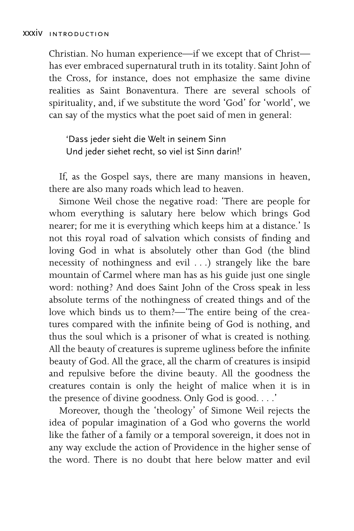Christian. No human experience—if we except that of Christ has ever embraced supernatural truth in its totality. Saint John of the Cross, for instance, does not emphasize the same divine realities as Saint Bonaventura. There are several schools of spirituality, and, if we substitute the word 'God' for 'world', we can say of the mystics what the poet said of men in general:

'Dass jeder sieht die Welt in seinem Sinn Und jeder siehet recht, so viel ist Sinn darin!'

If, as the Gospel says, there are many mansions in heaven, there are also many roads which lead to heaven.

Simone Weil chose the negative road: 'There are people for whom everything is salutary here below which brings God nearer; for me it is everything which keeps him at a distance.' Is not this royal road of salvation which consists of finding and loving God in what is absolutely other than God (the blind necessity of nothingness and evil . . .) strangely like the bare mountain of Carmel where man has as his guide just one single word: nothing? And does Saint John of the Cross speak in less absolute terms of the nothingness of created things and of the love which binds us to them?—'The entire being of the creatures compared with the infinite being of God is nothing, and thus the soul which is a prisoner of what is created is nothing. All the beauty of creatures is supreme ugliness before the infinite beauty of God. All the grace, all the charm of creatures is insipid and repulsive before the divine beauty. All the goodness the creatures contain is only the height of malice when it is in the presence of divine goodness. Only God is good. . . .'

Moreover, though the 'theology' of Simone Weil rejects the idea of popular imagination of a God who governs the world like the father of a family or a temporal sovereign, it does not in any way exclude the action of Providence in the higher sense of the word. There is no doubt that here below matter and evil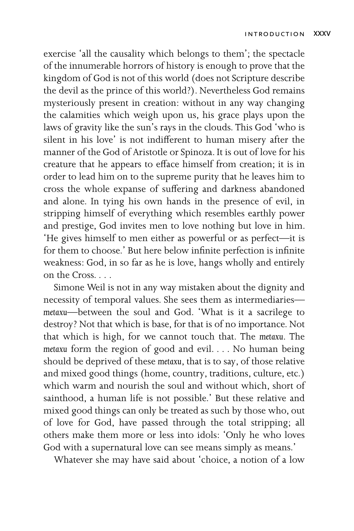exercise 'all the causality which belongs to them'; the spectacle of the innumerable horrors of history is enough to prove that the kingdom of God is not of this world (does not Scripture describe the devil as the prince of this world?). Nevertheless God remains mysteriously present in creation: without in any way changing the calamities which weigh upon us, his grace plays upon the laws of gravity like the sun's rays in the clouds. This God 'who is silent in his love' is not indifferent to human misery after the manner of the God of Aristotle or Spinoza. It is out of love for his creature that he appears to efface himself from creation; it is in order to lead him on to the supreme purity that he leaves him to cross the whole expanse of suffering and darkness abandoned and alone. In tying his own hands in the presence of evil, in stripping himself of everything which resembles earthly power and prestige, God invites men to love nothing but love in him. 'He gives himself to men either as powerful or as perfect—it is for them to choose.' But here below infinite perfection is infinite weakness: God, in so far as he is love, hangs wholly and entirely on the Cross.

Simone Weil is not in any way mistaken about the dignity and necessity of temporal values. She sees them as intermediaries *metaxu*—between the soul and God. 'What is it a sacrilege to destroy? Not that which is base, for that is of no importance. Not that which is high, for we cannot touch that. The *metaxu*. The *metaxu* form the region of good and evil. . . . No human being should be deprived of these *metaxu*, that is to say, of those relative and mixed good things (home, country, traditions, culture, etc.) which warm and nourish the soul and without which, short of sainthood, a human life is not possible.' But these relative and mixed good things can only be treated as such by those who, out of love for God, have passed through the total stripping; all others make them more or less into idols: 'Only he who loves God with a supernatural love can see means simply as means.'

Whatever she may have said about 'choice, a notion of a low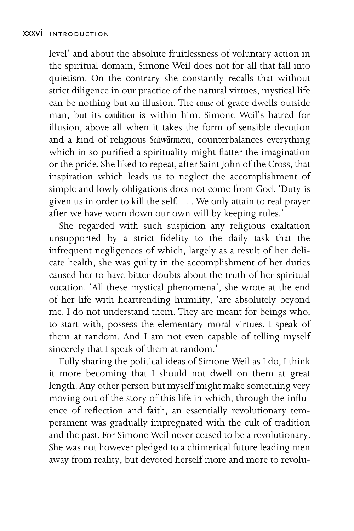level' and about the absolute fruitlessness of voluntary action in the spiritual domain, Simone Weil does not for all that fall into quietism. On the contrary she constantly recalls that without strict diligence in our practice of the natural virtues, mystical life can be nothing but an illusion. The *cause* of grace dwells outside man, but its *condition* is within him. Simone Weil's hatred for illusion, above all when it takes the form of sensible devotion and a kind of religious *Schwärmerei*, counterbalances everything which in so purified a spirituality might flatter the imagination or the pride. She liked to repeat, after Saint John of the Cross, that inspiration which leads us to neglect the accomplishment of simple and lowly obligations does not come from God. 'Duty is given us in order to kill the self. . . . We only attain to real prayer after we have worn down our own will by keeping rules.'

She regarded with such suspicion any religious exaltation unsupported by a strict fidelity to the daily task that the infrequent negligences of which, largely as a result of her delicate health, she was guilty in the accomplishment of her duties caused her to have bitter doubts about the truth of her spiritual vocation. 'All these mystical phenomena', she wrote at the end of her life with heartrending humility, 'are absolutely beyond me. I do not understand them. They are meant for beings who, to start with, possess the elementary moral virtues. I speak of them at random. And I am not even capable of telling myself sincerely that I speak of them at random.<sup>7</sup>

Fully sharing the political ideas of Simone Weil as I do, I think it more becoming that I should not dwell on them at great length. Any other person but myself might make something very moving out of the story of this life in which, through the influence of reflection and faith, an essentially revolutionary temperament was gradually impregnated with the cult of tradition and the past. For Simone Weil never ceased to be a revolutionary. She was not however pledged to a chimerical future leading men away from reality, but devoted herself more and more to revolu-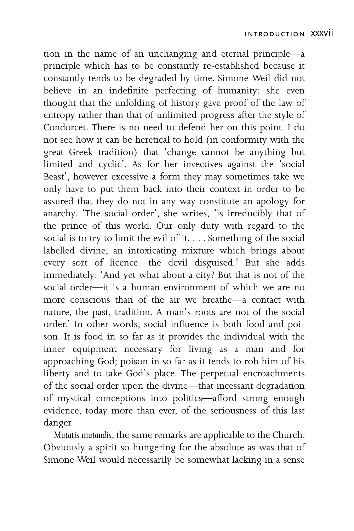tion in the name of an unchanging and eternal principle—a principle which has to be constantly re-established because it constantly tends to be degraded by time. Simone Weil did not believe in an indefinite perfecting of humanity: she even thought that the unfolding of history gave proof of the law of entropy rather than that of unlimited progress after the style of Condorcet. There is no need to defend her on this point. I do not see how it can be heretical to hold (in conformity with the great Greek tradition) that 'change cannot be anything but limited and cyclic'. As for her invectives against the 'social Beast', however excessive a form they may sometimes take we only have to put them back into their context in order to be assured that they do not in any way constitute an apology for anarchy. 'The social order', she writes, 'is irreducibly that of the prince of this world. Our only duty with regard to the social is to try to limit the evil of it. . . . Something of the social labelled divine; an intoxicating mixture which brings about every sort of licence—the devil disguised.' But she adds immediately: 'And yet what about a city? But that is not of the social order—it is a human environment of which we are no more conscious than of the air we breathe—a contact with nature, the past, tradition. A man's roots are not of the social order.' In other words, social influence is both food and poison. It is food in so far as it provides the individual with the inner equipment necessary for living as a man and for approaching God; poison in so far as it tends to rob him of his liberty and to take God's place. The perpetual encroachments of the social order upon the divine—that incessant degradation of mystical conceptions into politics—afford strong enough evidence, today more than ever, of the seriousness of this last danger.

*Mutatis mutandis*, the same remarks are applicable to the Church. Obviously a spirit so hungering for the absolute as was that of Simone Weil would necessarily be somewhat lacking in a sense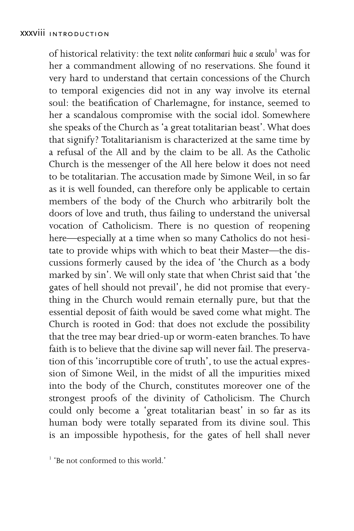of historical relativity: the text nolite conformari huic a seculo<sup>1</sup> was for her a commandment allowing of no reservations. She found it very hard to understand that certain concessions of the Church to temporal exigencies did not in any way involve its eternal soul: the beatification of Charlemagne, for instance, seemed to her a scandalous compromise with the social idol. Somewhere she speaks of the Church as 'a great totalitarian beast'. What does that signify? Totalitarianism is characterized at the same time by a refusal of the All and by the claim to be all. As the Catholic Church is the messenger of the All here below it does not need to be totalitarian. The accusation made by Simone Weil, in so far as it is well founded, can therefore only be applicable to certain members of the body of the Church who arbitrarily bolt the doors of love and truth, thus failing to understand the universal vocation of Catholicism. There is no question of reopening here—especially at a time when so many Catholics do not hesitate to provide whips with which to beat their Master—the discussions formerly caused by the idea of 'the Church as a body marked by sin'. We will only state that when Christ said that 'the gates of hell should not prevail', he did not promise that everything in the Church would remain eternally pure, but that the essential deposit of faith would be saved come what might. The Church is rooted in God: that does not exclude the possibility that the tree may bear dried-up or worm-eaten branches. To have faith is to believe that the divine sap will never fail. The preservation of this 'incorruptible core of truth', to use the actual expression of Simone Weil, in the midst of all the impurities mixed into the body of the Church, constitutes moreover one of the strongest proofs of the divinity of Catholicism. The Church could only become a 'great totalitarian beast' in so far as its human body were totally separated from its divine soul. This is an impossible hypothesis, for the gates of hell shall never

 $1$  'Be not conformed to this world.'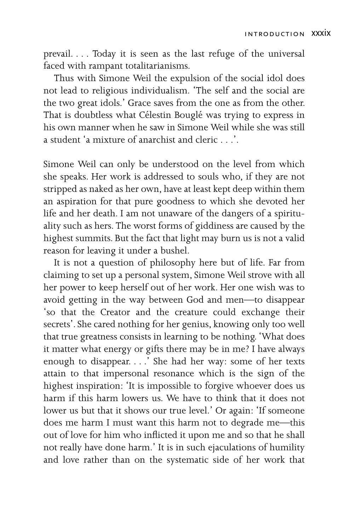prevail. . . . Today it is seen as the last refuge of the universal faced with rampant totalitarianisms.

Thus with Simone Weil the expulsion of the social idol does not lead to religious individualism. 'The self and the social are the two great idols.' Grace saves from the one as from the other. That is doubtless what Célestin Bouglé was trying to express in his own manner when he saw in Simone Weil while she was still a student 'a mixture of anarchist and cleric . . .'.

Simone Weil can only be understood on the level from which she speaks. Her work is addressed to souls who, if they are not stripped as naked as her own, have at least kept deep within them an aspiration for that pure goodness to which she devoted her life and her death. I am not unaware of the dangers of a spirituality such as hers. The worst forms of giddiness are caused by the highest summits. But the fact that light may burn us is not a valid reason for leaving it under a bushel.

It is not a question of philosophy here but of life. Far from claiming to set up a personal system, Simone Weil strove with all her power to keep herself out of her work. Her one wish was to avoid getting in the way between God and men—to disappear 'so that the Creator and the creature could exchange their secrets'. She cared nothing for her genius, knowing only too well that true greatness consists in learning to be nothing. 'What does it matter what energy or gifts there may be in me? I have always enough to disappear. . . .' She had her way: some of her texts attain to that impersonal resonance which is the sign of the highest inspiration: 'It is impossible to forgive whoever does us harm if this harm lowers us. We have to think that it does not lower us but that it shows our true level.' Or again: 'If someone does me harm I must want this harm not to degrade me—this out of love for him who inflicted it upon me and so that he shall not really have done harm.' It is in such ejaculations of humility and love rather than on the systematic side of her work that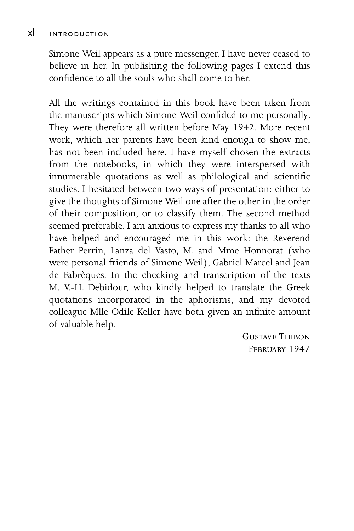Simone Weil appears as a pure messenger. I have never ceased to believe in her. In publishing the following pages I extend this confidence to all the souls who shall come to her.

All the writings contained in this book have been taken from the manuscripts which Simone Weil confided to me personally. They were therefore all written before May 1942. More recent work, which her parents have been kind enough to show me, has not been included here. I have myself chosen the extracts from the notebooks, in which they were interspersed with innumerable quotations as well as philological and scientific studies. I hesitated between two ways of presentation: either to give the thoughts of Simone Weil one after the other in the order of their composition, or to classify them. The second method seemed preferable. I am anxious to express my thanks to all who have helped and encouraged me in this work: the Reverend Father Perrin, Lanza del Vasto, M. and Mme Honnorat (who were personal friends of Simone Weil), Gabriel Marcel and Jean de Fabrèques. In the checking and transcription of the texts M. V.-H. Debidour, who kindly helped to translate the Greek quotations incorporated in the aphorisms, and my devoted colleague Mlle Odile Keller have both given an infinite amount of valuable help.

> **GUSTAVE THIRON** FEBRUARY 1947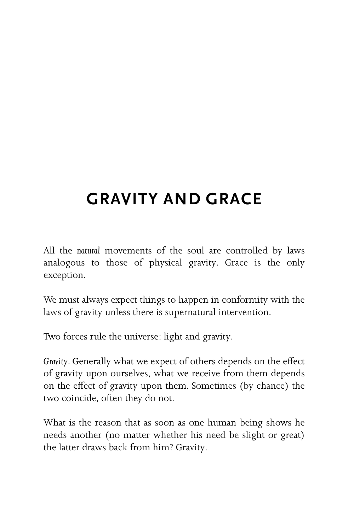## **GRAVITY AND GRACE**

All the *natural* movements of the soul are controlled by laws analogous to those of physical gravity. Grace is the only exception.

We must always expect things to happen in conformity with the laws of gravity unless there is supernatural intervention.

Two forces rule the universe: light and gravity.

*Gravity*. Generally what we expect of others depends on the effect of gravity upon ourselves, what we receive from them depends on the effect of gravity upon them. Sometimes (by chance) the two coincide, often they do not.

What is the reason that as soon as one human being shows he needs another (no matter whether his need be slight or great) the latter draws back from him? Gravity.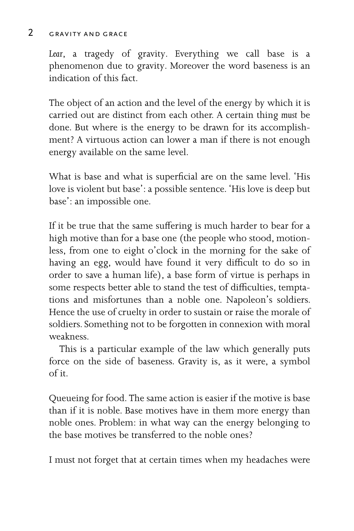#### 2 **GRAVITY AND GRACE**

*Lear*, a tragedy of gravity. Everything we call base is a phenomenon due to gravity. Moreover the word baseness is an indication of this fact.

The object of an action and the level of the energy by which it is carried out are distinct from each other. A certain thing *must* be done. But where is the energy to be drawn for its accomplishment? A virtuous action can lower a man if there is not enough energy available on the same level.

What is base and what is superficial are on the same level. 'His love is violent but base': a possible sentence. 'His love is deep but base': an impossible one.

If it be true that the same suffering is much harder to bear for a high motive than for a base one (the people who stood, motionless, from one to eight o'clock in the morning for the sake of having an egg, would have found it very difficult to do so in order to save a human life), a base form of virtue is perhaps in some respects better able to stand the test of difficulties, temptations and misfortunes than a noble one. Napoleon's soldiers. Hence the use of cruelty in order to sustain or raise the morale of soldiers. Something not to be forgotten in connexion with moral weakness.

This is a particular example of the law which generally puts force on the side of baseness. Gravity is, as it were, a symbol of it.

Queueing for food. The same action is easier if the motive is base than if it is noble. Base motives have in them more energy than noble ones. Problem: in what way can the energy belonging to the base motives be transferred to the noble ones?

I must not forget that at certain times when my headaches were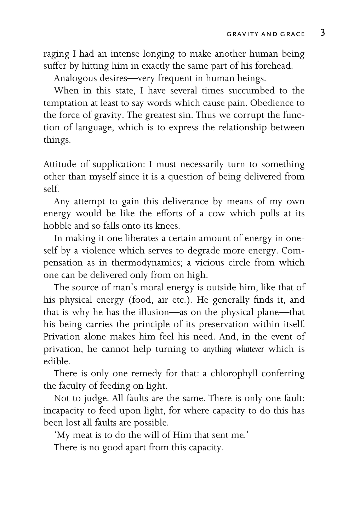raging I had an intense longing to make another human being suffer by hitting him in exactly the same part of his forehead.

Analogous desires—very frequent in human beings.

When in this state, I have several times succumbed to the temptation at least to say words which cause pain. Obedience to the force of gravity. The greatest sin. Thus we corrupt the function of language, which is to express the relationship between things.

Attitude of supplication: I must necessarily turn to something other than myself since it is a question of being delivered from self.

Any attempt to gain this deliverance by means of my own energy would be like the efforts of a cow which pulls at its hobble and so falls onto its knees.

In making it one liberates a certain amount of energy in oneself by a violence which serves to degrade more energy. Compensation as in thermodynamics; a vicious circle from which one can be delivered only from on high.

The source of man's moral energy is outside him, like that of his physical energy (food, air etc.). He generally finds it, and that is why he has the illusion—as on the physical plane—that his being carries the principle of its preservation within itself. Privation alone makes him feel his need. And, in the event of privation, he cannot help turning to *anything whatever* which is edible.

There is only one remedy for that: a chlorophyll conferring the faculty of feeding on light.

Not to judge. All faults are the same. There is only one fault: incapacity to feed upon light, for where capacity to do this has been lost all faults are possible.

'My meat is to do the will of Him that sent me.'

There is no good apart from this capacity.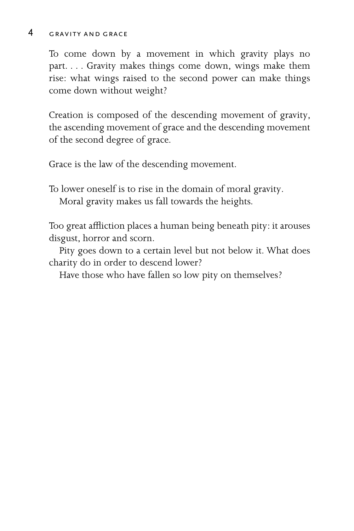#### 4 **GRAVITY AND GRACE**

To come down by a movement in which gravity plays no part. . . . Gravity makes things come down, wings make them rise: what wings raised to the second power can make things come down without weight?

Creation is composed of the descending movement of gravity, the ascending movement of grace and the descending movement of the second degree of grace.

Grace is the law of the descending movement.

To lower oneself is to rise in the domain of moral gravity. Moral gravity makes us fall towards the heights.

Too great affliction places a human being beneath pity: it arouses disgust, horror and scorn.

Pity goes down to a certain level but not below it. What does charity do in order to descend lower?

Have those who have fallen so low pity on themselves?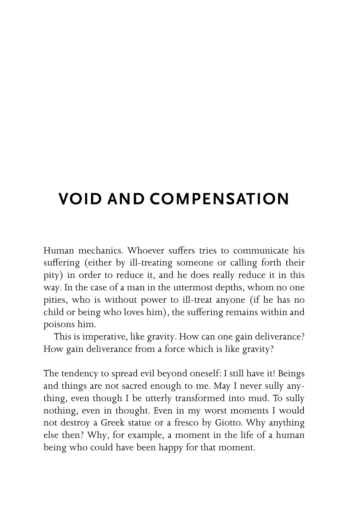### **VOID AND COMPENSATION**

Human mechanics. Whoever suffers tries to communicate his suffering (either by ill-treating someone or calling forth their pity) in order to reduce it, and he does really reduce it in this way. In the case of a man in the uttermost depths, whom no one pities, who is without power to ill-treat anyone (if he has no child or being who loves him), the suffering remains within and poisons him.

This is imperative, like gravity. How can one gain deliverance? How gain deliverance from a force which is like gravity?

The tendency to spread evil beyond oneself: I still have it! Beings and things are not sacred enough to me. May I never sully anything, even though I be utterly transformed into mud. To sully nothing, even in thought. Even in my worst moments I would not destroy a Greek statue or a fresco by Giotto. Why anything else then? Why, for example, a moment in the life of a human being who could have been happy for that moment.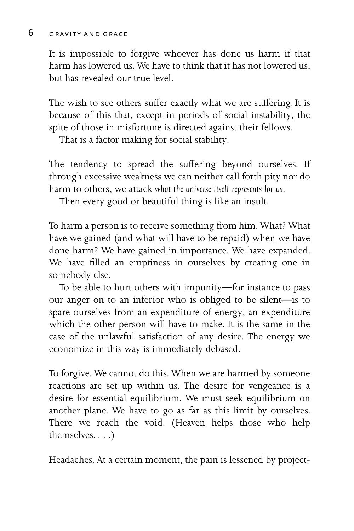It is impossible to forgive whoever has done us harm if that harm has lowered us. We have to think that it has not lowered us, but has revealed our true level.

The wish to see others suffer exactly what we are suffering. It is because of this that, except in periods of social instability, the spite of those in misfortune is directed against their fellows.

That is a factor making for social stability.

The tendency to spread the suffering beyond ourselves. If through excessive weakness we can neither call forth pity nor do harm to others, we attack *what the universe itself represents for us*.

Then every good or beautiful thing is like an insult.

To harm a person is to receive something from him. What? What have we gained (and what will have to be repaid) when we have done harm? We have gained in importance. We have expanded. We have filled an emptiness in ourselves by creating one in somebody else.

To be able to hurt others with impunity—for instance to pass our anger on to an inferior who is obliged to be silent—is to spare ourselves from an expenditure of energy, an expenditure which the other person will have to make. It is the same in the case of the unlawful satisfaction of any desire. The energy we economize in this way is immediately debased.

To forgive. We cannot do this. When we are harmed by someone reactions are set up within us. The desire for vengeance is a desire for essential equilibrium. We must seek equilibrium on another plane. We have to go as far as this limit by ourselves. There we reach the void. (Heaven helps those who help themselves. . . .)

Headaches. At a certain moment, the pain is lessened by project-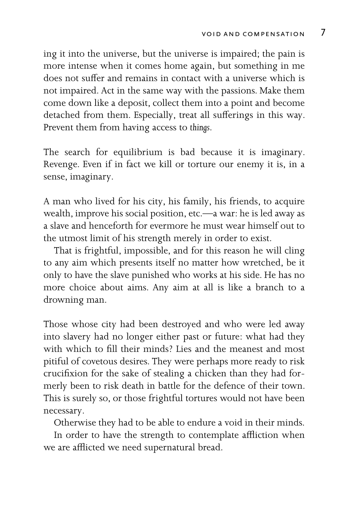ing it into the universe, but the universe is impaired; the pain is more intense when it comes home again, but something in me does not suffer and remains in contact with a universe which is not impaired. Act in the same way with the passions. Make them come down like a deposit, collect them into a point and become detached from them. Especially, treat all sufferings in this way. Prevent them from having access to *things*.

The search for equilibrium is bad because it is imaginary. Revenge. Even if in fact we kill or torture our enemy it is, in a sense, imaginary.

A man who lived for his city, his family, his friends, to acquire wealth, improve his social position, etc.—a war: he is led away as a slave and henceforth for evermore he must wear himself out to the utmost limit of his strength merely in order to exist.

That is frightful, impossible, and for this reason he will cling to any aim which presents itself no matter how wretched, be it only to have the slave punished who works at his side. He has no more choice about aims. Any aim at all is like a branch to a drowning man.

Those whose city had been destroyed and who were led away into slavery had no longer either past or future: what had they with which to fill their minds? Lies and the meanest and most pitiful of covetous desires. They were perhaps more ready to risk crucifixion for the sake of stealing a chicken than they had formerly been to risk death in battle for the defence of their town. This is surely so, or those frightful tortures would not have been necessary.

Otherwise they had to be able to endure a void in their minds.

In order to have the strength to contemplate affliction when we are afflicted we need supernatural bread.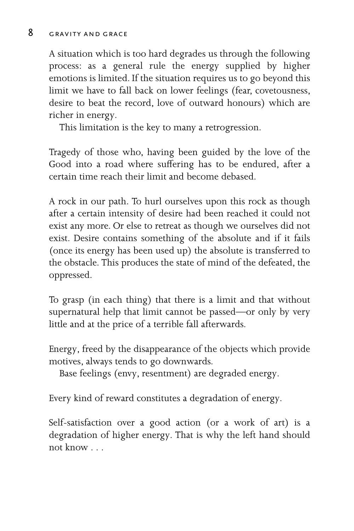A situation which is too hard degrades us through the following process: as a general rule the energy supplied by higher emotions is limited. If the situation requires us to go beyond this limit we have to fall back on lower feelings (fear, covetousness, desire to beat the record, love of outward honours) which are richer in energy.

This limitation is the key to many a retrogression.

Tragedy of those who, having been guided by the love of the Good into a road where suffering has to be endured, after a certain time reach their limit and become debased.

A rock in our path. To hurl ourselves upon this rock as though after a certain intensity of desire had been reached it could not exist any more. Or else to retreat as though we ourselves did not exist. Desire contains something of the absolute and if it fails (once its energy has been used up) the absolute is transferred to the obstacle. This produces the state of mind of the defeated, the oppressed.

To grasp (in each thing) that there is a limit and that without supernatural help that limit cannot be passed—or only by very little and at the price of a terrible fall afterwards.

Energy, freed by the disappearance of the objects which provide motives, always tends to go downwards.

Base feelings (envy, resentment) are degraded energy.

Every kind of reward constitutes a degradation of energy.

Self-satisfaction over a good action (or a work of art) is a degradation of higher energy. That is why the left hand should not know . . .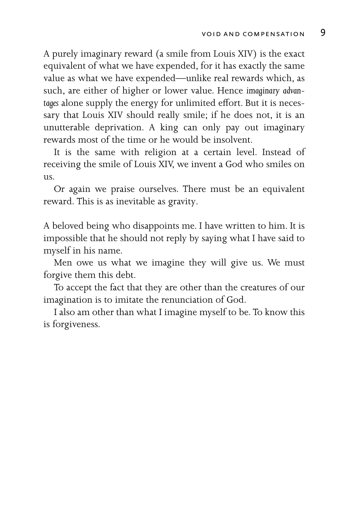A purely imaginary reward (a smile from Louis XIV) is the exact equivalent of what we have expended, for it has exactly the same value as what we have expended—unlike real rewards which, as such, are either of higher or lower value. Hence *imaginary advantages* alone supply the energy for unlimited effort. But it is necessary that Louis XIV should really smile; if he does not, it is an unutterable deprivation. A king can only pay out imaginary rewards most of the time or he would be insolvent.

It is the same with religion at a certain level. Instead of receiving the smile of Louis XIV, we invent a God who smiles on us.

Or again we praise ourselves. There must be an equivalent reward. This is as inevitable as gravity.

A beloved being who disappoints me. I have written to him. It is impossible that he should not reply by saying what I have said to myself in his name.

Men owe us what we imagine they will give us. We must forgive them this debt.

To accept the fact that they are other than the creatures of our imagination is to imitate the renunciation of God.

I also am other than what I imagine myself to be. To know this is forgiveness.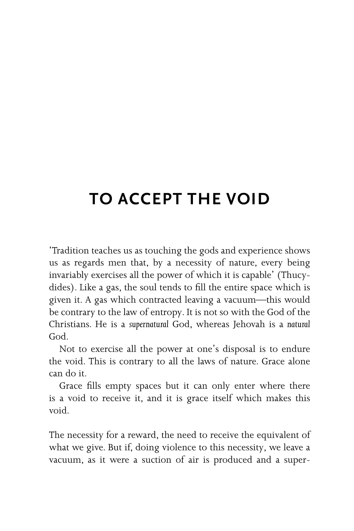### **TO ACCEPT THE VOID**

'Tradition teaches us as touching the gods and experience shows us as regards men that, by a necessity of nature, every being invariably exercises all the power of which it is capable' (Thucydides). Like a gas, the soul tends to fill the entire space which is given it. A gas which contracted leaving a vacuum—this would be contrary to the law of entropy. It is not so with the God of the Christians. He is a *supernatural* God, whereas Jehovah is a *natural* God.

Not to exercise all the power at one's disposal is to endure the void. This is contrary to all the laws of nature. Grace alone can do it.

Grace fills empty spaces but it can only enter where there is a void to receive it, and it is grace itself which makes this void.

The necessity for a reward, the need to receive the equivalent of what we give. But if, doing violence to this necessity, we leave a vacuum, as it were a suction of air is produced and a super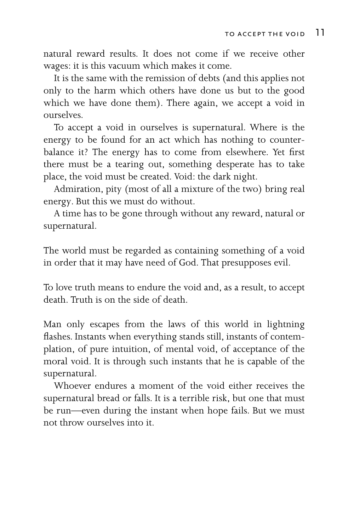natural reward results. It does not come if we receive other wages: it is this vacuum which makes it come.

It is the same with the remission of debts (and this applies not only to the harm which others have done us but to the good which we have done them). There again, we accept a void in ourselves.

To accept a void in ourselves is supernatural. Where is the energy to be found for an act which has nothing to counterbalance it? The energy has to come from elsewhere. Yet first there must be a tearing out, something desperate has to take place, the void must be created. Void: the dark night.

Admiration, pity (most of all a mixture of the two) bring real energy. But this we must do without.

A time has to be gone through without any reward, natural or supernatural.

The world must be regarded as containing something of a void in order that it may have need of God. That presupposes evil.

To love truth means to endure the void and, as a result, to accept death. Truth is on the side of death.

Man only escapes from the laws of this world in lightning flashes. Instants when everything stands still, instants of contemplation, of pure intuition, of mental void, of acceptance of the moral void. It is through such instants that he is capable of the supernatural.

Whoever endures a moment of the void either receives the supernatural bread or falls. It is a terrible risk, but one that must be run—even during the instant when hope fails. But we must not throw ourselves into it.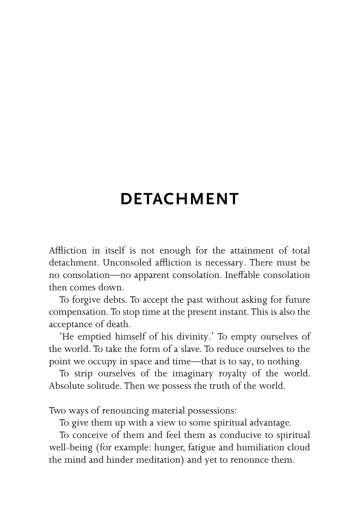### **DETACHMENT**

Affliction in itself is not enough for the attainment of total detachment. Unconsoled affliction is necessary. There must be no consolation—no apparent consolation. Ineffable consolation then comes down.

To forgive debts. To accept the past without asking for future compensation. To stop time at the present instant. This is also the acceptance of death.

'He emptied himself of his divinity.' To empty ourselves of the world. To take the form of a slave. To reduce ourselves to the point we occupy in space and time—that is to say, to nothing.

To strip ourselves of the imaginary royalty of the world. Absolute solitude. Then we possess the truth of the world.

Two ways of renouncing material possessions:

To give them up with a view to some spiritual advantage.

To conceive of them and feel them as conducive to spiritual well-being (for example: hunger, fatigue and humiliation cloud the mind and hinder meditation) and yet to renounce them.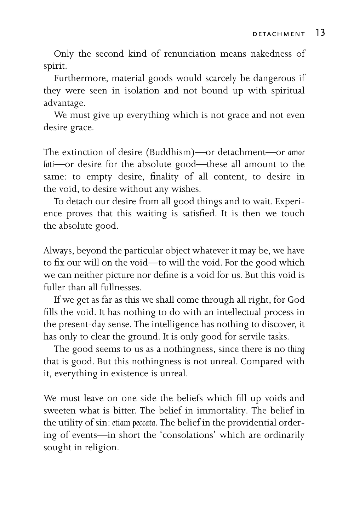Only the second kind of renunciation means nakedness of spirit.

Furthermore, material goods would scarcely be dangerous if they were seen in isolation and not bound up with spiritual advantage.

We must give up everything which is not grace and not even desire grace.

The extinction of desire (Buddhism)—or detachment—or *amor fati*—or desire for the absolute good—these all amount to the same: to empty desire, finality of all content, to desire in the void, to desire without any wishes.

To detach our desire from all good things and to wait. Experience proves that this waiting is satisfied. It is then we touch the absolute good.

Always, beyond the particular object whatever it may be, we have to fix our will on the void—to will the void. For the good which we can neither picture nor define is a void for us. But this void is fuller than all fullnesses.

If we get as far as this we shall come through all right, for God fills the void. It has nothing to do with an intellectual process in the present-day sense. The intelligence has nothing to discover, it has only to clear the ground. It is only good for servile tasks.

The good seems to us as a nothingness, since there is no *thing* that is good. But this nothingness is not unreal. Compared with it, everything in existence is unreal.

We must leave on one side the beliefs which fill up voids and sweeten what is bitter. The belief in immortality. The belief in the utility of sin: *etiam peccata*. The belief in the providential ordering of events—in short the 'consolations' which are ordinarily sought in religion.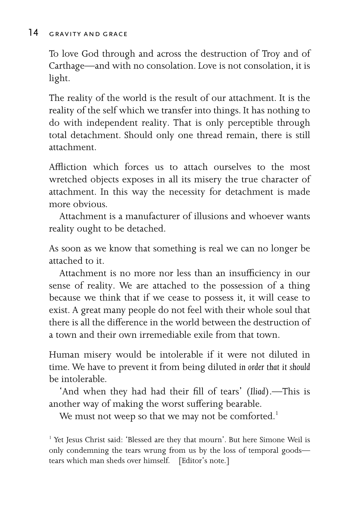#### 14 **GRAVITY AND GRACE**

To love God through and across the destruction of Troy and of Carthage—and with no consolation. Love is not consolation, it is light.

The reality of the world is the result of our attachment. It is the reality of the self which we transfer into things. It has nothing to do with independent reality. That is only perceptible through total detachment. Should only one thread remain, there is still attachment.

Affliction which forces us to attach ourselves to the most wretched objects exposes in all its misery the true character of attachment. In this way the necessity for detachment is made more obvious.

Attachment is a manufacturer of illusions and whoever wants reality ought to be detached.

As soon as we know that something is real we can no longer be attached to it.

Attachment is no more nor less than an insufficiency in our sense of reality. We are attached to the possession of a thing because we think that if we cease to possess it, it will cease to exist. A great many people do not feel with their whole soul that there is all the difference in the world between the destruction of a town and their own irremediable exile from that town.

Human misery would be intolerable if it were not diluted in time. We have to prevent it from being diluted *in order that it should* be intolerable.

'And when they had had their fill of tears' (*Iliad*).—This is another way of making the worst suffering bearable.

We must not weep so that we may not be comforted.<sup>1</sup>

<sup>&</sup>lt;sup>1</sup> Yet Jesus Christ said: 'Blessed are they that mourn'. But here Simone Weil is only condemning the tears wrung from us by the loss of temporal goods tears which man sheds over himself. [Editor's note.]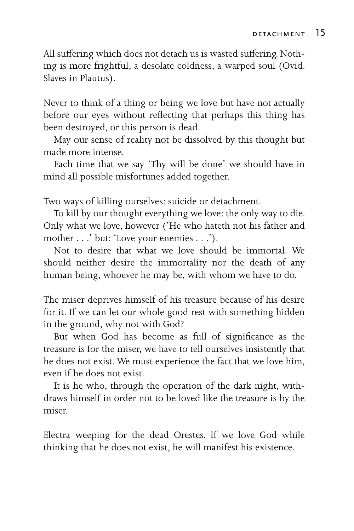All suffering which does not detach us is wasted suffering. Nothing is more frightful, a desolate coldness, a warped soul (Ovid. Slaves in Plautus).

Never to think of a thing or being we love but have not actually before our eyes without reflecting that perhaps this thing has been destroyed, or this person is dead.

May our sense of reality not be dissolved by this thought but made more intense.

Each time that we say 'Thy will be done' we should have in mind all possible misfortunes added together.

Two ways of killing ourselves: suicide or detachment.

To kill by our thought everything we love: the only way to die. Only what we love, however ('He who hateth not his father and mother . . .' but: 'Love your enemies . . .').

Not to desire that what we love should be immortal. We should neither desire the immortality nor the death of any human being, whoever he may be, with whom we have to do.

The miser deprives himself of his treasure because of his desire for it. If we can let our whole good rest with something hidden in the ground, why not with God?

But when God has become as full of significance as the treasure is for the miser, we have to tell ourselves insistently that he does not exist. We must experience the fact that we love him, even if he does not exist.

It is he who, through the operation of the dark night, withdraws himself in order not to be loved like the treasure is by the miser.

Electra weeping for the dead Orestes. If we love God while thinking that he does not exist, he will manifest his existence.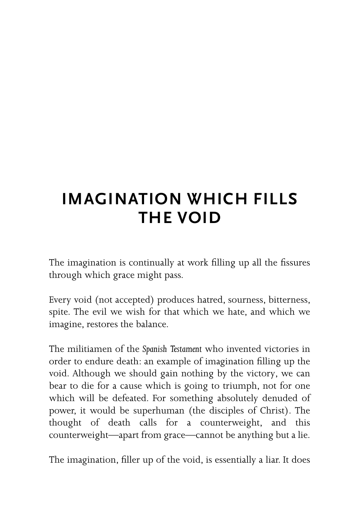## **IMAGINATION WHICH FILLS THE VOID**

The imagination is continually at work filling up all the fissures through which grace might pass.

Every void (not accepted) produces hatred, sourness, bitterness, spite. The evil we wish for that which we hate, and which we imagine, restores the balance.

The militiamen of the *Spanish Testament* who invented victories in order to endure death: an example of imagination filling up the void. Although we should gain nothing by the victory, we can bear to die for a cause which is going to triumph, not for one which will be defeated. For something absolutely denuded of power, it would be superhuman (the disciples of Christ). The thought of death calls for a counterweight, and this counterweight—apart from grace—cannot be anything but a lie.

The imagination, filler up of the void, is essentially a liar. It does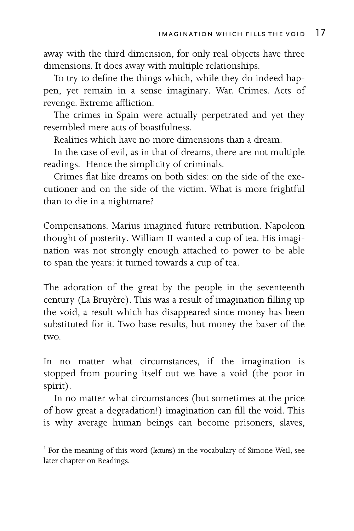away with the third dimension, for only real objects have three dimensions. It does away with multiple relationships.

To try to define the things which, while they do indeed happen, yet remain in a sense imaginary. War. Crimes. Acts of revenge. Extreme affliction.

The crimes in Spain were actually perpetrated and yet they resembled mere acts of boastfulness.

Realities which have no more dimensions than a dream.

In the case of evil, as in that of dreams, there are not multiple readings.<sup>1</sup> Hence the simplicity of criminals.

Crimes flat like dreams on both sides: on the side of the executioner and on the side of the victim. What is more frightful than to die in a nightmare?

Compensations. Marius imagined future retribution. Napoleon thought of posterity. William II wanted a cup of tea. His imagination was not strongly enough attached to power to be able to span the years: it turned towards a cup of tea.

The adoration of the great by the people in the seventeenth century (La Bruyère). This was a result of imagination filling up the void, a result which has disappeared since money has been substituted for it. Two base results, but money the baser of the two.

In no matter what circumstances, if the imagination is stopped from pouring itself out we have a void (the poor in spirit).

In no matter what circumstances (but sometimes at the price of how great a degradation!) imagination can fill the void. This is why average human beings can become prisoners, slaves,

<sup>1</sup> For the meaning of this word (*lectures*) in the vocabulary of Simone Weil, see later chapter on Readings.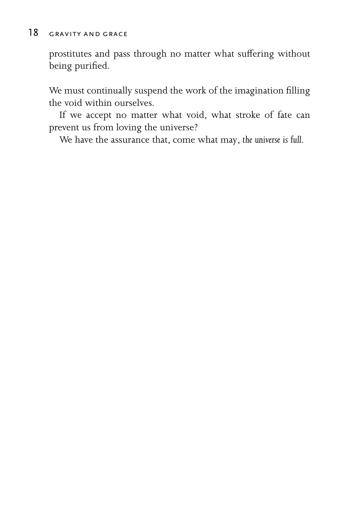### 18 GRAVITY AND GRACE

prostitutes and pass through no matter what suffering without being purified.

We must continually suspend the work of the imagination filling the void within ourselves.

If we accept no matter what void, what stroke of fate can prevent us from loving the universe?

We have the assurance that, come what may, *the universe is full.*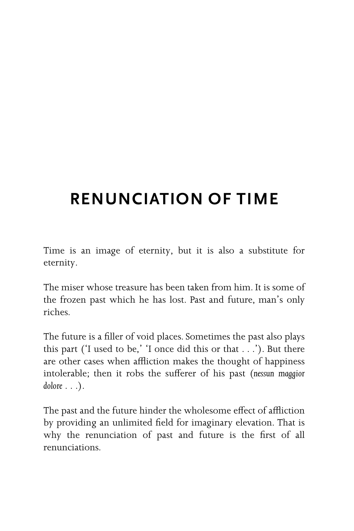## **RENUNCIATION OF TIME**

Time is an image of eternity, but it is also a substitute for eternity.

The miser whose treasure has been taken from him. It is some of the frozen past which he has lost. Past and future, man's only riches.

The future is a filler of void places. Sometimes the past also plays this part ('I used to be,' 'I once did this or that . . .'). But there are other cases when affliction makes the thought of happiness intolerable; then it robs the sufferer of his past (*nessun maggior dolore* . . .).

The past and the future hinder the wholesome effect of affliction by providing an unlimited field for imaginary elevation. That is why the renunciation of past and future is the first of all renunciations.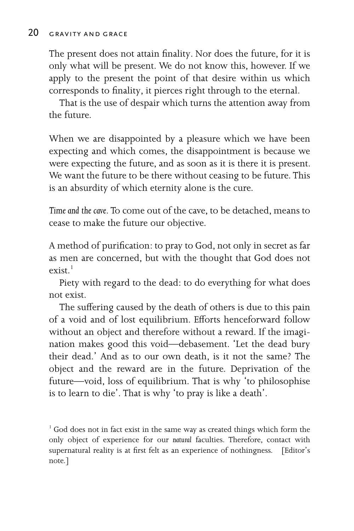The present does not attain finality. Nor does the future, for it is only what will be present. We do not know this, however. If we apply to the present the point of that desire within us which corresponds to finality, it pierces right through to the eternal.

That is the use of despair which turns the attention away from the future.

When we are disappointed by a pleasure which we have been expecting and which comes, the disappointment is because we were expecting the future, and as soon as it is there it is present. We want the future to be there without ceasing to be future. This is an absurdity of which eternity alone is the cure.

*Time and the cave*. To come out of the cave, to be detached, means to cease to make the future our objective.

A method of purification: to pray to God, not only in secret as far as men are concerned, but with the thought that God does not  $exist.<sup>1</sup>$ 

Piety with regard to the dead: to do everything for what does not exist.

The suffering caused by the death of others is due to this pain of a void and of lost equilibrium. Efforts henceforward follow without an object and therefore without a reward. If the imagination makes good this void—debasement. 'Let the dead bury their dead.' And as to our own death, is it not the same? The object and the reward are in the future. Deprivation of the future—void, loss of equilibrium. That is why 'to philosophise is to learn to die'. That is why 'to pray is like a death'.

<sup>1</sup> God does not in fact exist in the same way as created things which form the only object of experience for our *natural* faculties. Therefore, contact with supernatural reality is at first felt as an experience of nothingness. [Editor's note.]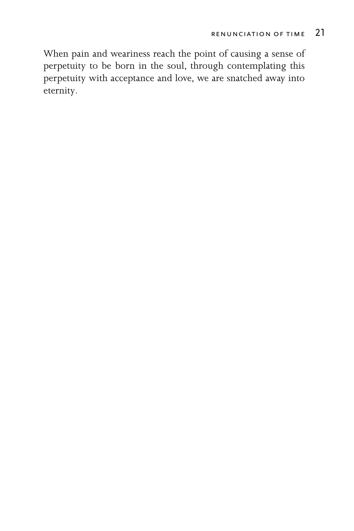When pain and weariness reach the point of causing a sense of perpetuity to be born in the soul, through contemplating this perpetuity with acceptance and love, we are snatched away into eternity.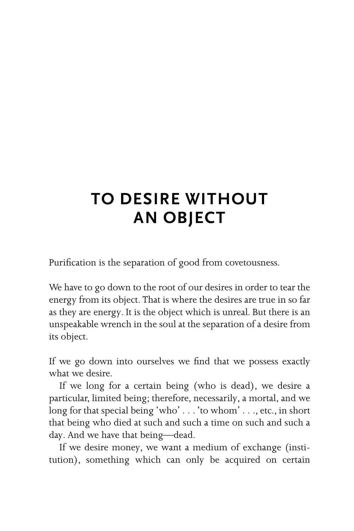## **TO DESIRE WITHOUT AN OBJECT**

Purification is the separation of good from covetousness.

We have to go down to the root of our desires in order to tear the energy from its object. That is where the desires are true in so far as they are energy. It is the object which is unreal. But there is an unspeakable wrench in the soul at the separation of a desire from its object.

If we go down into ourselves we find that we possess exactly what we desire.

If we long for a certain being (who is dead), we desire a particular, limited being; therefore, necessarily, a mortal, and we long for that special being 'who' . . . 'to whom' . . ., etc., in short that being who died at such and such a time on such and such a day. And we have that being—dead.

If we desire money, we want a medium of exchange (institution), something which can only be acquired on certain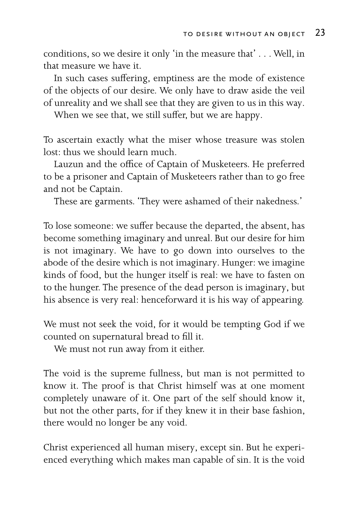conditions, so we desire it only 'in the measure that' . . . Well, in that measure we have it.

In such cases suffering, emptiness are the mode of existence of the objects of our desire. We only have to draw aside the veil of unreality and we shall see that they are given to us in this way.

When we see that, we still suffer, but we are happy.

To ascertain exactly what the miser whose treasure was stolen lost: thus we should learn much.

Lauzun and the office of Captain of Musketeers. He preferred to be a prisoner and Captain of Musketeers rather than to go free and not be Captain.

These are garments. 'They were ashamed of their nakedness.'

To lose someone: we suffer because the departed, the absent, has become something imaginary and unreal. But our desire for him is not imaginary. We have to go down into ourselves to the abode of the desire which is not imaginary. Hunger: we imagine kinds of food, but the hunger itself is real: we have to fasten on to the hunger. The presence of the dead person is imaginary, but his absence is very real: henceforward it is his way of appearing.

We must not seek the void, for it would be tempting God if we counted on supernatural bread to fill it.

We must not run away from it either.

The void is the supreme fullness, but man is not permitted to know it. The proof is that Christ himself was at one moment completely unaware of it. One part of the self should know it, but not the other parts, for if they knew it in their base fashion, there would no longer be any void.

Christ experienced all human misery, except sin. But he experienced everything which makes man capable of sin. It is the void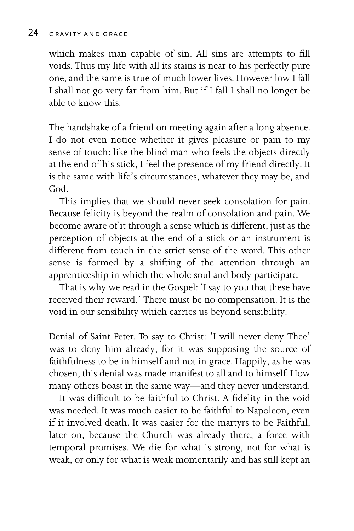which makes man capable of sin. All sins are attempts to fill voids. Thus my life with all its stains is near to his perfectly pure one, and the same is true of much lower lives. However low I fall I shall not go very far from him. But if I fall I shall no longer be able to know this.

The handshake of a friend on meeting again after a long absence. I do not even notice whether it gives pleasure or pain to my sense of touch: like the blind man who feels the objects directly at the end of his stick, I feel the presence of my friend directly. It is the same with life's circumstances, whatever they may be, and God.

This implies that we should never seek consolation for pain. Because felicity is beyond the realm of consolation and pain. We become aware of it through a sense which is different, just as the perception of objects at the end of a stick or an instrument is different from touch in the strict sense of the word. This other sense is formed by a shifting of the attention through an apprenticeship in which the whole soul and body participate.

That is why we read in the Gospel: 'I say to you that these have received their reward.' There must be no compensation. It is the void in our sensibility which carries us beyond sensibility.

Denial of Saint Peter. To say to Christ: 'I will never deny Thee' was to deny him already, for it was supposing the source of faithfulness to be in himself and not in grace. Happily, as he was chosen, this denial was made manifest to all and to himself. How many others boast in the same way—and they never understand.

It was difficult to be faithful to Christ. A fidelity in the void was needed. It was much easier to be faithful to Napoleon, even if it involved death. It was easier for the martyrs to be Faithful, later on, because the Church was already there, a force with temporal promises. We die for what is strong, not for what is weak, or only for what is weak momentarily and has still kept an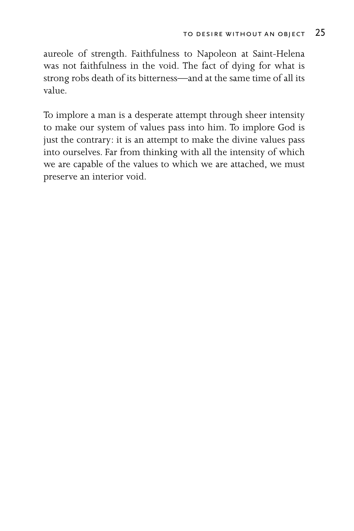aureole of strength. Faithfulness to Napoleon at Saint-Helena was not faithfulness in the void. The fact of dying for what is strong robs death of its bitterness—and at the same time of all its value.

To implore a man is a desperate attempt through sheer intensity to make our system of values pass into him. To implore God is just the contrary: it is an attempt to make the divine values pass into ourselves. Far from thinking with all the intensity of which we are capable of the values to which we are attached, we must preserve an interior void.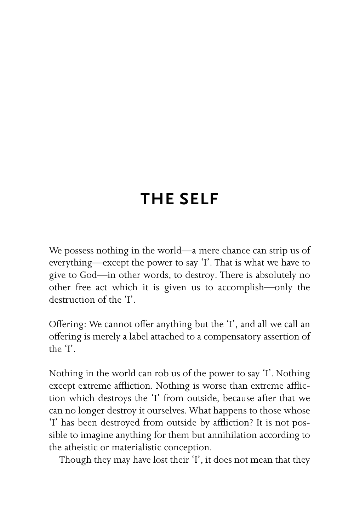# **THE SELF**

We possess nothing in the world—a mere chance can strip us of everything—except the power to say 'I'. That is what we have to give to God—in other words, to destroy. There is absolutely no other free act which it is given us to accomplish—only the destruction of the 'I'.

Offering: We cannot offer anything but the 'I', and all we call an offering is merely a label attached to a compensatory assertion of the 'I'.

Nothing in the world can rob us of the power to say 'I'. Nothing except extreme affliction. Nothing is worse than extreme affliction which destroys the 'I' from outside, because after that we can no longer destroy it ourselves. What happens to those whose 'I' has been destroyed from outside by affliction? It is not possible to imagine anything for them but annihilation according to the atheistic or materialistic conception.

Though they may have lost their 'I', it does not mean that they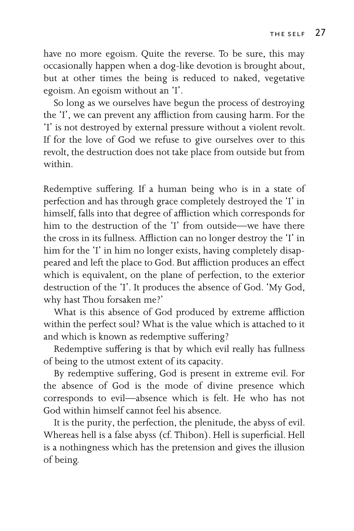have no more egoism. Quite the reverse. To be sure, this may occasionally happen when a dog-like devotion is brought about, but at other times the being is reduced to naked, vegetative egoism. An egoism without an 'I'.

So long as we ourselves have begun the process of destroying the 'I', we can prevent any affliction from causing harm. For the 'I' is not destroyed by external pressure without a violent revolt. If for the love of God we refuse to give ourselves over to this revolt, the destruction does not take place from outside but from within.

Redemptive suffering. If a human being who is in a state of perfection and has through grace completely destroyed the 'I' in himself, falls into that degree of affliction which corresponds for him to the destruction of the 'I' from outside—we have there the cross in its fullness. Affliction can no longer destroy the 'I' in him for the 'I' in him no longer exists, having completely disappeared and left the place to God. But affliction produces an effect which is equivalent, on the plane of perfection, to the exterior destruction of the 'I'. It produces the absence of God. 'My God, why hast Thou forsaken me?'

What is this absence of God produced by extreme affliction within the perfect soul? What is the value which is attached to it and which is known as redemptive suffering?

Redemptive suffering is that by which evil really has fullness of being to the utmost extent of its capacity.

By redemptive suffering, God is present in extreme evil. For the absence of God is the mode of divine presence which corresponds to evil—absence which is felt. He who has not God within himself cannot feel his absence.

It is the purity, the perfection, the plenitude, the abyss of evil. Whereas hell is a false abyss (cf. Thibon). Hell is superficial. Hell is a nothingness which has the pretension and gives the illusion of being.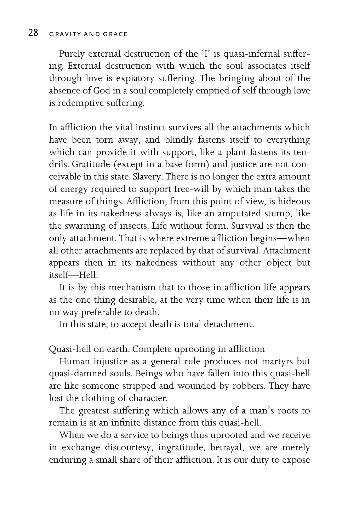Purely external destruction of the 'I' is quasi-infernal suffering. External destruction with which the soul associates itself through love is expiatory suffering. The bringing about of the absence of God in a soul completely emptied of self through love is redemptive suffering.

In affliction the vital instinct survives all the attachments which have been torn away, and blindly fastens itself to everything which can provide it with support, like a plant fastens its tendrils. Gratitude (except in a base form) and justice are not conceivable in this state. Slavery. There is no longer the extra amount of energy required to support free-will by which man takes the measure of things. Affliction, from this point of view, is hideous as life in its nakedness always is, like an amputated stump, like the swarming of insects. Life without form. Survival is then the only attachment. That is where extreme affliction begins—when all other attachments are replaced by that of survival. Attachment appears then in its nakedness without any other object but itself—Hell.

It is by this mechanism that to those in affliction life appears as the one thing desirable, at the very time when their life is in no way preferable to death.

In this state, to accept death is total detachment.

Quasi-hell on earth. Complete uprooting in affliction

Human injustice as a general rule produces not martyrs but quasi-damned souls. Beings who have fallen into this quasi-hell are like someone stripped and wounded by robbers. They have lost the clothing of character.

The greatest suffering which allows any of a man's roots to remain is at an infinite distance from this quasi-hell.

When we do a service to beings thus uprooted and we receive in exchange discourtesy, ingratitude, betrayal, we are merely enduring a small share of their affliction. It is our duty to expose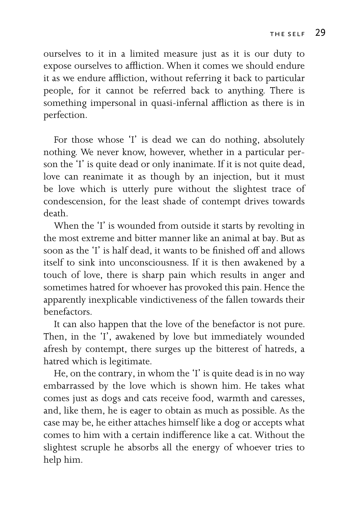ourselves to it in a limited measure just as it is our duty to expose ourselves to affliction. When it comes we should endure it as we endure affliction, without referring it back to particular people, for it cannot be referred back to anything. There is something impersonal in quasi-infernal affliction as there is in perfection.

For those whose 'I' is dead we can do nothing, absolutely nothing. We never know, however, whether in a particular person the 'I' is quite dead or only inanimate. If it is not quite dead, love can reanimate it as though by an injection, but it must be love which is utterly pure without the slightest trace of condescension, for the least shade of contempt drives towards death.

When the 'I' is wounded from outside it starts by revolting in the most extreme and bitter manner like an animal at bay. But as soon as the 'I' is half dead, it wants to be finished off and allows itself to sink into unconsciousness. If it is then awakened by a touch of love, there is sharp pain which results in anger and sometimes hatred for whoever has provoked this pain. Hence the apparently inexplicable vindictiveness of the fallen towards their benefactors.

It can also happen that the love of the benefactor is not pure. Then, in the 'I', awakened by love but immediately wounded afresh by contempt, there surges up the bitterest of hatreds, a hatred which is legitimate.

He, on the contrary, in whom the 'I' is quite dead is in no way embarrassed by the love which is shown him. He takes what comes just as dogs and cats receive food, warmth and caresses, and, like them, he is eager to obtain as much as possible. As the case may be, he either attaches himself like a dog or accepts what comes to him with a certain indifference like a cat. Without the slightest scruple he absorbs all the energy of whoever tries to help him.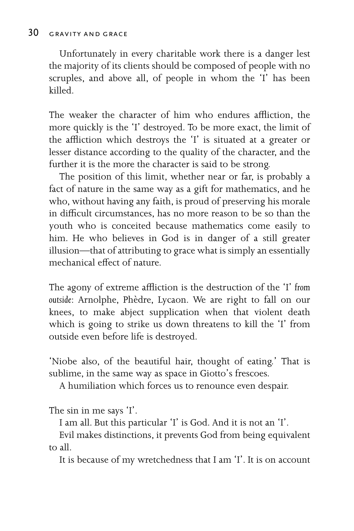Unfortunately in every charitable work there is a danger lest the majority of its clients should be composed of people with no scruples, and above all, of people in whom the 'I' has been killed.

The weaker the character of him who endures affliction, the more quickly is the 'I' destroyed. To be more exact, the limit of the affliction which destroys the 'I' is situated at a greater or lesser distance according to the quality of the character, and the further it is the more the character is said to be strong.

The position of this limit, whether near or far, is probably a fact of nature in the same way as a gift for mathematics, and he who, without having any faith, is proud of preserving his morale in difficult circumstances, has no more reason to be so than the youth who is conceited because mathematics come easily to him. He who believes in God is in danger of a still greater illusion—that of attributing to grace what is simply an essentially mechanical effect of nature.

The agony of extreme affliction is the destruction of the 'I' *from outside*: Arnolphe, Phèdre, Lycaon. We are right to fall on our knees, to make abject supplication when that violent death which is going to strike us down threatens to kill the 'I' from outside even before life is destroyed.

'Niobe also, of the beautiful hair, thought of eating.' That is sublime, in the same way as space in Giotto's frescoes.

A humiliation which forces us to renounce even despair.

The sin in me says 'I'.

I am all. But this particular 'I' is God. And it is not an 'I'.

Evil makes distinctions, it prevents God from being equivalent to all.

It is because of my wretchedness that I am 'I'. It is on account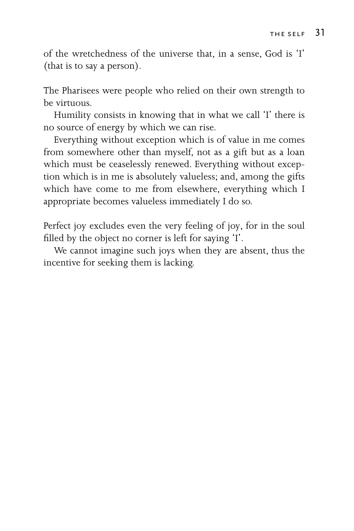of the wretchedness of the universe that, in a sense, God is 'I' (that is to say a person).

The Pharisees were people who relied on their own strength to be virtuous.

Humility consists in knowing that in what we call 'I' there is no source of energy by which we can rise.

Everything without exception which is of value in me comes from somewhere other than myself, not as a gift but as a loan which must be ceaselessly renewed. Everything without exception which is in me is absolutely valueless; and, among the gifts which have come to me from elsewhere, everything which I appropriate becomes valueless immediately I do so.

Perfect joy excludes even the very feeling of joy, for in the soul filled by the object no corner is left for saying 'I'.

We cannot imagine such joys when they are absent, thus the incentive for seeking them is lacking.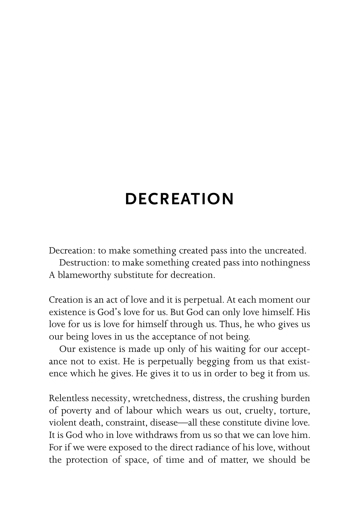### **DECREATION**

Decreation: to make something created pass into the uncreated.

Destruction: to make something created pass into nothingness A blameworthy substitute for decreation.

Creation is an act of love and it is perpetual. At each moment our existence is God's love for us. But God can only love himself. His love for us is love for himself through us. Thus, he who gives us our being loves in us the acceptance of not being.

Our existence is made up only of his waiting for our acceptance not to exist. He is perpetually begging from us that existence which he gives. He gives it to us in order to beg it from us.

Relentless necessity, wretchedness, distress, the crushing burden of poverty and of labour which wears us out, cruelty, torture, violent death, constraint, disease—all these constitute divine love. It is God who in love withdraws from us so that we can love him. For if we were exposed to the direct radiance of his love, without the protection of space, of time and of matter, we should be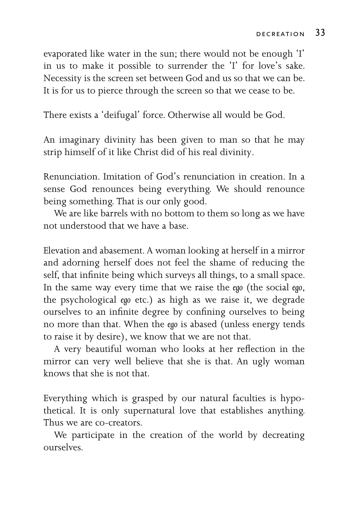evaporated like water in the sun; there would not be enough 'I' in us to make it possible to surrender the 'I' for love's sake. Necessity is the screen set between God and us so that we can be. It is for us to pierce through the screen so that we cease to be.

There exists a 'deifugal' force. Otherwise all would be God.

An imaginary divinity has been given to man so that he may strip himself of it like Christ did of his real divinity.

Renunciation. Imitation of God's renunciation in creation. In a sense God renounces being everything. We should renounce being something. That is our only good.

We are like barrels with no bottom to them so long as we have not understood that we have a base.

Elevation and abasement. A woman looking at herself in a mirror and adorning herself does not feel the shame of reducing the self, that infinite being which surveys all things, to a small space. In the same way every time that we raise the *ego* (the social *ego*, the psychological *ego* etc.) as high as we raise it, we degrade ourselves to an infinite degree by confining ourselves to being no more than that. When the *ego* is abased (unless energy tends to raise it by desire), we know that we are not that.

A very beautiful woman who looks at her reflection in the mirror can very well believe that she is that. An ugly woman knows that she is not that.

Everything which is grasped by our natural faculties is hypothetical. It is only supernatural love that establishes anything. Thus we are co-creators.

We participate in the creation of the world by decreating ourselves.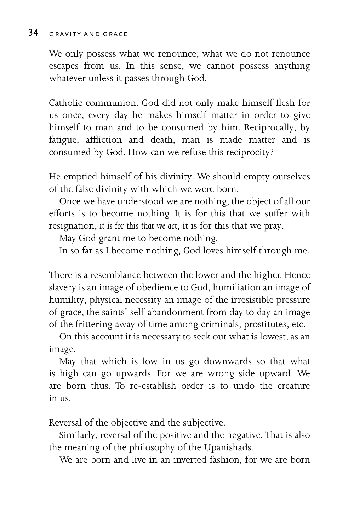#### 34 gravity and grace

We only possess what we renounce; what we do not renounce escapes from us. In this sense, we cannot possess anything whatever unless it passes through God.

Catholic communion. God did not only make himself flesh for us once, every day he makes himself matter in order to give himself to man and to be consumed by him. Reciprocally, by fatigue, affliction and death, man is made matter and is consumed by God. How can we refuse this reciprocity?

He emptied himself of his divinity. We should empty ourselves of the false divinity with which we were born.

Once we have understood we are nothing, the object of all our efforts is to become nothing. It is for this that we suffer with resignation, *it is for this that we act*, it is for this that we pray.

May God grant me to become nothing.

In so far as I become nothing, God loves himself through me.

There is a resemblance between the lower and the higher. Hence slavery is an image of obedience to God, humiliation an image of humility, physical necessity an image of the irresistible pressure of grace, the saints' self-abandonment from day to day an image of the frittering away of time among criminals, prostitutes, etc.

On this account it is necessary to seek out what is lowest, as an image.

May that which is low in us go downwards so that what is high can go upwards. For we are wrong side upward. We are born thus. To re-establish order is to undo the creature in us.

Reversal of the objective and the subjective.

Similarly, reversal of the positive and the negative. That is also the meaning of the philosophy of the Upanishads.

We are born and live in an inverted fashion, for we are born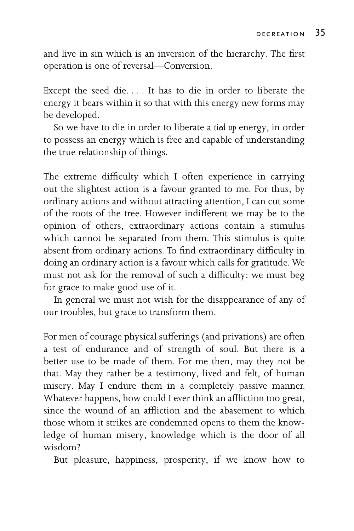and live in sin which is an inversion of the hierarchy. The first operation is one of reversal—Conversion.

Except the seed die. . . . It has to die in order to liberate the energy it bears within it so that with this energy new forms may be developed.

So we have to die in order to liberate a *tied up* energy, in order to possess an energy which is free and capable of understanding the true relationship of things.

The extreme difficulty which I often experience in carrying out the slightest action is a favour granted to me. For thus, by ordinary actions and without attracting attention, I can cut some of the roots of the tree. However indifferent we may be to the opinion of others, extraordinary actions contain a stimulus which cannot be separated from them. This stimulus is quite absent from ordinary actions. To find extraordinary difficulty in doing an ordinary action is a favour which calls for gratitude. We must not ask for the removal of such a difficulty: we must beg for grace to make good use of it.

In general we must not wish for the disappearance of any of our troubles, but grace to transform them.

For men of courage physical sufferings (and privations) are often a test of endurance and of strength of soul. But there is a better use to be made of them. For me then, may they not be that. May they rather be a testimony, lived and felt, of human misery. May I endure them in a completely passive manner. Whatever happens, how could I ever think an affliction too great, since the wound of an affliction and the abasement to which those whom it strikes are condemned opens to them the knowledge of human misery, knowledge which is the door of all wisdom?

But pleasure, happiness, prosperity, if we know how to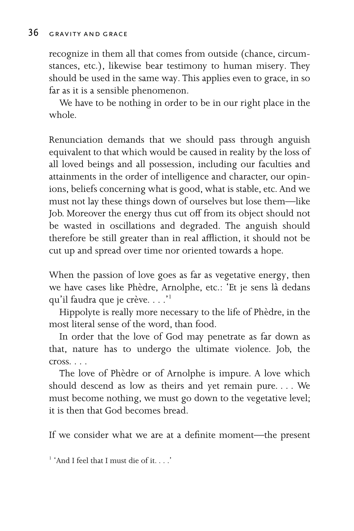recognize in them all that comes from outside (chance, circumstances, etc.), likewise bear testimony to human misery. They should be used in the same way. This applies even to grace, in so far as it is a sensible phenomenon.

We have to be nothing in order to be in our right place in the whole.

Renunciation demands that we should pass through anguish equivalent to that which would be caused in reality by the loss of all loved beings and all possession, including our faculties and attainments in the order of intelligence and character, our opinions, beliefs concerning what is good, what is stable, etc. And we must not lay these things down of ourselves but lose them—like Job. Moreover the energy thus cut off from its object should not be wasted in oscillations and degraded. The anguish should therefore be still greater than in real affliction, it should not be cut up and spread over time nor oriented towards a hope.

When the passion of love goes as far as vegetative energy, then we have cases like Phèdre, Arnolphe, etc.: 'Et je sens là dedans qu'il faudra que je crève. . . .'1

Hippolyte is really more necessary to the life of Phèdre, in the most literal sense of the word, than food.

In order that the love of God may penetrate as far down as that, nature has to undergo the ultimate violence. Job, the cross. . . .

The love of Phèdre or of Arnolphe is impure. A love which should descend as low as theirs and yet remain pure. . . . We must become nothing, we must go down to the vegetative level; it is then that God becomes bread.

If we consider what we are at a definite moment—the present

 $1$  'And I feel that I must die of it....'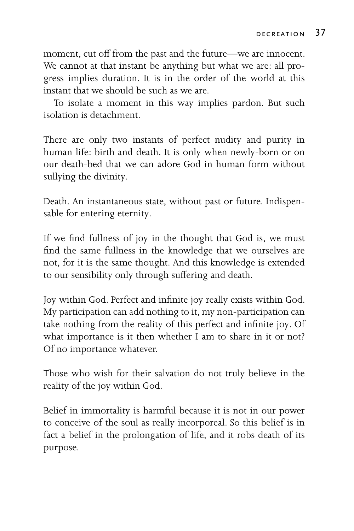moment, cut off from the past and the future—we are innocent. We cannot at that instant be anything but what we are: all progress implies duration. It is in the order of the world at this instant that we should be such as we are.

To isolate a moment in this way implies pardon. But such isolation is detachment.

There are only two instants of perfect nudity and purity in human life: birth and death. It is only when newly-born or on our death-bed that we can adore God in human form without sullying the divinity.

Death. An instantaneous state, without past or future. Indispensable for entering eternity.

If we find fullness of joy in the thought that God is, we must find the same fullness in the knowledge that we ourselves are not, for it is the same thought. And this knowledge is extended to our sensibility only through suffering and death.

Joy within God. Perfect and infinite joy really exists within God. My participation can add nothing to it, my non-participation can take nothing from the reality of this perfect and infinite joy. Of what importance is it then whether I am to share in it or not? Of no importance whatever.

Those who wish for their salvation do not truly believe in the reality of the joy within God.

Belief in immortality is harmful because it is not in our power to conceive of the soul as really incorporeal. So this belief is in fact a belief in the prolongation of life, and it robs death of its purpose.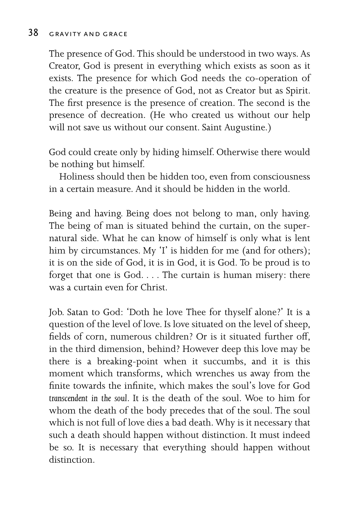#### 38 gravity and grace

The presence of God. This should be understood in two ways. As Creator, God is present in everything which exists as soon as it exists. The presence for which God needs the co-operation of the creature is the presence of God, not as Creator but as Spirit. The first presence is the presence of creation. The second is the presence of decreation. (He who created us without our help will not save us without our consent. Saint Augustine.)

God could create only by hiding himself. Otherwise there would be nothing but himself.

Holiness should then be hidden too, even from consciousness in a certain measure. And it should be hidden in the world.

Being and having. Being does not belong to man, only having. The being of man is situated behind the curtain, on the supernatural side. What he can know of himself is only what is lent him by circumstances. My 'I' is hidden for me (and for others); it is on the side of God, it is in God, it is God. To be proud is to forget that one is God. . . . The curtain is human misery: there was a curtain even for Christ.

Job. Satan to God: 'Doth he love Thee for thyself alone?' It is a question of the level of love. Is love situated on the level of sheep, fields of corn, numerous children? Or is it situated further off, in the third dimension, behind? However deep this love may be there is a breaking-point when it succumbs, and it is this moment which transforms, which wrenches us away from the finite towards the infinite, which makes the soul's love for God *transcendent in the soul*. It is the death of the soul. Woe to him for whom the death of the body precedes that of the soul. The soul which is not full of love dies a bad death. Why is it necessary that such a death should happen without distinction. It must indeed be so. It is necessary that everything should happen without distinction.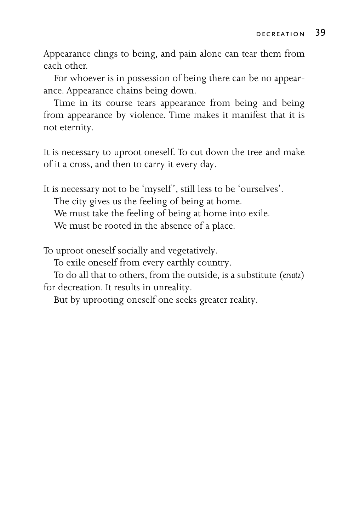Appearance clings to being, and pain alone can tear them from each other.

For whoever is in possession of being there can be no appearance. Appearance chains being down.

Time in its course tears appearance from being and being from appearance by violence. Time makes it manifest that it is not eternity.

It is necessary to uproot oneself. To cut down the tree and make of it a cross, and then to carry it every day.

It is necessary not to be 'myself', still less to be 'ourselves'. The city gives us the feeling of being at home. We must take the feeling of being at home into exile. We must be rooted in the absence of a place.

To uproot oneself socially and vegetatively.

To exile oneself from every earthly country.

To do all that to others, from the outside, is a substitute (*ersatz*) for decreation. It results in unreality.

But by uprooting oneself one seeks greater reality.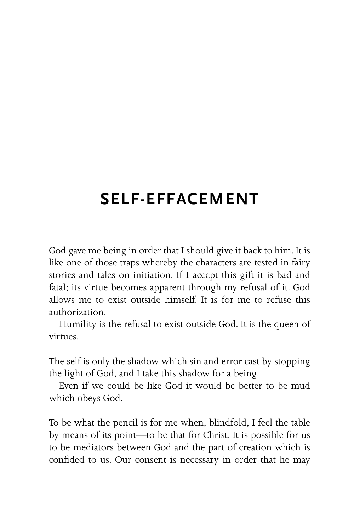### **SELF-EFFACEMENT**

God gave me being in order that I should give it back to him. It is like one of those traps whereby the characters are tested in fairy stories and tales on initiation. If I accept this gift it is bad and fatal; its virtue becomes apparent through my refusal of it. God allows me to exist outside himself. It is for me to refuse this authorization.

Humility is the refusal to exist outside God. It is the queen of virtues.

The self is only the shadow which sin and error cast by stopping the light of God, and I take this shadow for a being.

Even if we could be like God it would be better to be mud which obeys God.

To be what the pencil is for me when, blindfold, I feel the table by means of its point—to be that for Christ. It is possible for us to be mediators between God and the part of creation which is confided to us. Our consent is necessary in order that he may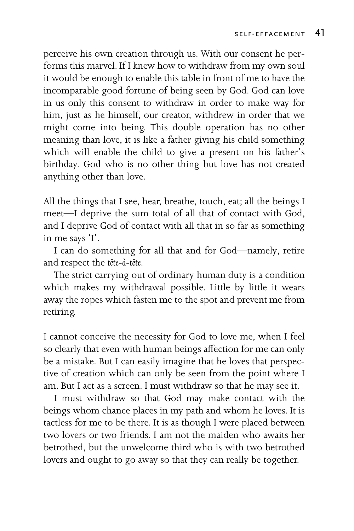perceive his own creation through us. With our consent he performs this marvel. If I knew how to withdraw from my own soul it would be enough to enable this table in front of me to have the incomparable good fortune of being seen by God. God can love in us only this consent to withdraw in order to make way for him, just as he himself, our creator, withdrew in order that we might come into being. This double operation has no other meaning than love, it is like a father giving his child something which will enable the child to give a present on his father's birthday. God who is no other thing but love has not created anything other than love.

All the things that I see, hear, breathe, touch, eat; all the beings I meet—I deprive the sum total of all that of contact with God, and I deprive God of contact with all that in so far as something in me says 'I'.

I can do something for all that and for God—namely, retire and respect the *tête-à-tête*.

The strict carrying out of ordinary human duty is a condition which makes my withdrawal possible. Little by little it wears away the ropes which fasten me to the spot and prevent me from retiring.

I cannot conceive the necessity for God to love me, when I feel so clearly that even with human beings affection for me can only be a mistake. But I can easily imagine that he loves that perspective of creation which can only be seen from the point where I am. But I act as a screen. I must withdraw so that he may see it.

I must withdraw so that God may make contact with the beings whom chance places in my path and whom he loves. It is tactless for me to be there. It is as though I were placed between two lovers or two friends. I am not the maiden who awaits her betrothed, but the unwelcome third who is with two betrothed lovers and ought to go away so that they can really be together.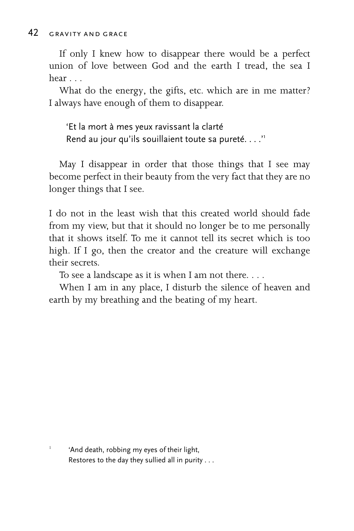If only I knew how to disappear there would be a perfect union of love between God and the earth I tread, the sea I hear . . .

What do the energy, the gifts, etc. which are in me matter? I always have enough of them to disappear.

'Et la mort à mes yeux ravissant la clarté Rend au jour qu'ils souillaient toute sa pureté. . . .'<sup>1</sup>

May I disappear in order that those things that I see may become perfect in their beauty from the very fact that they are no longer things that I see.

I do not in the least wish that this created world should fade from my view, but that it should no longer be to me personally that it shows itself. To me it cannot tell its secret which is too high. If I go, then the creator and the creature will exchange their secrets.

To see a landscape as it is when I am not there....

When I am in any place, I disturb the silence of heaven and earth by my breathing and the beating of my heart.

 $1$  'And death, robbing my eyes of their light, Restores to the day they sullied all in purity . . .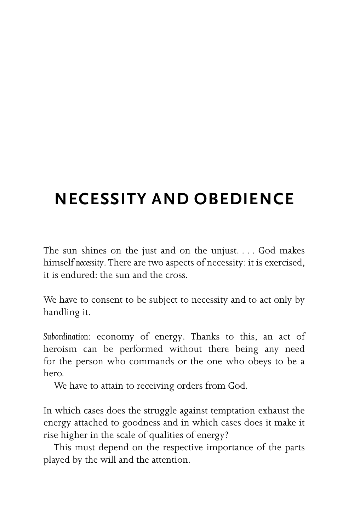## **NECESSITY AND OBEDIENCE**

The sun shines on the just and on the unjust. . . . God makes himself *necessity*. There are two aspects of necessity: it is exercised, it is endured: the sun and the cross.

We have to consent to be subject to necessity and to act only by handling it.

*Subordination*: economy of energy. Thanks to this, an act of heroism can be performed without there being any need for the person who commands or the one who obeys to be a hero.

We have to attain to receiving orders from God.

In which cases does the struggle against temptation exhaust the energy attached to goodness and in which cases does it make it rise higher in the scale of qualities of energy?

This must depend on the respective importance of the parts played by the will and the attention.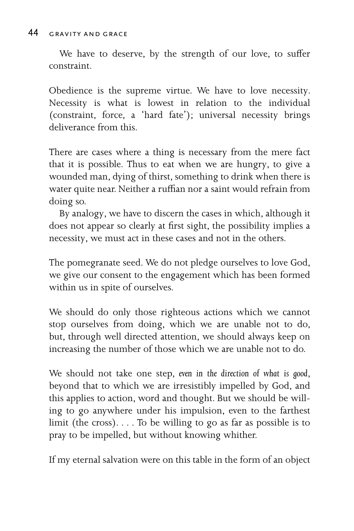We have to deserve, by the strength of our love, to suffer constraint.

Obedience is the supreme virtue. We have to love necessity. Necessity is what is lowest in relation to the individual (constraint, force, a 'hard fate'); universal necessity brings deliverance from this.

There are cases where a thing is necessary from the mere fact that it is possible. Thus to eat when we are hungry, to give a wounded man, dying of thirst, something to drink when there is water quite near. Neither a ruffian nor a saint would refrain from doing so.

By analogy, we have to discern the cases in which, although it does not appear so clearly at first sight, the possibility implies a necessity, we must act in these cases and not in the others.

The pomegranate seed. We do not pledge ourselves to love God, we give our consent to the engagement which has been formed within us in spite of ourselves.

We should do only those righteous actions which we cannot stop ourselves from doing, which we are unable not to do, but, through well directed attention, we should always keep on increasing the number of those which we are unable not to do.

We should not take one step, *even in the direction of what is good*, beyond that to which we are irresistibly impelled by God, and this applies to action, word and thought. But we should be willing to go anywhere under his impulsion, even to the farthest limit (the cross). . . . To be willing to go as far as possible is to pray to be impelled, but without knowing whither.

If my eternal salvation were on this table in the form of an object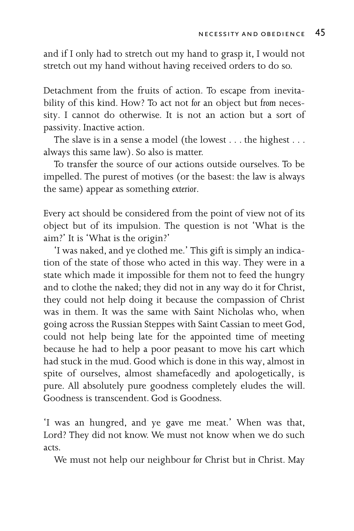and if I only had to stretch out my hand to grasp it, I would not stretch out my hand without having received orders to do so.

Detachment from the fruits of action. To escape from inevitability of this kind. How? To act not *for* an object but *from* necessity. I cannot do otherwise. It is not an action but a sort of passivity. Inactive action.

The slave is in a sense a model (the lowest . . . the highest . . . always this same law). So also is matter.

To transfer the source of our actions outside ourselves. To be impelled. The purest of motives (or the basest: the law is always the same) appear as something *exterior*.

Every act should be considered from the point of view not of its object but of its impulsion. The question is not 'What is the aim?' It is 'What is the origin?'

'I was naked, and ye clothed me.' This gift is simply an indication of the state of those who acted in this way. They were in a state which made it impossible for them not to feed the hungry and to clothe the naked; they did not in any way do it for Christ, they could not help doing it because the compassion of Christ was in them. It was the same with Saint Nicholas who, when going across the Russian Steppes with Saint Cassian to meet God, could not help being late for the appointed time of meeting because he had to help a poor peasant to move his cart which had stuck in the mud. Good which is done in this way, almost in spite of ourselves, almost shamefacedly and apologetically, is pure. All absolutely pure goodness completely eludes the will. Goodness is transcendent. God is Goodness.

'I was an hungred, and ye gave me meat.' When was that, Lord? They did not know. We must not know when we do such acts.

We must not help our neighbour *for* Christ but *in* Christ. May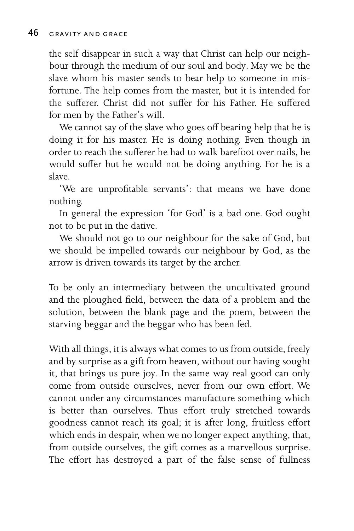the self disappear in such a way that Christ can help our neighbour through the medium of our soul and body. May we be the slave whom his master sends to bear help to someone in misfortune. The help comes from the master, but it is intended for the sufferer. Christ did not suffer for his Father. He suffered for men by the Father's will.

We cannot say of the slave who goes off bearing help that he is doing it for his master. He is doing nothing. Even though in order to reach the sufferer he had to walk barefoot over nails, he would suffer but he would not be doing anything. For he is a slave.

'We are unprofitable servants': that means we have done nothing.

In general the expression 'for God' is a bad one. God ought not to be put in the dative.

We should not go to our neighbour for the sake of God, but we should be impelled towards our neighbour by God, as the arrow is driven towards its target by the archer.

To be only an intermediary between the uncultivated ground and the ploughed field, between the data of a problem and the solution, between the blank page and the poem, between the starving beggar and the beggar who has been fed.

With all things, it is always what comes to us from outside, freely and by surprise as a gift from heaven, without our having sought it, that brings us pure joy. In the same way real good can only come from outside ourselves, never from our own effort. We cannot under any circumstances manufacture something which is better than ourselves. Thus effort truly stretched towards goodness cannot reach its goal; it is after long, fruitless effort which ends in despair, when we no longer expect anything, that, from outside ourselves, the gift comes as a marvellous surprise. The effort has destroyed a part of the false sense of fullness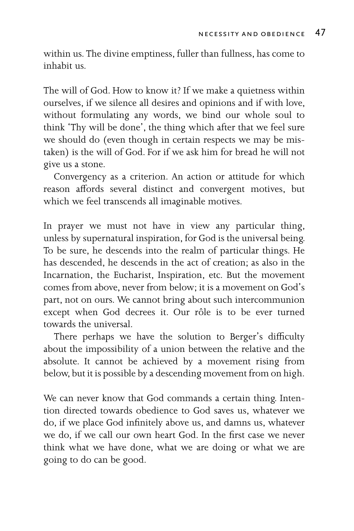within us. The divine emptiness, fuller than fullness, has come to inhabit us.

The will of God. How to know it? If we make a quietness within ourselves, if we silence all desires and opinions and if with love, without formulating any words, we bind our whole soul to think 'Thy will be done', the thing which after that we feel sure we should do (even though in certain respects we may be mistaken) is the will of God. For if we ask him for bread he will not give us a stone.

Convergency as a criterion. An action or attitude for which reason affords several distinct and convergent motives, but which we feel transcends all imaginable motives.

In prayer we must not have in view any particular thing, unless by supernatural inspiration, for God is the universal being. To be sure, he descends into the realm of particular things. He has descended, he descends in the act of creation; as also in the Incarnation, the Eucharist, Inspiration, etc. But the movement comes from above, never from below; it is a movement on God's part, not on ours. We cannot bring about such intercommunion except when God decrees it. Our rôle is to be ever turned towards the universal.

There perhaps we have the solution to Berger's difficulty about the impossibility of a union between the relative and the absolute. It cannot be achieved by a movement rising from below, but it is possible by a descending movement from on high.

We can never know that God commands a certain thing. Intention directed towards obedience to God saves us, whatever we do, if we place God infinitely above us, and damns us, whatever we do, if we call our own heart God. In the first case we never think what we have done, what we are doing or what we are going to do can be good.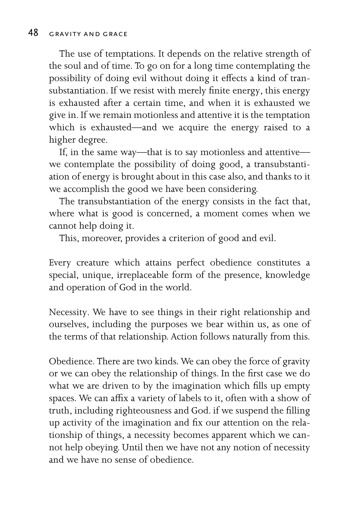The use of temptations. It depends on the relative strength of the soul and of time. To go on for a long time contemplating the possibility of doing evil without doing it effects a kind of transubstantiation. If we resist with merely finite energy, this energy is exhausted after a certain time, and when it is exhausted we give in. If we remain motionless and attentive it is the temptation which is exhausted—and we acquire the energy raised to a higher degree.

If, in the same way—that is to say motionless and attentive we contemplate the possibility of doing good, a transubstantiation of energy is brought about in this case also, and thanks to it we accomplish the good we have been considering.

The transubstantiation of the energy consists in the fact that, where what is good is concerned, a moment comes when we cannot help doing it.

This, moreover, provides a criterion of good and evil.

Every creature which attains perfect obedience constitutes a special, unique, irreplaceable form of the presence, knowledge and operation of God in the world.

Necessity. We have to see things in their right relationship and ourselves, including the purposes we bear within us, as one of the terms of that relationship. Action follows naturally from this.

Obedience. There are two kinds. We can obey the force of gravity or we can obey the relationship of things. In the first case we do what we are driven to by the imagination which fills up empty spaces. We can affix a variety of labels to it, often with a show of truth, including righteousness and God. if we suspend the filling up activity of the imagination and fix our attention on the relationship of things, a necessity becomes apparent which we cannot help obeying. Until then we have not any notion of necessity and we have no sense of obedience.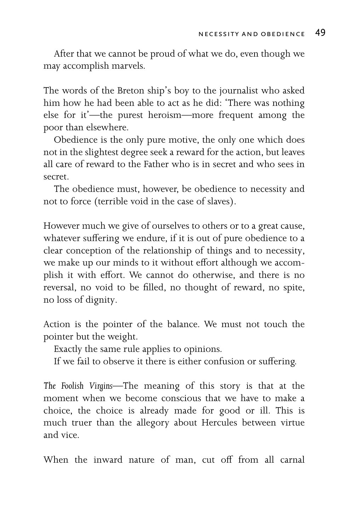After that we cannot be proud of what we do, even though we may accomplish marvels.

The words of the Breton ship's boy to the journalist who asked him how he had been able to act as he did: 'There was nothing else for it'—the purest heroism—more frequent among the poor than elsewhere.

Obedience is the only pure motive, the only one which does not in the slightest degree seek a reward for the action, but leaves all care of reward to the Father who is in secret and who sees in secret.

The obedience must, however, be obedience to necessity and not to force (terrible void in the case of slaves).

However much we give of ourselves to others or to a great cause, whatever suffering we endure, if it is out of pure obedience to a clear conception of the relationship of things and to necessity, we make up our minds to it without effort although we accomplish it with effort. We cannot do otherwise, and there is no reversal, no void to be filled, no thought of reward, no spite, no loss of dignity.

Action is the pointer of the balance. We must not touch the pointer but the weight.

Exactly the same rule applies to opinions.

If we fail to observe it there is either confusion or suffering.

*The Foolish Virgins*—The meaning of this story is that at the moment when we become conscious that we have to make a choice, the choice is already made for good or ill. This is much truer than the allegory about Hercules between virtue and vice.

When the inward nature of man, cut off from all carnal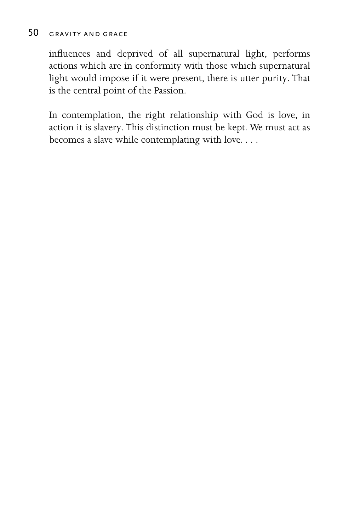### 50 gravity and grace

influences and deprived of all supernatural light, performs actions which are in conformity with those which supernatural light would impose if it were present, there is utter purity. That is the central point of the Passion.

In contemplation, the right relationship with God is love, in action it is slavery. This distinction must be kept. We must act as becomes a slave while contemplating with love. . . .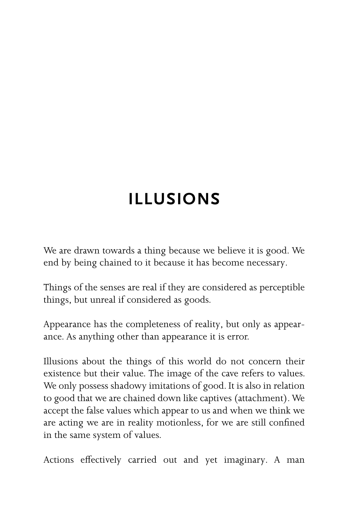# **ILLUSIONS**

We are drawn towards a thing because we believe it is good. We end by being chained to it because it has become necessary.

Things of the senses are real if they are considered as perceptible things, but unreal if considered as goods.

Appearance has the completeness of reality, but only as appearance. As anything other than appearance it is error.

Illusions about the things of this world do not concern their existence but their value. The image of the cave refers to values. We only possess shadowy imitations of good. It is also in relation to good that we are chained down like captives (attachment). We accept the false values which appear to us and when we think we are acting we are in reality motionless, for we are still confined in the same system of values.

Actions effectively carried out and yet imaginary. A man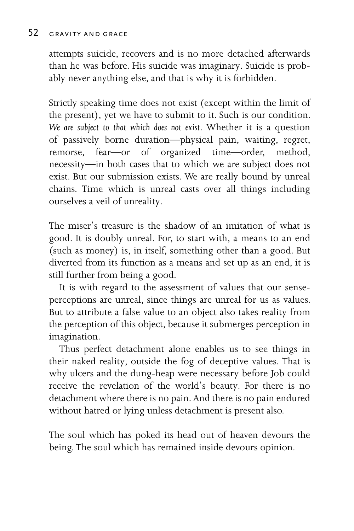#### 52 gravity and grace

attempts suicide, recovers and is no more detached afterwards than he was before. His suicide was imaginary. Suicide is probably never anything else, and that is why it is forbidden.

Strictly speaking time does not exist (except within the limit of the present), yet we have to submit to it. Such is our condition. *We are subject to that which does not exist*. Whether it is a question of passively borne duration—physical pain, waiting, regret, remorse, fear—or of organized time—order, method, necessity—in both cases that to which we are subject does not exist. But our submission exists. We are really bound by unreal chains. Time which is unreal casts over all things including ourselves a veil of unreality.

The miser's treasure is the shadow of an imitation of what is good. It is doubly unreal. For, to start with, a means to an end (such as money) is, in itself, something other than a good. But diverted from its function as a means and set up as an end, it is still further from being a good.

It is with regard to the assessment of values that our senseperceptions are unreal, since things are unreal for us as values. But to attribute a false value to an object also takes reality from the perception of this object, because it submerges perception in imagination.

Thus perfect detachment alone enables us to see things in their naked reality, outside the fog of deceptive values. That is why ulcers and the dung-heap were necessary before Job could receive the revelation of the world's beauty. For there is no detachment where there is no pain. And there is no pain endured without hatred or lying unless detachment is present also.

The soul which has poked its head out of heaven devours the being. The soul which has remained inside devours opinion.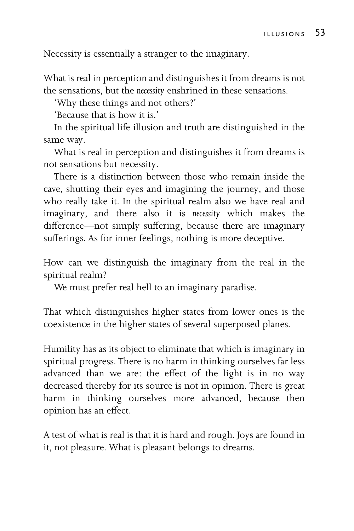Necessity is essentially a stranger to the imaginary.

What is real in perception and distinguishes it from dreams is not the sensations, but the *necessity* enshrined in these sensations.

'Why these things and not others?'

'Because that is how it is.'

In the spiritual life illusion and truth are distinguished in the same way.

What is real in perception and distinguishes it from dreams is not sensations but necessity.

There is a distinction between those who remain inside the cave, shutting their eyes and imagining the journey, and those who really take it. In the spiritual realm also we have real and imaginary, and there also it is *necessity* which makes the difference—not simply suffering, because there are imaginary sufferings. As for inner feelings, nothing is more deceptive.

How can we distinguish the imaginary from the real in the spiritual realm?

We must prefer real hell to an imaginary paradise.

That which distinguishes higher states from lower ones is the coexistence in the higher states of several superposed planes.

Humility has as its object to eliminate that which is imaginary in spiritual progress. There is no harm in thinking ourselves far less advanced than we are: the effect of the light is in no way decreased thereby for its source is not in opinion. There is great harm in thinking ourselves more advanced, because then opinion has an effect.

A test of what is real is that it is hard and rough. Joys are found in it, not pleasure. What is pleasant belongs to dreams.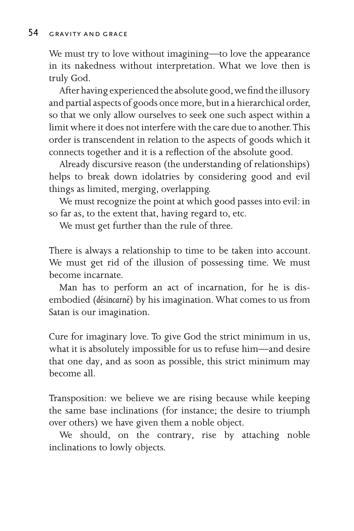We must try to love without imagining—to love the appearance in its nakedness without interpretation. What we love then is truly God.

After having experienced the absolute good, we find the illusory and partial aspects of goods once more, but in a hierarchical order, so that we only allow ourselves to seek one such aspect within a limit where it does not interfere with the care due to another. This order is transcendent in relation to the aspects of goods which it connects together and it is a reflection of the absolute good.

Already discursive reason (the understanding of relationships) helps to break down idolatries by considering good and evil things as limited, merging, overlapping.

We must recognize the point at which good passes into evil: in so far as, to the extent that, having regard to, etc.

We must get further than the rule of three.

There is always a relationship to time to be taken into account. We must get rid of the illusion of possessing time. We must become incarnate.

Man has to perform an act of incarnation, for he is disembodied (*désincarné*) by his imagination. What comes to us from Satan is our imagination.

Cure for imaginary love. To give God the strict minimum in us, what it is absolutely impossible for us to refuse him—and desire that one day, and as soon as possible, this strict minimum may become all.

Transposition: we believe we are rising because while keeping the same base inclinations (for instance; the desire to triumph over others) we have given them a noble object.

We should, on the contrary, rise by attaching noble inclinations to lowly objects.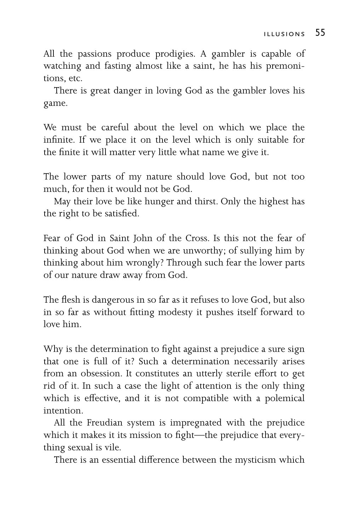All the passions produce prodigies. A gambler is capable of watching and fasting almost like a saint, he has his premonitions, etc.

There is great danger in loving God as the gambler loves his game.

We must be careful about the level on which we place the infinite. If we place it on the level which is only suitable for the finite it will matter very little what name we give it.

The lower parts of my nature should love God, but not too much, for then it would not be God.

May their love be like hunger and thirst. Only the highest has the right to be satisfied.

Fear of God in Saint John of the Cross. Is this not the fear of thinking about God when we are unworthy; of sullying him by thinking about him wrongly? Through such fear the lower parts of our nature draw away from God.

The flesh is dangerous in so far as it refuses to love God, but also in so far as without fitting modesty it pushes itself forward to love him.

Why is the determination to fight against a prejudice a sure sign that one is full of it? Such a determination necessarily arises from an obsession. It constitutes an utterly sterile effort to get rid of it. In such a case the light of attention is the only thing which is effective, and it is not compatible with a polemical intention.

All the Freudian system is impregnated with the prejudice which it makes it its mission to fight—the prejudice that everything sexual is vile.

There is an essential difference between the mysticism which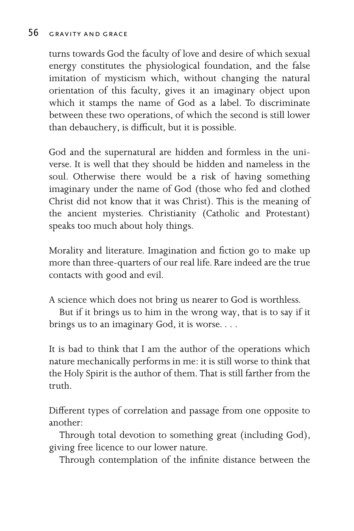#### 56 gravity and grace

turns towards God the faculty of love and desire of which sexual energy constitutes the physiological foundation, and the false imitation of mysticism which, without changing the natural orientation of this faculty, gives it an imaginary object upon which it stamps the name of God as a label. To discriminate between these two operations, of which the second is still lower than debauchery, is difficult, but it is possible.

God and the supernatural are hidden and formless in the universe. It is well that they should be hidden and nameless in the soul. Otherwise there would be a risk of having something imaginary under the name of God (those who fed and clothed Christ did not know that it was Christ). This is the meaning of the ancient mysteries. Christianity (Catholic and Protestant) speaks too much about holy things.

Morality and literature. Imagination and fiction go to make up more than three-quarters of our real life. Rare indeed are the true contacts with good and evil.

A science which does not bring us nearer to God is worthless.

But if it brings us to him in the wrong way, that is to say if it brings us to an imaginary God, it is worse. . . .

It is bad to think that I am the author of the operations which nature mechanically performs in me: it is still worse to think that the Holy Spirit is the author of them. That is still farther from the truth.

Different types of correlation and passage from one opposite to another:

Through total devotion to something great (including God), giving free licence to our lower nature.

Through contemplation of the infinite distance between the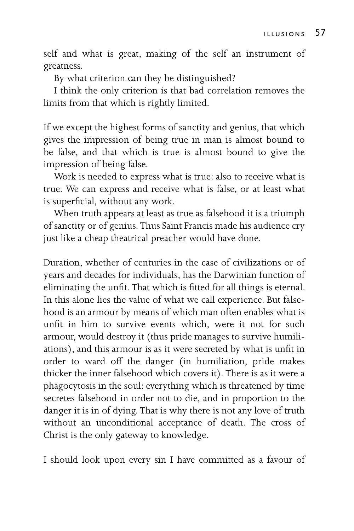self and what is great, making of the self an instrument of greatness.

By what criterion can they be distinguished?

I think the only criterion is that bad correlation removes the limits from that which is rightly limited.

If we except the highest forms of sanctity and genius, that which gives the impression of being true in man is almost bound to be false, and that which is true is almost bound to give the impression of being false.

Work is needed to express what is true: also to receive what is true. We can express and receive what is false, or at least what is superficial, without any work.

When truth appears at least as true as falsehood it is a triumph of sanctity or of genius. Thus Saint Francis made his audience cry just like a cheap theatrical preacher would have done.

Duration, whether of centuries in the case of civilizations or of years and decades for individuals, has the Darwinian function of eliminating the unfit. That which is fitted for all things is eternal. In this alone lies the value of what we call experience. But falsehood is an armour by means of which man often enables what is unfit in him to survive events which, were it not for such armour, would destroy it (thus pride manages to survive humiliations), and this armour is as it were secreted by what is unfit in order to ward off the danger (in humiliation, pride makes thicker the inner falsehood which covers it). There is as it were a phagocytosis in the soul: everything which is threatened by time secretes falsehood in order not to die, and in proportion to the danger it is in of dying. That is why there is not any love of truth without an unconditional acceptance of death. The cross of Christ is the only gateway to knowledge.

I should look upon every sin I have committed as a favour of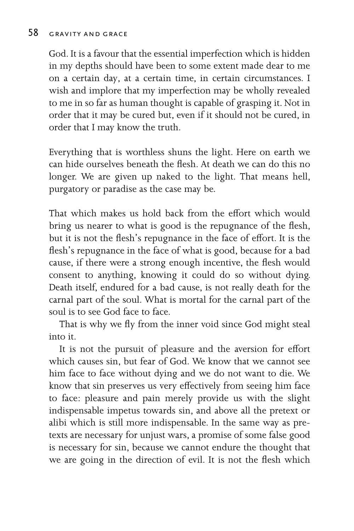#### 58 gravity and grace

God. It is a favour that the essential imperfection which is hidden in my depths should have been to some extent made dear to me on a certain day, at a certain time, in certain circumstances. I wish and implore that my imperfection may be wholly revealed to me in so far as human thought is capable of grasping it. Not in order that it may be cured but, even if it should not be cured, in order that I may know the truth.

Everything that is worthless shuns the light. Here on earth we can hide ourselves beneath the flesh. At death we can do this no longer. We are given up naked to the light. That means hell, purgatory or paradise as the case may be.

That which makes us hold back from the effort which would bring us nearer to what is good is the repugnance of the flesh, but it is not the flesh's repugnance in the face of effort. It is the flesh's repugnance in the face of what is good, because for a bad cause, if there were a strong enough incentive, the flesh would consent to anything, knowing it could do so without dying. Death itself, endured for a bad cause, is not really death for the carnal part of the soul. What is mortal for the carnal part of the soul is to see God face to face.

That is why we fly from the inner void since God might steal into it.

It is not the pursuit of pleasure and the aversion for effort which causes sin, but fear of God. We know that we cannot see him face to face without dying and we do not want to die. We know that sin preserves us very effectively from seeing him face to face: pleasure and pain merely provide us with the slight indispensable impetus towards sin, and above all the pretext or alibi which is still more indispensable. In the same way as pretexts are necessary for unjust wars, a promise of some false good is necessary for sin, because we cannot endure the thought that we are going in the direction of evil. It is not the flesh which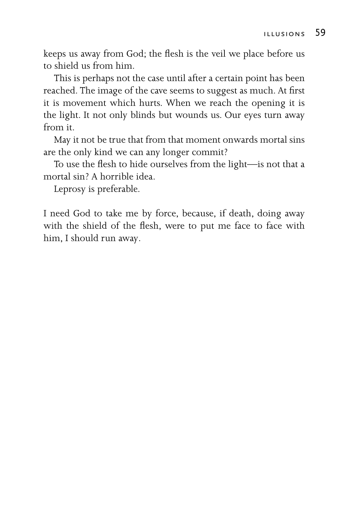keeps us away from God; the flesh is the veil we place before us to shield us from him.

This is perhaps not the case until after a certain point has been reached. The image of the cave seems to suggest as much. At first it is movement which hurts. When we reach the opening it is the light. It not only blinds but wounds us. Our eyes turn away from it.

May it not be true that from that moment onwards mortal sins are the only kind we can any longer commit?

To use the flesh to hide ourselves from the light—is not that a mortal sin? A horrible idea.

Leprosy is preferable.

I need God to take me by force, because, if death, doing away with the shield of the flesh, were to put me face to face with him, I should run away.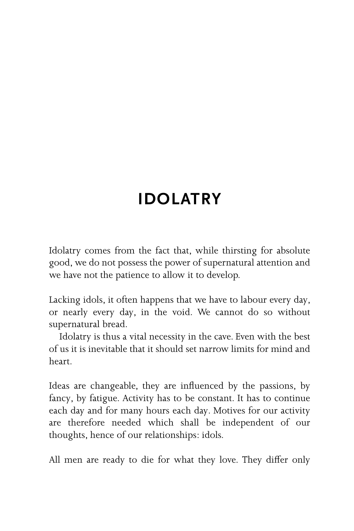## **IDOLATRY**

Idolatry comes from the fact that, while thirsting for absolute good, we do not possess the power of supernatural attention and we have not the patience to allow it to develop.

Lacking idols, it often happens that we have to labour every day, or nearly every day, in the void. We cannot do so without supernatural bread.

Idolatry is thus a vital necessity in the cave. Even with the best of us it is inevitable that it should set narrow limits for mind and heart.

Ideas are changeable, they are influenced by the passions, by fancy, by fatigue. Activity has to be constant. It has to continue each day and for many hours each day. Motives for our activity are therefore needed which shall be independent of our thoughts, hence of our relationships: idols.

All men are ready to die for what they love. They differ only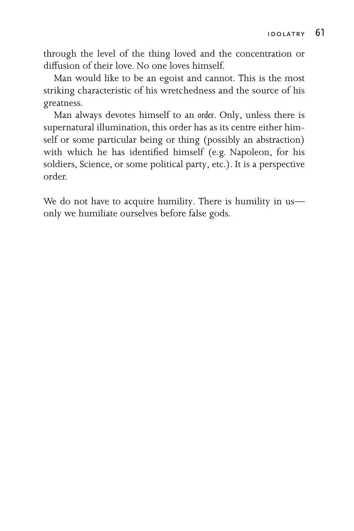through the level of the thing loved and the concentration or diffusion of their love. No one loves himself.

Man would like to be an egoist and cannot. This is the most striking characteristic of his wretchedness and the source of his greatness.

Man always devotes himself to an *order*. Only, unless there is supernatural illumination, this order has as its centre either himself or some particular being or thing (possibly an abstraction) with which he has identified himself (e.g. Napoleon, for his soldiers, Science, or some political party, etc.). It is a perspective order.

We do not have to acquire humility. There is humility in us only we humiliate ourselves before false gods.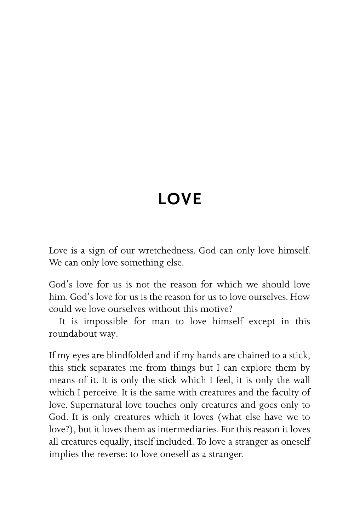## **LOVE**

Love is a sign of our wretchedness. God can only love himself. We can only love something else.

God's love for us is not the reason for which we should love him. God's love for us is the reason for us to love ourselves. How could we love ourselves without this motive?

It is impossible for man to love himself except in this roundabout way.

If my eyes are blindfolded and if my hands are chained to a stick, this stick separates me from things but I can explore them by means of it. It is only the stick which I feel, it is only the wall which I perceive. It is the same with creatures and the faculty of love. Supernatural love touches only creatures and goes only to God. It is only creatures which it loves (what else have we to love?), but it loves them as intermediaries. For this reason it loves all creatures equally, itself included. To love a stranger as oneself implies the reverse: to love oneself as a stranger.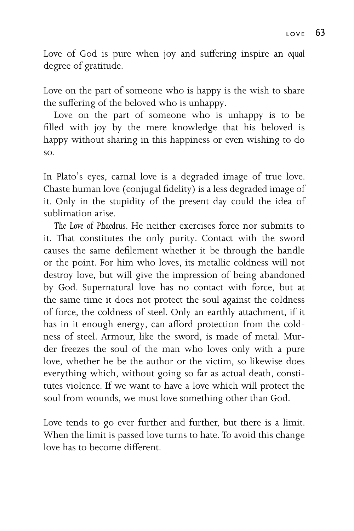Love of God is pure when joy and suffering inspire an *equal* degree of gratitude.

Love on the part of someone who is happy is the wish to share the suffering of the beloved who is unhappy.

Love on the part of someone who is unhappy is to be filled with joy by the mere knowledge that his beloved is happy without sharing in this happiness or even wishing to do so.

In Plato's eyes, carnal love is a degraded image of true love. Chaste human love (conjugal fidelity) is a less degraded image of it. Only in the stupidity of the present day could the idea of sublimation arise.

*The Love of Phaedrus*. He neither exercises force nor submits to it. That constitutes the only purity. Contact with the sword causes the same defilement whether it be through the handle or the point. For him who loves, its metallic coldness will not destroy love, but will give the impression of being abandoned by God. Supernatural love has no contact with force, but at the same time it does not protect the soul against the coldness of force, the coldness of steel. Only an earthly attachment, if it has in it enough energy, can afford protection from the coldness of steel. Armour, like the sword, is made of metal. Murder freezes the soul of the man who loves only with a pure love, whether he be the author or the victim, so likewise does everything which, without going so far as actual death, constitutes violence. If we want to have a love which will protect the soul from wounds, we must love something other than God.

Love tends to go ever further and further, but there is a limit. When the limit is passed love turns to hate. To avoid this change love has to become different.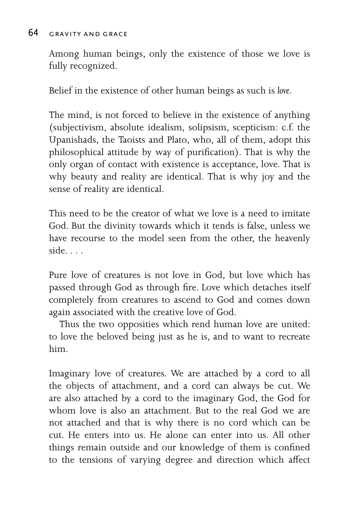#### 64 gravity and grace

Among human beings, only the existence of those we love is fully recognized.

Belief in the existence of other human beings as such is *love*.

The mind, is not forced to believe in the existence of anything (subjectivism, absolute idealism, solipsism, scepticism: c.f. the Upanishads, the Taoists and Plato, who, all of them, adopt this philosophical attitude by way of purification). That is why the only organ of contact with existence is acceptance, love. That is why beauty and reality are identical. That is why joy and the sense of reality are identical.

This need to be the creator of what we love is a need to imitate God. But the divinity towards which it tends is false, unless we have recourse to the model seen from the other, the heavenly side....

Pure love of creatures is not love in God, but love which has passed through God as through fire. Love which detaches itself completely from creatures to ascend to God and comes down again associated with the creative love of God.

Thus the two opposities which rend human love are united: to love the beloved being just as he is, and to want to recreate him.

Imaginary love of creatures. We are attached by a cord to all the objects of attachment, and a cord can always be cut. We are also attached by a cord to the imaginary God, the God for whom love is also an attachment. But to the real God we are not attached and that is why there is no cord which can be cut. He enters into us. He alone can enter into us. All other things remain outside and our knowledge of them is confined to the tensions of varying degree and direction which affect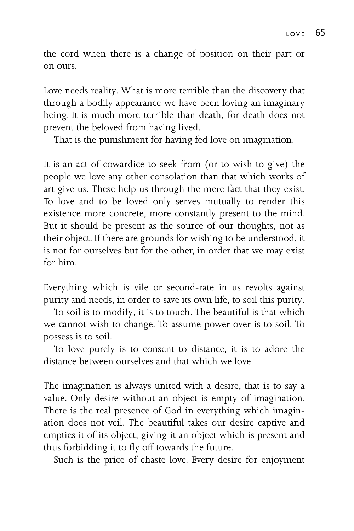the cord when there is a change of position on their part or on ours.

Love needs reality. What is more terrible than the discovery that through a bodily appearance we have been loving an imaginary being. It is much more terrible than death, for death does not prevent the beloved from having lived.

That is the punishment for having fed love on imagination.

It is an act of cowardice to seek from (or to wish to give) the people we love any other consolation than that which works of art give us. These help us through the mere fact that they exist. To love and to be loved only serves mutually to render this existence more concrete, more constantly present to the mind. But it should be present as the source of our thoughts, not as their object. If there are grounds for wishing to be understood, it is not for ourselves but for the other, in order that we may exist for him.

Everything which is vile or second-rate in us revolts against purity and needs, in order to save its own life, to soil this purity.

To soil is to modify, it is to touch. The beautiful is that which we cannot wish to change. To assume power over is to soil. To possess is to soil.

To love purely is to consent to distance, it is to adore the distance between ourselves and that which we love.

The imagination is always united with a desire, that is to say a value. Only desire without an object is empty of imagination. There is the real presence of God in everything which imagination does not veil. The beautiful takes our desire captive and empties it of its object, giving it an object which is present and thus forbidding it to fly off towards the future.

Such is the price of chaste love. Every desire for enjoyment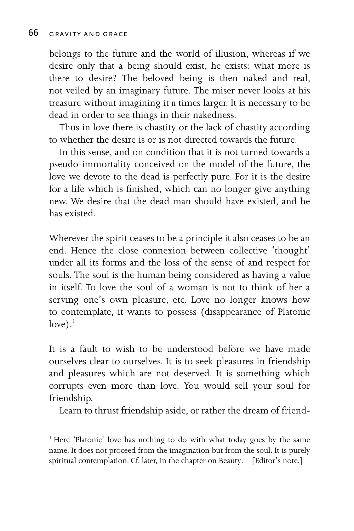belongs to the future and the world of illusion, whereas if we desire only that a being should exist, he exists: what more is there to desire? The beloved being is then naked and real, not veiled by an imaginary future. The miser never looks at his treasure without imagining it *n* times larger. It is necessary to be dead in order to see things in their nakedness.

Thus in love there is chastity or the lack of chastity according to whether the desire is or is not directed towards the future.

In this sense, and on condition that it is not turned towards a pseudo-immortality conceived on the model of the future, the love we devote to the dead is perfectly pure. For it is the desire for a life which is finished, which can no longer give anything new. We desire that the dead man should have existed, and he has existed.

Wherever the spirit ceases to be a principle it also ceases to be an end. Hence the close connexion between collective 'thought' under all its forms and the loss of the sense of and respect for souls. The soul is the human being considered as having a value in itself. To love the soul of a woman is not to think of her a serving one's own pleasure, etc. Love no longer knows how to contemplate, it wants to possess (disappearance of Platonic  $love).<sup>1</sup>$ 

It is a fault to wish to be understood before we have made ourselves clear to ourselves. It is to seek pleasures in friendship and pleasures which are not deserved. It is something which corrupts even more than love. You would sell your soul for friendship.

Learn to thrust friendship aside, or rather the dream of friend-

<sup>1</sup> Here 'Platonic' love has nothing to do with what today goes by the same name. It does not proceed from the imagination but from the soul. It is purely spiritual contemplation. Cf. later, in the chapter on Beauty. [Editor's note.]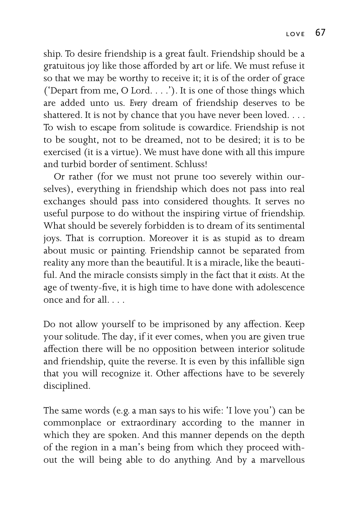love 67

ship. To desire friendship is a great fault. Friendship should be a gratuitous joy like those afforded by art or life. We must refuse it so that we may be worthy to receive it; it is of the order of grace ('Depart from me, O Lord. . . .'). It is one of those things which are added unto us. *Every* dream of friendship deserves to be shattered. It is not by chance that you have never been loved. . . . To wish to escape from solitude is cowardice. Friendship is not to be sought, not to be dreamed, not to be desired; it is to be exercised (it is a virtue). We must have done with all this impure and turbid border of sentiment. Schluss!

Or rather (for we must not prune too severely within ourselves), everything in friendship which does not pass into real exchanges should pass into considered thoughts. It serves no useful purpose to do without the inspiring virtue of friendship. What should be severely forbidden is to dream of its sentimental joys. That is corruption. Moreover it is as stupid as to dream about music or painting. Friendship cannot be separated from reality any more than the beautiful. It is a miracle, like the beautiful. And the miracle consists simply in the fact that it *exists*. At the age of twenty-five, it is high time to have done with adolescence once and for all. . . .

Do not allow yourself to be imprisoned by any affection. Keep your solitude. The day, if it ever comes, when you are given true affection there will be no opposition between interior solitude and friendship, quite the reverse. It is even by this infallible sign that you will recognize it. Other affections have to be severely disciplined.

The same words (e.g. a man says to his wife: 'I love you') can be commonplace or extraordinary according to the manner in which they are spoken. And this manner depends on the depth of the region in a man's being from which they proceed without the will being able to do anything. And by a marvellous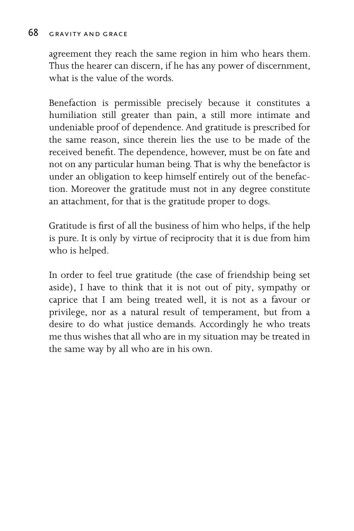#### 68 gravity and grace

agreement they reach the same region in him who hears them. Thus the hearer can discern, if he has any power of discernment, what is the value of the words.

Benefaction is permissible precisely because it constitutes a humiliation still greater than pain, a still more intimate and undeniable proof of dependence. And gratitude is prescribed for the same reason, since therein lies the use to be made of the received benefit. The dependence, however, must be on fate and not on any particular human being. That is why the benefactor is under an obligation to keep himself entirely out of the benefaction. Moreover the gratitude must not in any degree constitute an attachment, for that is the gratitude proper to dogs.

Gratitude is first of all the business of him who helps, if the help is pure. It is only by virtue of reciprocity that it is due from him who is helped.

In order to feel true gratitude (the case of friendship being set aside), I have to think that it is not out of pity, sympathy or caprice that I am being treated well, it is not as a favour or privilege, nor as a natural result of temperament, but from a desire to do what justice demands. Accordingly he who treats me thus wishes that all who are in my situation may be treated in the same way by all who are in his own.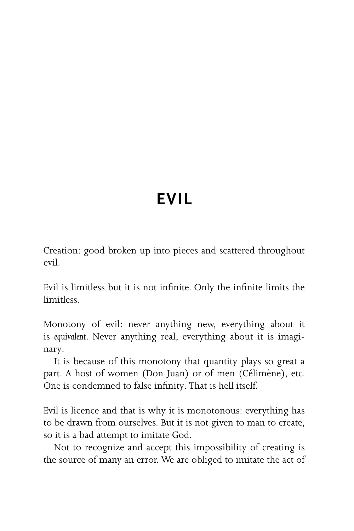## **EVIL**

Creation: good broken up into pieces and scattered throughout evil.

Evil is limitless but it is not infinite. Only the infinite limits the limitless.

Monotony of evil: never anything new, everything about it is *equivalent*. Never anything real, everything about it is imaginary.

It is because of this monotony that quantity plays so great a part. A host of women (Don Juan) or of men (Célimène), etc. One is condemned to false infinity. That is hell itself.

Evil is licence and that is why it is monotonous: everything has to be drawn from ourselves. But it is not given to man to create, so it is a bad attempt to imitate God.

Not to recognize and accept this impossibility of creating is the source of many an error. We are obliged to imitate the act of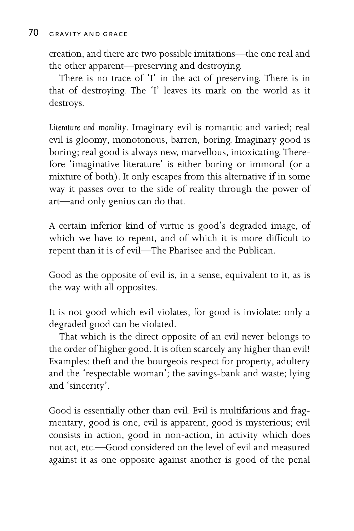creation, and there are two possible imitations—the one real and the other apparent—preserving and destroying.

There is no trace of 'I' in the act of preserving. There is in that of destroying. The 'I' leaves its mark on the world as it destroys.

*Literature and morality*. Imaginary evil is romantic and varied; real evil is gloomy, monotonous, barren, boring. Imaginary good is boring; real good is always new, marvellous, intoxicating. Therefore 'imaginative literature' is either boring or immoral (or a mixture of both). It only escapes from this alternative if in some way it passes over to the side of reality through the power of art—and only genius can do that.

A certain inferior kind of virtue is good's degraded image, of which we have to repent, and of which it is more difficult to repent than it is of evil—The Pharisee and the Publican.

Good as the opposite of evil is, in a sense, equivalent to it, as is the way with all opposites.

It is not good which evil violates, for good is inviolate: only a degraded good can be violated.

That which is the direct opposite of an evil never belongs to the order of higher good. It is often scarcely any higher than evil! Examples: theft and the bourgeois respect for property, adultery and the 'respectable woman'; the savings-bank and waste; lying and 'sincerity'.

Good is essentially other than evil. Evil is multifarious and fragmentary, good is one, evil is apparent, good is mysterious; evil consists in action, good in non-action, in activity which does not act, etc.—Good considered on the level of evil and measured against it as one opposite against another is good of the penal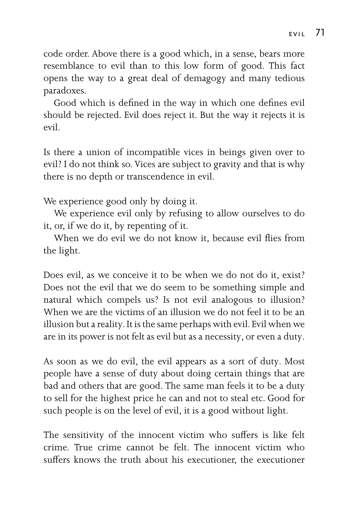evil 71

code order. Above there is a good which, in a sense, bears more resemblance to evil than to this low form of good. This fact opens the way to a great deal of demagogy and many tedious paradoxes.

Good which is defined in the way in which one defines evil should be rejected. Evil does reject it. But the way it rejects it is evil.

Is there a union of incompatible vices in beings given over to evil? I do not think so. Vices are subject to gravity and that is why there is no depth or transcendence in evil.

We experience good only by doing it.

We experience evil only by refusing to allow ourselves to do it, or, if we do it, by repenting of it.

When we do evil we do not know it, because evil flies from the light.

Does evil, as we conceive it to be when we do not do it, exist? Does not the evil that we do seem to be something simple and natural which compels us? Is not evil analogous to illusion? When we are the victims of an illusion we do not feel it to be an illusion but a reality. It is the same perhaps with evil. Evil when we are in its power is not felt as evil but as a necessity, or even a duty.

As soon as we do evil, the evil appears as a sort of duty. Most people have a sense of duty about doing certain things that are bad and others that are good. The same man feels it to be a duty to sell for the highest price he can and not to steal etc. Good for such people is on the level of evil, it is a good without light.

The sensitivity of the innocent victim who suffers is like felt crime. True crime cannot be felt. The innocent victim who suffers knows the truth about his executioner, the executioner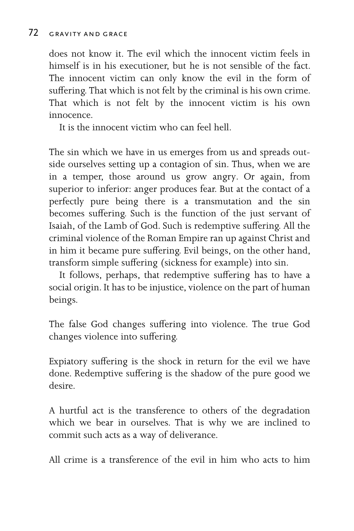does not know it. The evil which the innocent victim feels in himself is in his executioner, but he is not sensible of the fact. The innocent victim can only know the evil in the form of suffering. That which is not felt by the criminal is his own crime. That which is not felt by the innocent victim is his own innocence.

It is the innocent victim who can feel hell.

The sin which we have in us emerges from us and spreads outside ourselves setting up a contagion of sin. Thus, when we are in a temper, those around us grow angry. Or again, from superior to inferior: anger produces fear. But at the contact of a perfectly pure being there is a transmutation and the sin becomes suffering. Such is the function of the just servant of Isaiah, of the Lamb of God. Such is redemptive suffering. All the criminal violence of the Roman Empire ran up against Christ and in him it became pure suffering. Evil beings, on the other hand, transform simple suffering (sickness for example) into sin.

It follows, perhaps, that redemptive suffering has to have a social origin. It has to be injustice, violence on the part of human beings.

The false God changes suffering into violence. The true God changes violence into suffering.

Expiatory suffering is the shock in return for the evil we have done. Redemptive suffering is the shadow of the pure good we desire.

A hurtful act is the transference to others of the degradation which we bear in ourselves. That is why we are inclined to commit such acts as a way of deliverance.

All crime is a transference of the evil in him who acts to him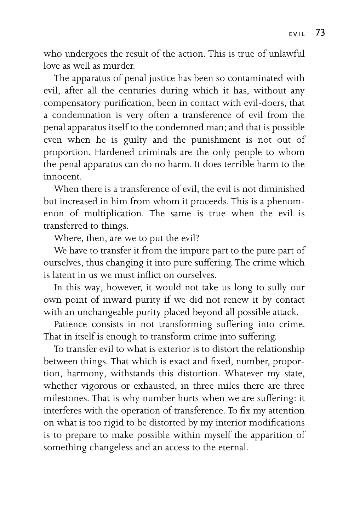who undergoes the result of the action. This is true of unlawful love as well as murder.

The apparatus of penal justice has been so contaminated with evil, after all the centuries during which it has, without any compensatory purification, been in contact with evil-doers, that a condemnation is very often a transference of evil from the penal apparatus itself to the condemned man; and that is possible even when he is guilty and the punishment is not out of proportion. Hardened criminals are the only people to whom the penal apparatus can do no harm. It does terrible harm to the innocent.

When there is a transference of evil, the evil is not diminished but increased in him from whom it proceeds. This is a phenomenon of multiplication. The same is true when the evil is transferred to things.

Where, then, are we to put the evil?

We have to transfer it from the impure part to the pure part of ourselves, thus changing it into pure suffering. The crime which is latent in us we must inflict on ourselves.

In this way, however, it would not take us long to sully our own point of inward purity if we did not renew it by contact with an unchangeable purity placed beyond all possible attack.

Patience consists in not transforming suffering into crime. That in itself is enough to transform crime into suffering.

To transfer evil to what is exterior is to distort the relationship between things. That which is exact and fixed, number, proportion, harmony, withstands this distortion. Whatever my state, whether vigorous or exhausted, in three miles there are three milestones. That is why number hurts when we are suffering: it interferes with the operation of transference. To fix my attention on what is too rigid to be distorted by my interior modifications is to prepare to make possible within myself the apparition of something changeless and an access to the eternal.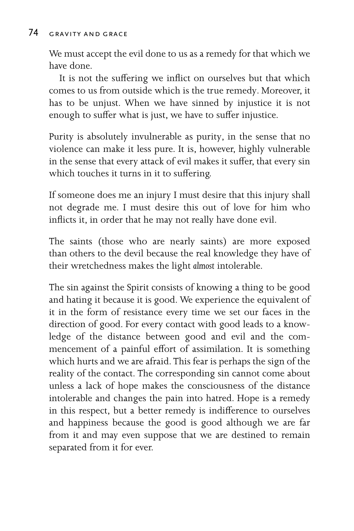We must accept the evil done to us as a remedy for that which we have done.

It is not the suffering we inflict on ourselves but that which comes to us from outside which is the true remedy. Moreover, it has to be unjust. When we have sinned by injustice it is not enough to suffer what is just, we have to suffer injustice.

Purity is absolutely invulnerable as purity, in the sense that no violence can make it less pure. It is, however, highly vulnerable in the sense that every attack of evil makes it suffer, that every sin which touches it turns in it to suffering.

If someone does me an injury I must desire that this injury shall not degrade me. I must desire this out of love for him who inflicts it, in order that he may not really have done evil.

The saints (those who are nearly saints) are more exposed than others to the devil because the real knowledge they have of their wretchedness makes the light *almost* intolerable.

The sin against the Spirit consists of knowing a thing to be good and hating it because it is good. We experience the equivalent of it in the form of resistance every time we set our faces in the direction of good. For every contact with good leads to a knowledge of the distance between good and evil and the commencement of a painful effort of assimilation. It is something which hurts and we are afraid. This fear is perhaps the sign of the reality of the contact. The corresponding sin cannot come about unless a lack of hope makes the consciousness of the distance intolerable and changes the pain into hatred. Hope is a remedy in this respect, but a better remedy is indifference to ourselves and happiness because the good is good although we are far from it and may even suppose that we are destined to remain separated from it for ever.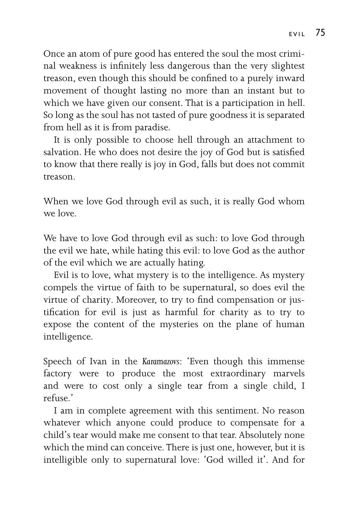Once an atom of pure good has entered the soul the most criminal weakness is infinitely less dangerous than the very slightest treason, even though this should be confined to a purely inward movement of thought lasting no more than an instant but to which we have given our consent. That is a participation in hell. So long as the soul has not tasted of pure goodness it is separated from hell as it is from paradise.

It is only possible to choose hell through an attachment to salvation. He who does not desire the joy of God but is satisfied to know that there really is joy in God, falls but does not commit treason.

When we love God through evil as such, it is really God whom we love.

We have to love God through evil as such: to love God through the evil we hate, while hating this evil: to love God as the author of the evil which we are actually hating.

Evil is to love, what mystery is to the intelligence. As mystery compels the virtue of faith to be supernatural, so does evil the virtue of charity. Moreover, to try to find compensation or justification for evil is just as harmful for charity as to try to expose the content of the mysteries on the plane of human intelligence.

Speech of Ivan in the *Karamazovs*: 'Even though this immense factory were to produce the most extraordinary marvels and were to cost only a single tear from a single child, I refuse.'

I am in complete agreement with this sentiment. No reason whatever which anyone could produce to compensate for a child's tear would make me consent to that tear. Absolutely none which the mind can conceive. There is just one, however, but it is intelligible only to supernatural love: 'God willed it'. And for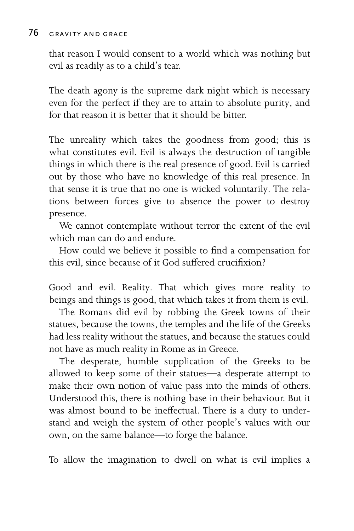that reason I would consent to a world which was nothing but evil as readily as to a child's tear.

The death agony is the supreme dark night which is necessary even for the perfect if they are to attain to absolute purity, and for that reason it is better that it should be bitter.

The unreality which takes the goodness from good; this is what constitutes evil. Evil is always the destruction of tangible things in which there is the real presence of good. Evil is carried out by those who have no knowledge of this real presence. In that sense it is true that no one is wicked voluntarily. The relations between forces give to absence the power to destroy presence.

We cannot contemplate without terror the extent of the evil which man can do and endure.

How could we believe it possible to find a compensation for this evil, since because of it God suffered crucifixion?

Good and evil. Reality. That which gives more reality to beings and things is good, that which takes it from them is evil.

The Romans did evil by robbing the Greek towns of their statues, because the towns, the temples and the life of the Greeks had less reality without the statues, and because the statues could not have as much reality in Rome as in Greece.

The desperate, humble supplication of the Greeks to be allowed to keep some of their statues—a desperate attempt to make their own notion of value pass into the minds of others. Understood this, there is nothing base in their behaviour. But it was almost bound to be ineffectual. There is a duty to understand and weigh the system of other people's values with our own, on the same balance—to forge the balance.

To allow the imagination to dwell on what is evil implies a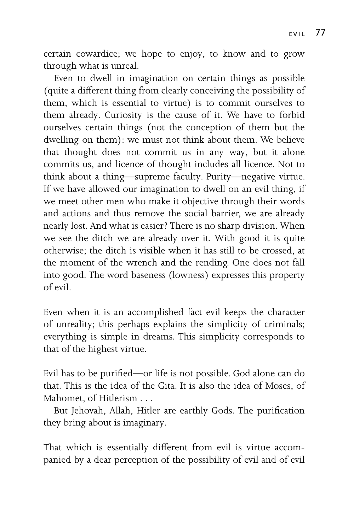certain cowardice; we hope to enjoy, to know and to grow through what is unreal.

Even to dwell in imagination on certain things as possible (quite a different thing from clearly conceiving the possibility of them, which is essential to virtue) is to commit ourselves to them already. Curiosity is the cause of it. We have to forbid ourselves certain things (not the conception of them but the dwelling on them): we must not think about them. We believe that thought does not commit us in any way, but it alone commits us, and licence of thought includes all licence. Not to think about a thing—supreme faculty. Purity—negative virtue. If we have allowed our imagination to dwell on an evil thing, if we meet other men who make it objective through their words and actions and thus remove the social barrier, we are already nearly lost. And what is easier? There is no sharp division. When we see the ditch we are already over it. With good it is quite otherwise; the ditch is visible when it has still to be crossed, at the moment of the wrench and the rending. One does not fall into good. The word baseness (lowness) expresses this property of evil.

Even when it is an accomplished fact evil keeps the character of unreality; this perhaps explains the simplicity of criminals; everything is simple in dreams. This simplicity corresponds to that of the highest virtue.

Evil has to be purified—or life is not possible. God alone can do that. This is the idea of the Gita. It is also the idea of Moses, of Mahomet, of Hitlerism . . .

But Jehovah, Allah, Hitler are earthly Gods. The purification they bring about is imaginary.

That which is essentially different from evil is virtue accompanied by a dear perception of the possibility of evil and of evil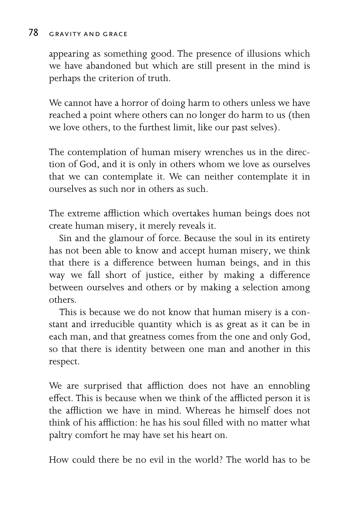### 78 **GRAVITY AND GRACE**

appearing as something good. The presence of illusions which we have abandoned but which are still present in the mind is perhaps the criterion of truth.

We cannot have a horror of doing harm to others unless we have reached a point where others can no longer do harm to us (then we love others, to the furthest limit, like our past selves).

The contemplation of human misery wrenches us in the direction of God, and it is only in others whom we love as ourselves that we can contemplate it. We can neither contemplate it in ourselves as such nor in others as such.

The extreme affliction which overtakes human beings does not create human misery, it merely reveals it.

Sin and the glamour of force. Because the soul in its entirety has not been able to know and accept human misery, we think that there is a difference between human beings, and in this way we fall short of justice, either by making a difference between ourselves and others or by making a selection among others.

This is because we do not know that human misery is a constant and irreducible quantity which is as great as it can be in each man, and that greatness comes from the one and only God, so that there is identity between one man and another in this respect.

We are surprised that affliction does not have an ennobling effect. This is because when we think of the afflicted person it is the affliction we have in mind. Whereas he himself does not think of his affliction: he has his soul filled with no matter what paltry comfort he may have set his heart on.

How could there be no evil in the world? The world has to be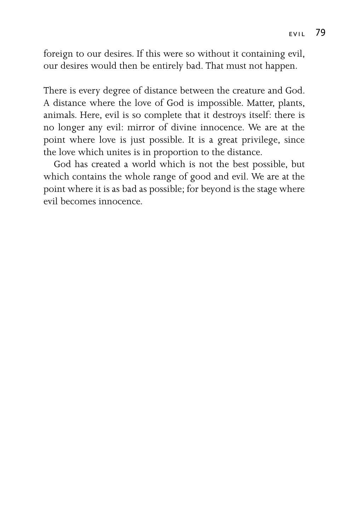foreign to our desires. If this were so without it containing evil, our desires would then be entirely bad. That must not happen.

There is every degree of distance between the creature and God. A distance where the love of God is impossible. Matter, plants, animals. Here, evil is so complete that it destroys itself: there is no longer any evil: mirror of divine innocence. We are at the point where love is just possible. It is a great privilege, since the love which unites is in proportion to the distance.

God has created a world which is not the best possible, but which contains the whole range of good and evil. We are at the point where it is as bad as possible; for beyond is the stage where evil becomes innocence.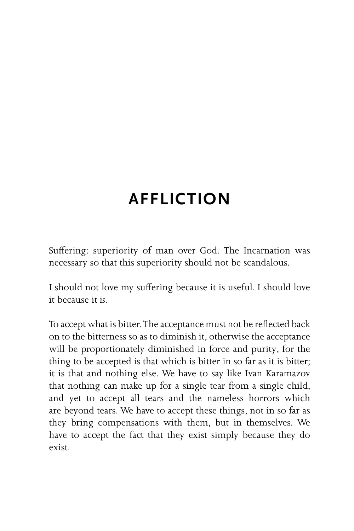# **AFFLICTION**

Suffering: superiority of man over God. The Incarnation was necessary so that this superiority should not be scandalous.

I should not love my suffering because it is useful. I should love it because it *is*.

To accept what is bitter. The acceptance must not be reflected back on to the bitterness so as to diminish it, otherwise the acceptance will be proportionately diminished in force and purity, for the thing to be accepted is that which is bitter in so far as it is bitter; it is that and nothing else. We have to say like Ivan Karamazov that nothing can make up for a single tear from a single child, and yet to accept all tears and the nameless horrors which are beyond tears. We have to accept these things, not in so far as they bring compensations with them, but in themselves. We have to accept the fact that they exist simply because they do exist.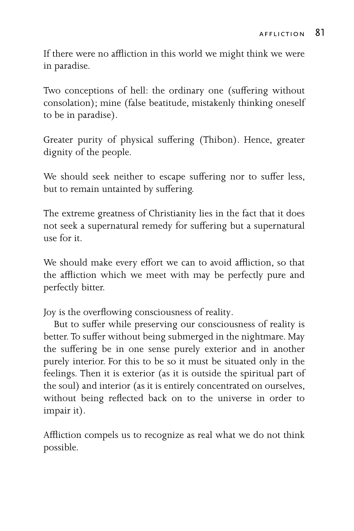If there were no affliction in this world we might think we were in paradise.

Two conceptions of hell: the ordinary one (suffering without consolation); mine (false beatitude, mistakenly thinking oneself to be in paradise).

Greater purity of physical suffering (Thibon). Hence, greater dignity of the people.

We should seek neither to escape suffering nor to suffer less, but to remain untainted by suffering.

The extreme greatness of Christianity lies in the fact that it does not seek a supernatural remedy for suffering but a supernatural use for it.

We should make every effort we can to avoid affliction, so that the affliction which we meet with may be perfectly pure and perfectly bitter.

Joy is the overflowing consciousness of reality.

But to suffer while preserving our consciousness of reality is better. To suffer without being submerged in the nightmare. May the suffering be in one sense purely exterior and in another purely interior. For this to be so it must be situated only in the feelings. Then it is exterior (as it is outside the spiritual part of the soul) and interior (as it is entirely concentrated on ourselves, without being reflected back on to the universe in order to impair it).

Affliction compels us to recognize as real what we do not think possible.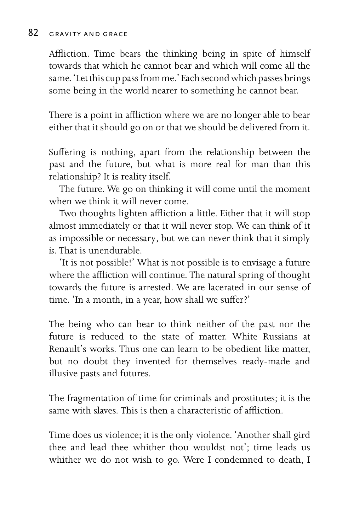### 82 **GRAVITY AND GRACE**

Affliction. Time bears the thinking being in spite of himself towards that which he cannot bear and which will come all the same. 'Let this cup pass from me.' Each second which passes brings some being in the world nearer to something he cannot bear.

There is a point in affliction where we are no longer able to bear either that it should go on or that we should be delivered from it.

Suffering is nothing, apart from the relationship between the past and the future, but what is more real for man than this relationship? It is reality itself.

The future. We go on thinking it will come until the moment when we think it will never come.

Two thoughts lighten affliction a little. Either that it will stop almost immediately or that it will never stop. We can think of it as impossible or necessary, but we can never think that it simply *is*. That is unendurable.

'It is not possible!' What is not possible is to envisage a future where the affliction will continue. The natural spring of thought towards the future is arrested. We are lacerated in our sense of time. 'In a month, in a year, how shall we suffer?'

The being who can bear to think neither of the past nor the future is reduced to the state of matter. White Russians at Renault's works. Thus one can learn to be obedient like matter, but no doubt they invented for themselves ready-made and illusive pasts and futures.

The fragmentation of time for criminals and prostitutes; it is the same with slaves. This is then a characteristic of affliction.

Time does us violence; it is the only violence. 'Another shall gird thee and lead thee whither thou wouldst not'; time leads us whither we do not wish to go. Were I condemned to death, I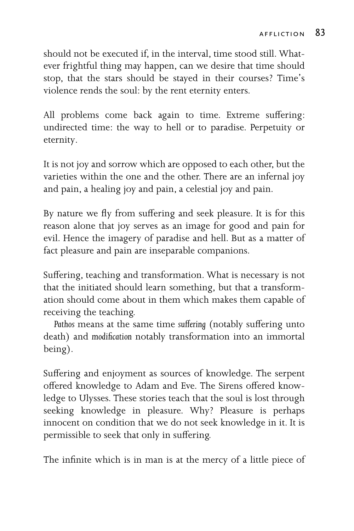should not be executed if, in the interval, time stood still. Whatever frightful thing may happen, can we desire that time should stop, that the stars should be stayed in their courses? Time's violence rends the soul: by the rent eternity enters.

All problems come back again to time. Extreme suffering: undirected time: the way to hell or to paradise. Perpetuity or eternity.

It is not joy and sorrow which are opposed to each other, but the varieties within the one and the other. There are an infernal joy and pain, a healing joy and pain, a celestial joy and pain.

By nature we fly from suffering and seek pleasure. It is for this reason alone that joy serves as an image for good and pain for evil. Hence the imagery of paradise and hell. But as a matter of fact pleasure and pain are inseparable companions.

Suffering, teaching and transformation. What is necessary is not that the initiated should learn something, but that a transformation should come about in them which makes them capable of receiving the teaching.

*Pathos* means at the same time *suffering* (notably suffering unto death) and *modification* notably transformation into an immortal being).

Suffering and enjoyment as sources of knowledge. The serpent offered knowledge to Adam and Eve. The Sirens offered knowledge to Ulysses. These stories teach that the soul is lost through seeking knowledge in pleasure. Why? Pleasure is perhaps innocent on condition that we do not seek knowledge in it. It is permissible to seek that only in suffering.

The infinite which is in man is at the mercy of a little piece of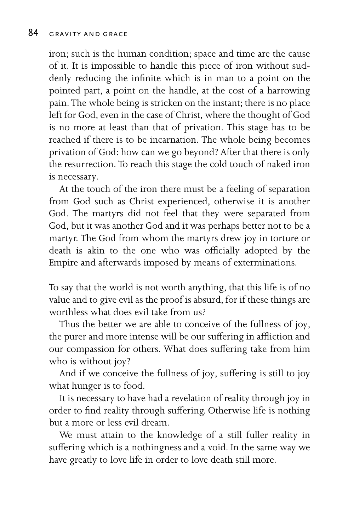iron; such is the human condition; space and time are the cause of it. It is impossible to handle this piece of iron without suddenly reducing the infinite which is in man to a point on the pointed part, a point on the handle, at the cost of a harrowing pain. The whole being is stricken on the instant; there is no place left for God, even in the case of Christ, where the thought of God is no more at least than that of privation. This stage has to be reached if there is to be incarnation. The whole being becomes privation of God: how can we go beyond? After that there is only the resurrection. To reach this stage the cold touch of naked iron is necessary.

At the touch of the iron there must be a feeling of separation from God such as Christ experienced, otherwise it is another God. The martyrs did not feel that they were separated from God, but it was another God and it was perhaps better not to be a martyr. The God from whom the martyrs drew joy in torture or death is akin to the one who was officially adopted by the Empire and afterwards imposed by means of exterminations.

To say that the world is not worth anything, that this life is of no value and to give evil as the proof is absurd, for if these things are worthless what does evil take from us?

Thus the better we are able to conceive of the fullness of joy, the purer and more intense will be our suffering in affliction and our compassion for others. What does suffering take from him who is without joy?

And if we conceive the fullness of joy, suffering is still to joy what hunger is to food.

It is necessary to have had a revelation of reality through joy in order to find reality through suffering. Otherwise life is nothing but a more or less evil dream.

We must attain to the knowledge of a still fuller reality in suffering which is a nothingness and a void. In the same way we have greatly to love life in order to love death still more.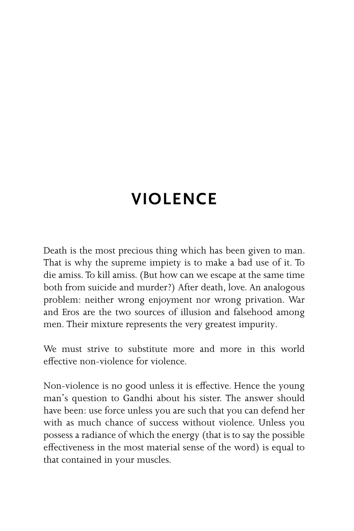## **VIOLENCE**

Death is the most precious thing which has been given to man. That is why the supreme impiety is to make a bad use of it. To die amiss. To kill amiss. (But how can we escape at the same time both from suicide and murder?) After death, love. An analogous problem: neither wrong enjoyment nor wrong privation. War and Eros are the two sources of illusion and falsehood among men. Their mixture represents the very greatest impurity.

We must strive to substitute more and more in this world effective non-violence for violence.

Non-violence is no good unless it is effective. Hence the young man's question to Gandhi about his sister. The answer should have been: use force unless you are such that you can defend her with as much chance of success without violence. Unless you possess a radiance of which the energy (that is to say the possible effectiveness in the most material sense of the word) is equal to that contained in your muscles.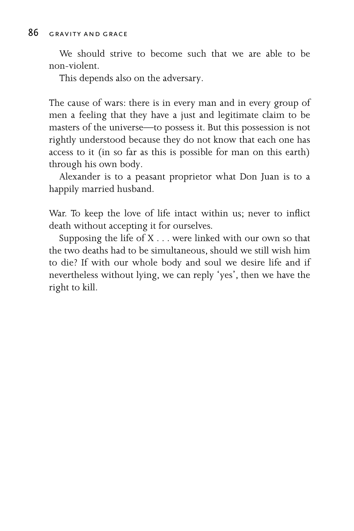We should strive to become such that we are able to be non-violent.

This depends also on the adversary.

The cause of wars: there is in every man and in every group of men a feeling that they have a just and legitimate claim to be masters of the universe—to possess it. But this possession is not rightly understood because they do not know that each one has access to it (in so far as this is possible for man on this earth) through his own body.

Alexander is to a peasant proprietor what Don Juan is to a happily married husband.

War. To keep the love of life intact within us; never to inflict death without accepting it for ourselves.

Supposing the life of  $X \dots$  were linked with our own so that the two deaths had to be simultaneous, should we still wish him to die? If with our whole body and soul we desire life and if nevertheless without lying, we can reply 'yes', then we have the right to kill.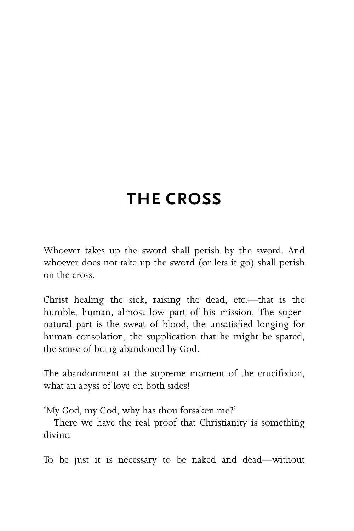### **THE CROSS**

Whoever takes up the sword shall perish by the sword. And whoever does not take up the sword (or lets it go) shall perish on the cross.

Christ healing the sick, raising the dead, etc.—that is the humble, human, almost low part of his mission. The supernatural part is the sweat of blood, the unsatisfied longing for human consolation, the supplication that he might be spared, the sense of being abandoned by God.

The abandonment at the supreme moment of the crucifixion, what an abyss of love on both sides!

'My God, my God, why has thou forsaken me?'

There we have the real proof that Christianity is something divine.

To be just it is necessary to be naked and dead—without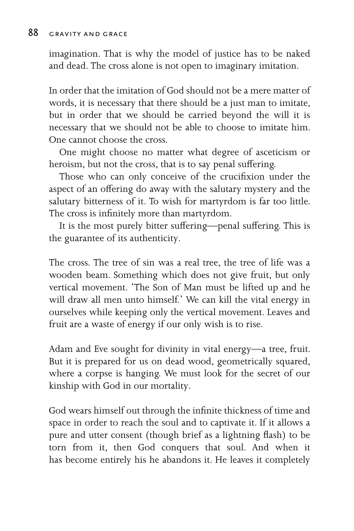imagination. That is why the model of justice has to be naked and dead. The cross alone is not open to imaginary imitation.

In order that the imitation of God should not be a mere matter of words, it is necessary that there should be a just man to imitate, but in order that we should be carried beyond the will it is necessary that we should not be able to choose to imitate him. One cannot choose the cross.

One might choose no matter what degree of asceticism or heroism, but not the cross, that is to say penal suffering.

Those who can only conceive of the crucifixion under the aspect of an offering do away with the salutary mystery and the salutary bitterness of it. To wish for martyrdom is far too little. The cross is infinitely more than martyrdom.

It is the most purely bitter suffering—penal suffering. This is the guarantee of its authenticity.

The cross. The tree of sin was a real tree, the tree of life was a wooden beam. Something which does not give fruit, but only vertical movement. 'The Son of Man must be lifted up and he will draw all men unto himself.' We can kill the vital energy in ourselves while keeping only the vertical movement. Leaves and fruit are a waste of energy if our only wish is to rise.

Adam and Eve sought for divinity in vital energy—a tree, fruit. But it is prepared for us on dead wood, geometrically squared, where a corpse is hanging. We must look for the secret of our kinship with God in our mortality.

God wears himself out through the infinite thickness of time and space in order to reach the soul and to captivate it. If it allows a pure and utter consent (though brief as a lightning flash) to be torn from it, then God conquers that soul. And when it has become entirely his he abandons it. He leaves it completely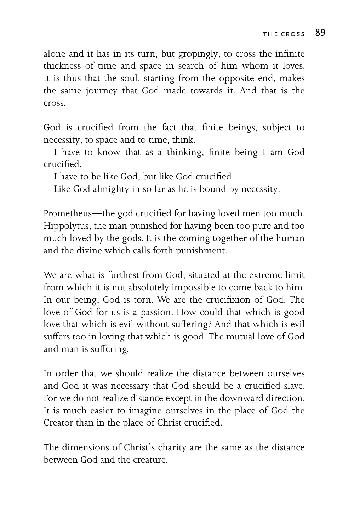alone and it has in its turn, but gropingly, to cross the infinite thickness of time and space in search of him whom it loves. It is thus that the soul, starting from the opposite end, makes the same journey that God made towards it. And that is the cross.

God is crucified from the fact that finite beings, subject to necessity, to space and to time, think.

I have to know that as a thinking, finite being I am God crucified.

I have to be like God, but like God crucified.

Like God almighty in so far as he is bound by necessity.

Prometheus—the god crucified for having loved men too much. Hippolytus, the man punished for having been too pure and too much loved by the gods. It is the coming together of the human and the divine which calls forth punishment.

We are what is furthest from God, situated at the extreme limit from which it is not absolutely impossible to come back to him. In our being, God is torn. We are the crucifixion of God. The love of God for us is a passion. How could that which is good love that which is evil without suffering? And that which is evil suffers too in loving that which is good. The mutual love of God and man is suffering.

In order that we should realize the distance between ourselves and God it was necessary that God should be a crucified slave. For we do not realize distance except in the downward direction. It is much easier to imagine ourselves in the place of God the Creator than in the place of Christ crucified.

The dimensions of Christ's charity are the same as the distance between God and the creature.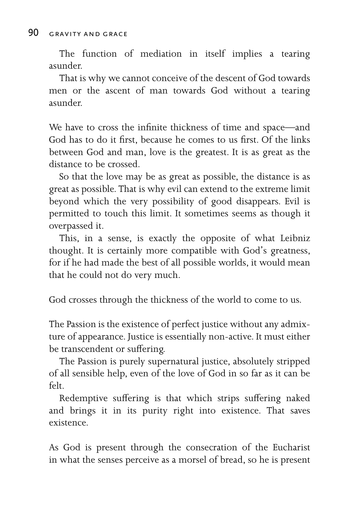The function of mediation in itself implies a tearing asunder.

That is why we cannot conceive of the descent of God towards men or the ascent of man towards God without a tearing asunder.

We have to cross the infinite thickness of time and space—and God has to do it first, because he comes to us first. Of the links between God and man, love is the greatest. It is as great as the distance to be crossed.

So that the love may be as great as possible, the distance is as great as possible. That is why evil can extend to the extreme limit beyond which the very possibility of good disappears. Evil is permitted to touch this limit. It sometimes seems as though it overpassed it.

This, in a sense, is exactly the opposite of what Leibniz thought. It is certainly more compatible with God's greatness, for if he had made the best of all possible worlds, it would mean that he could not do very much.

God crosses through the thickness of the world to come to us.

The Passion is the existence of perfect justice without any admixture of appearance. Justice is essentially non-active. It must either be transcendent or suffering.

The Passion is purely supernatural justice, absolutely stripped of all sensible help, even of the love of God in so far as it can be felt.

Redemptive suffering is that which strips suffering naked and brings it in its purity right into existence. That saves existence.

As God is present through the consecration of the Eucharist in what the senses perceive as a morsel of bread, so he is present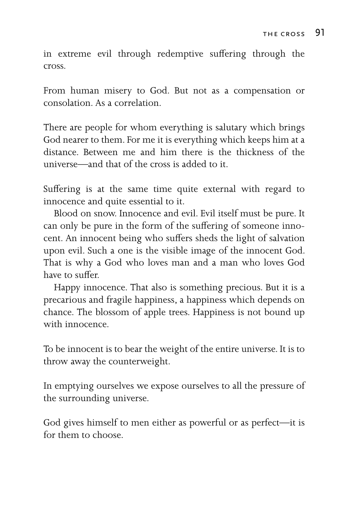in extreme evil through redemptive suffering through the cross.

From human misery to God. But not as a compensation or consolation. As a correlation.

There are people for whom everything is salutary which brings God nearer to them. For me it is everything which keeps him at a distance. Between me and him there is the thickness of the universe—and that of the cross is added to it.

Suffering is at the same time quite external with regard to innocence and quite essential to it.

Blood on snow. Innocence and evil. Evil itself must be pure. It can only be pure in the form of the suffering of someone innocent. An innocent being who suffers sheds the light of salvation upon evil. Such a one is the visible image of the innocent God. That is why a God who loves man and a man who loves God have to suffer.

Happy innocence. That also is something precious. But it is a precarious and fragile happiness, a happiness which depends on chance. The blossom of apple trees. Happiness is not bound up with innocence.

To be innocent is to bear the weight of the entire universe. It is to throw away the counterweight.

In emptying ourselves we expose ourselves to all the pressure of the surrounding universe.

God gives himself to men either as powerful or as perfect—it is for them to choose.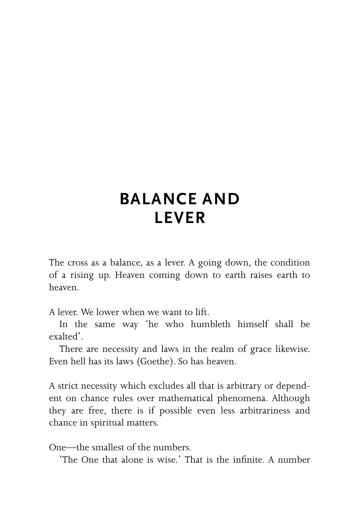### **BALANCE AND LEVER**

The cross as a balance, as a lever. A going down, the condition of a rising up. Heaven coming down to earth raises earth to heaven.

A lever. We lower when we want to lift.

In the same way 'he who humbleth himself shall be exalted'.

There are necessity and laws in the realm of grace likewise. Even hell has its laws (Goethe). So has heaven.

A strict necessity which excludes all that is arbitrary or dependent on chance rules over mathematical phenomena. Although they are free, there is if possible even less arbitrariness and chance in spiritual matters.

One—the smallest of the numbers.

'The One that alone is wise.' That is the infinite. A number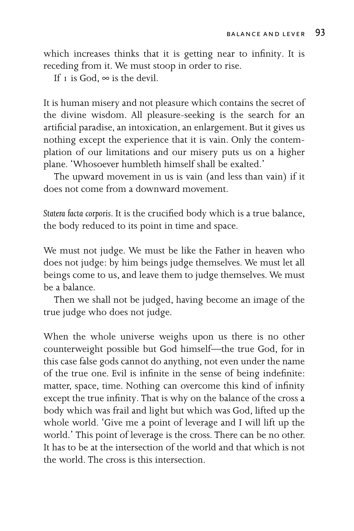which increases thinks that it is getting near to infinity. It is receding from it. We must stoop in order to rise.

If  $\scriptstyle\rm I$  is God,  $\infty$  is the devil.

It is human misery and not pleasure which contains the secret of the divine wisdom. All pleasure-seeking is the search for an artificial paradise, an intoxication, an enlargement. But it gives us nothing except the experience that it is vain. Only the contemplation of our limitations and our misery puts us on a higher plane. 'Whosoever humbleth himself shall be exalted.'

The upward movement in us is vain (and less than vain) if it does not come from a downward movement.

*Statera facta corporis*. It is the crucified body which is a true balance, the body reduced to its point in time and space.

We must not judge. We must be like the Father in heaven who does not judge: by him beings judge themselves. We must let all beings come to us, and leave them to judge themselves. We must be a balance.

Then we shall not be judged, having become an image of the true judge who does not judge.

When the whole universe weighs upon us there is no other counterweight possible but God himself—the true God, for in this case false gods cannot do anything, not even under the name of the true one. Evil is infinite in the sense of being indefinite: matter, space, time. Nothing can overcome this kind of infinity except the true infinity. That is why on the balance of the cross a body which was frail and light but which was God, lifted up the whole world. 'Give me a point of leverage and I will lift up the world.' This point of leverage is the cross. There can be no other. It has to be at the intersection of the world and that which is not the world. The cross is this intersection.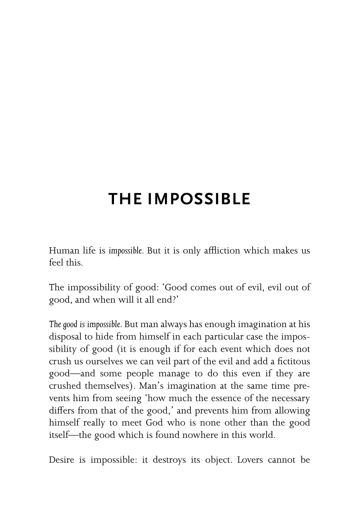## **THE IMPOSSIBLE**

Human life is *impossible*. But it is only affliction which makes us feel this.

The impossibility of good: 'Good comes out of evil, evil out of good, and when will it all end?'

*The good is impossible*. But man always has enough imagination at his disposal to hide from himself in each particular case the impossibility of good (it is enough if for each event which does not crush us ourselves we can veil part of the evil and add a fictitous good—and some people manage to do this even if they are crushed themselves). Man's imagination at the same time prevents him from seeing 'how much the essence of the necessary differs from that of the good,' and prevents him from allowing himself really to meet God who is none other than the good itself—the good which is found nowhere in this world.

Desire is impossible: it destroys its object. Lovers cannot be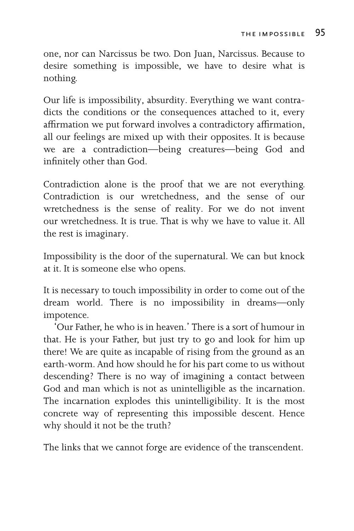one, nor can Narcissus be two. Don Juan, Narcissus. Because to desire something is impossible, we have to desire what is nothing.

Our life is impossibility, absurdity. Everything we want contradicts the conditions or the consequences attached to it, every affirmation we put forward involves a contradictory affirmation, all our feelings are mixed up with their opposites. It is because we are a contradiction—being creatures—being God and infinitely other than God.

Contradiction alone is the proof that we are not everything. Contradiction is our wretchedness, and the sense of our wretchedness is the sense of reality. For we do not invent our wretchedness. It is true. That is why we have to value it. All the rest is imaginary.

Impossibility is the door of the supernatural. We can but knock at it. It is someone else who opens.

It is necessary to touch impossibility in order to come out of the dream world. There is no impossibility in dreams—only impotence.

'Our Father, he who is in heaven.' There is a sort of humour in that. He is your Father, but just try to go and look for him up there! We are quite as incapable of rising from the ground as an earth-worm. And how should he for his part come to us without descending? There is no way of imagining a contact between God and man which is not as unintelligible as the incarnation. The incarnation explodes this unintelligibility. It is the most concrete way of representing this impossible descent. Hence why should it not be the truth?

The links that we cannot forge are evidence of the transcendent.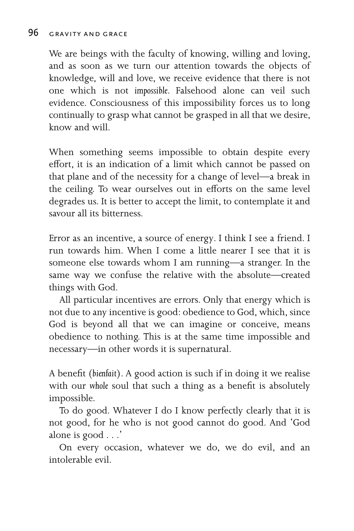We are beings with the faculty of knowing, willing and loving, and as soon as we turn our attention towards the objects of knowledge, will and love, we receive evidence that there is not one which is not *impossible*. Falsehood alone can veil such evidence. Consciousness of this impossibility forces us to long continually to grasp what cannot be grasped in all that we desire, know and will.

When something seems impossible to obtain despite every effort, it is an indication of a limit which cannot be passed on that plane and of the necessity for a change of level—a break in the ceiling. To wear ourselves out in efforts on the same level degrades us. It is better to accept the limit, to contemplate it and savour all its bitterness.

Error as an incentive, a source of energy. I think I see a friend. I run towards him. When I come a little nearer I see that it is someone else towards whom I am running—a stranger. In the same way we confuse the relative with the absolute—created things with God.

All particular incentives are errors. Only that energy which is not due to any incentive is good: obedience to God, which, since God is beyond all that we can imagine or conceive, means obedience to nothing. This is at the same time impossible and necessary—in other words it is supernatural.

A benefit (*bienfait*). A good action is such if in doing it we realise with our *whole* soul that such a thing as a benefit is absolutely impossible.

To do good. Whatever I do I know perfectly clearly that it is not good, for he who is not good cannot do good. And 'God alone is good . . .'

On every occasion, whatever we do, we do evil, and an intolerable evil.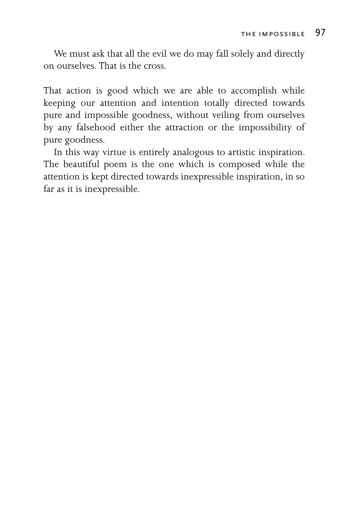We must ask that all the evil we do may fall solely and directly on ourselves. That is the cross.

That action is good which we are able to accomplish while keeping our attention and intention totally directed towards pure and impossible goodness, without veiling from ourselves by any falsehood either the attraction or the impossibility of pure goodness.

In this way virtue is entirely analogous to artistic inspiration. The beautiful poem is the one which is composed while the attention is kept directed towards inexpressible inspiration, in so far as it is inexpressible.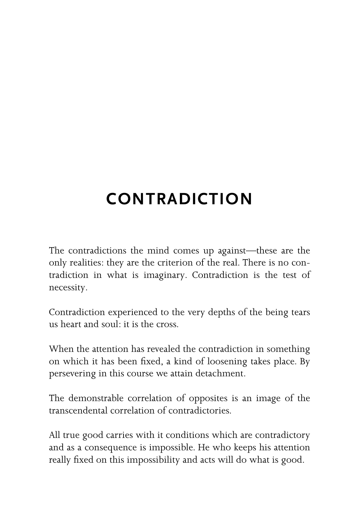# **CONTRADICTION**

The contradictions the mind comes up against—these are the only realities: they are the criterion of the real. There is no contradiction in what is imaginary. Contradiction is the test of necessity.

Contradiction experienced to the very depths of the being tears us heart and soul: it is the cross.

When the attention has revealed the contradiction in something on which it has been fixed, a kind of loosening takes place. By persevering in this course we attain detachment.

The demonstrable correlation of opposites is an image of the transcendental correlation of contradictories.

All true good carries with it conditions which are contradictory and as a consequence is impossible. He who keeps his attention really fixed on this impossibility and acts will do what is good.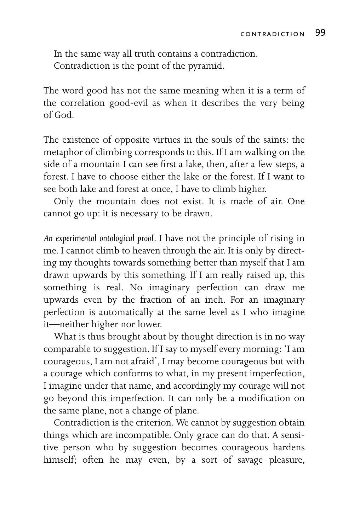In the same way all truth contains a contradiction. Contradiction is the point of the pyramid.

The word good has not the same meaning when it is a term of the correlation good-evil as when it describes the very being of God.

The existence of opposite virtues in the souls of the saints: the metaphor of climbing corresponds to this. If I am walking on the side of a mountain I can see first a lake, then, after a few steps, a forest. I have to choose either the lake or the forest. If I want to see both lake and forest at once, I have to climb higher.

Only the mountain does not exist. It is made of air. One cannot go up: it is necessary to be drawn.

*An experimental ontological proof*. I have not the principle of rising in me. I cannot climb to heaven through the air. It is only by directing my thoughts towards something better than myself that I am drawn upwards by this something. If I am really raised up, this something is real. No imaginary perfection can draw me upwards even by the fraction of an inch. For an imaginary perfection is automatically at the same level as I who imagine it—neither higher nor lower.

What is thus brought about by thought direction is in no way comparable to suggestion. If I say to myself every morning: 'I am courageous, I am not afraid', I may become courageous but with a courage which conforms to what, in my present imperfection, I imagine under that name, and accordingly my courage will not go beyond this imperfection. It can only be a modification on the same plane, not a change of plane.

Contradiction is the criterion. We cannot by suggestion obtain things which are incompatible. Only grace can do that. A sensitive person who by suggestion becomes courageous hardens himself; often he may even, by a sort of savage pleasure,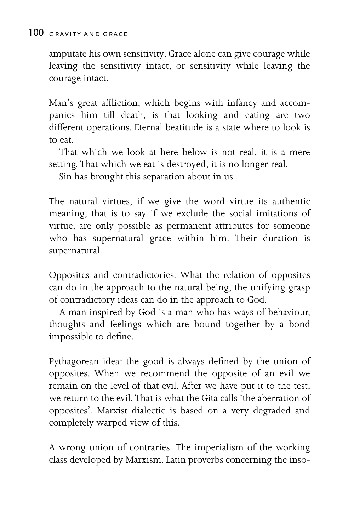#### 100 GRAVITY AND GRACE

amputate his own sensitivity. Grace alone can give courage while leaving the sensitivity intact, or sensitivity while leaving the courage intact.

Man's great affliction, which begins with infancy and accompanies him till death, is that looking and eating are two different operations. Eternal beatitude is a state where to look is to eat.

That which we look at here below is not real, it is a mere setting. That which we eat is destroyed, it is no longer real.

Sin has brought this separation about in us.

The natural virtues, if we give the word virtue its authentic meaning, that is to say if we exclude the social imitations of virtue, are only possible as permanent attributes for someone who has supernatural grace within him. Their duration is supernatural.

Opposites and contradictories. What the relation of opposites can do in the approach to the natural being, the unifying grasp of contradictory ideas can do in the approach to God.

A man inspired by God is a man who has ways of behaviour, thoughts and feelings which are bound together by a bond impossible to define.

Pythagorean idea: the good is always defined by the union of opposites. When we recommend the opposite of an evil we remain on the level of that evil. After we have put it to the test, we return to the evil. That is what the Gita calls 'the aberration of opposites'. Marxist dialectic is based on a very degraded and completely warped view of this.

A wrong union of contraries. The imperialism of the working class developed by Marxism. Latin proverbs concerning the inso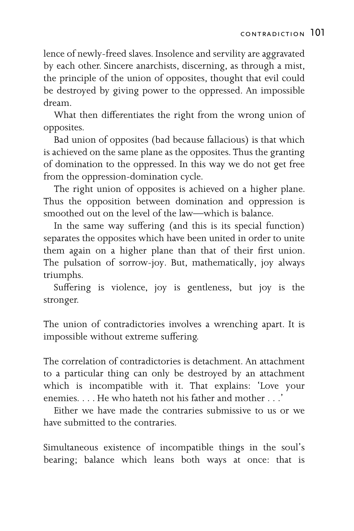lence of newly-freed slaves. Insolence and servility are aggravated by each other. Sincere anarchists, discerning, as through a mist, the principle of the union of opposites, thought that evil could be destroyed by giving power to the oppressed. An impossible dream.

What then differentiates the right from the wrong union of opposites.

Bad union of opposites (bad because fallacious) is that which is achieved on the same plane as the opposites. Thus the granting of domination to the oppressed. In this way we do not get free from the oppression-domination cycle.

The right union of opposites is achieved on a higher plane. Thus the opposition between domination and oppression is smoothed out on the level of the law—which is balance.

In the same way suffering (and this is its special function) separates the opposites which have been united in order to unite them again on a higher plane than that of their first union. The pulsation of sorrow-joy. But, mathematically, joy always triumphs.

Suffering is violence, joy is gentleness, but joy is the stronger.

The union of contradictories involves a wrenching apart. It is impossible without extreme suffering.

The correlation of contradictories is detachment. An attachment to a particular thing can only be destroyed by an attachment which is incompatible with it. That explains: 'Love your enemies. . . . He who hateth not his father and mother . . .'

Either we have made the contraries submissive to us or we have submitted to the contraries.

Simultaneous existence of incompatible things in the soul's bearing; balance which leans both ways at once: that is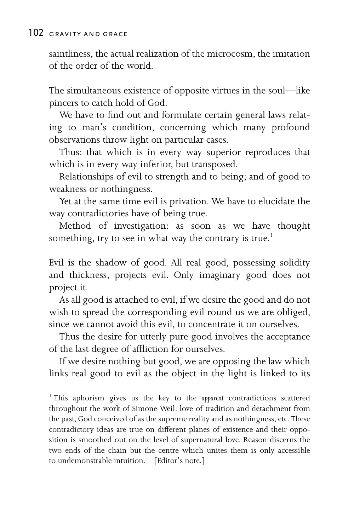saintliness, the actual realization of the microcosm, the imitation of the order of the world.

The simultaneous existence of opposite virtues in the soul—like pincers to catch hold of God.

We have to find out and formulate certain general laws relating to man's condition, concerning which many profound observations throw light on particular cases.

Thus: that which is in every way superior reproduces that which is in every way inferior, but transposed.

Relationships of evil to strength and to being; and of good to weakness or nothingness.

Yet at the same time evil is privation. We have to elucidate the way contradictories have of being true.

Method of investigation: as soon as we have thought something, try to see in what way the contrary is true.<sup>1</sup>

Evil is the shadow of good. All real good, possessing solidity and thickness, projects evil. Only imaginary good does not project it.

As all good is attached to evil, if we desire the good and do not wish to spread the corresponding evil round us we are obliged, since we cannot avoid this evil, to concentrate it on ourselves.

Thus the desire for utterly pure good involves the acceptance of the last degree of affliction for ourselves.

If we desire nothing but good, we are opposing the law which links real good to evil as the object in the light is linked to its

<sup>1</sup> This aphorism gives us the key to the *apparent* contradictions scattered throughout the work of Simone Weil: love of tradition and detachment from the past, God conceived of as the supreme reality and as nothingness, etc. These contradictory ideas are true on different planes of existence and their opposition is smoothed out on the level of supernatural love. Reason discerns the two ends of the chain but the centre which unites them is only accessible to undemonstrable intuition. [Editor's note.]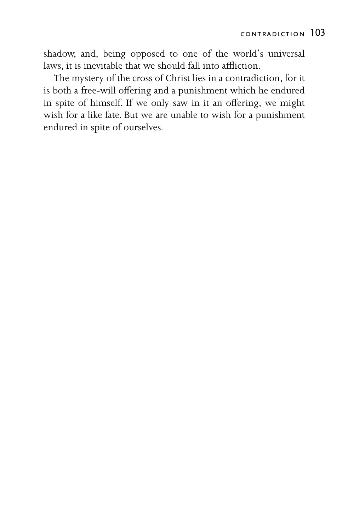shadow, and, being opposed to one of the world's universal laws, it is inevitable that we should fall into affliction.

The mystery of the cross of Christ lies in a contradiction, for it is both a free-will offering and a punishment which he endured in spite of himself. If we only saw in it an offering, we might wish for a like fate. But we are unable to wish for a punishment endured in spite of ourselves.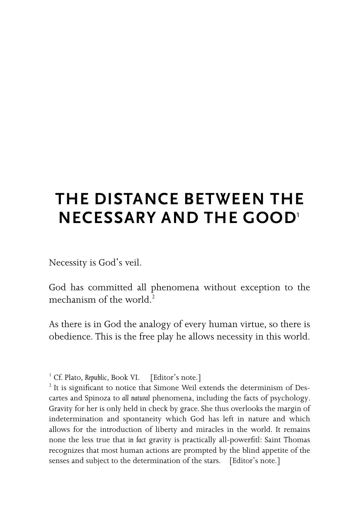## **THE DISTANCE BETWEEN THE NECESSARY AND THE GOOD**<sup>1</sup>

Necessity is God's veil.

God has committed all phenomena without exception to the mechanism of the world  $2$ 

As there is in God the analogy of every human virtue, so there is obedience. This is the free play he allows necessity in this world.

<sup>1</sup> Cf. Plato, Republic, Book VI. [Editor's note.]

 $2$  It is significant to notice that Simone Weil extends the determinism of Descartes and Spinoza to *all natural* phenomena, including the facts of psychology. Gravity for her is only held in check by grace. She thus overlooks the margin of indetermination and spontaneity which God has left in nature and which allows for the introduction of liberty and miracles in the world. It remains none the less true that *in fact* gravity is practically all-powerfitl: Saint Thomas recognizes that most human actions are prompted by the blind appetite of the senses and subject to the determination of the stars. [Editor's note.]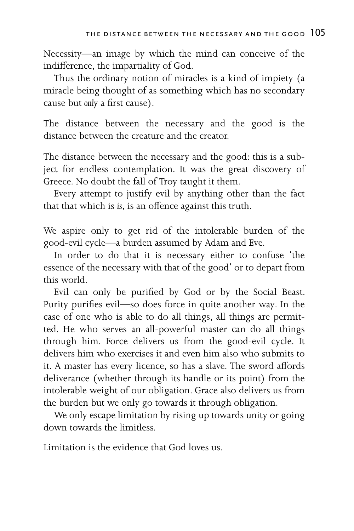Necessity—an image by which the mind can conceive of the indifference, the impartiality of God.

Thus the ordinary notion of miracles is a kind of impiety (a miracle being thought of as something which has no secondary cause but *only* a first cause).

The distance between the necessary and the good is the distance between the creature and the creator.

The distance between the necessary and the good: this is a subject for endless contemplation. It was the great discovery of Greece. No doubt the fall of Troy taught it them.

Every attempt to justify evil by anything other than the fact that that which is *is*, is an offence against this truth.

We aspire only to get rid of the intolerable burden of the good-evil cycle—a burden assumed by Adam and Eve.

In order to do that it is necessary either to confuse 'the essence of the necessary with that of the good' or to depart from this world.

Evil can only be purified by God or by the Social Beast. Purity purifies evil—so does force in quite another way. In the case of one who is able to do all things, all things are permitted. He who serves an all-powerful master can do all things through him. Force delivers us from the good-evil cycle. It delivers him who exercises it and even him also who submits to it. A master has every licence, so has a slave. The sword affords deliverance (whether through its handle or its point) from the intolerable weight of our obligation. Grace also delivers us from the burden but we only go towards it through obligation.

We only escape limitation by rising up towards unity or going down towards the limitless.

Limitation is the evidence that God loves us.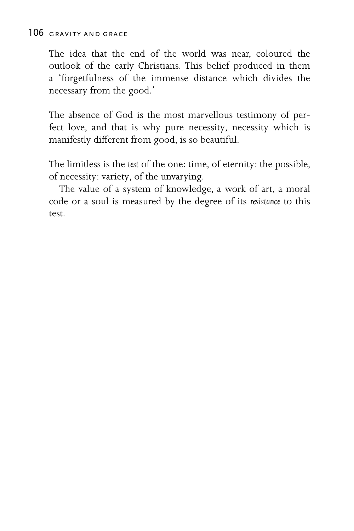#### 106 GRAVITY AND GRACE

The idea that the end of the world was near, coloured the outlook of the early Christians. This belief produced in them a 'forgetfulness of the immense distance which divides the necessary from the good.'

The absence of God is the most marvellous testimony of perfect love, and that is why pure necessity, necessity which is manifestly different from good, is so beautiful.

The limitless is the *test* of the one: time, of eternity: the possible, of necessity: variety, of the unvarying.

The value of a system of knowledge, a work of art, a moral code or a soul is measured by the degree of its *resistance* to this test.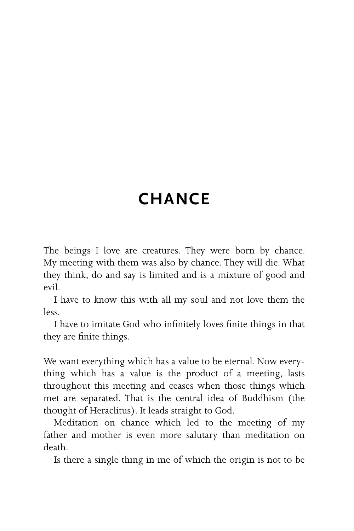# **CHANCE**

The beings I love are creatures. They were born by chance. My meeting with them was also by chance. They will die. What they think, do and say is limited and is a mixture of good and evil.

I have to know this with all my soul and not love them the less.

I have to imitate God who infinitely loves finite things in that they are finite things.

We want everything which has a value to be eternal. Now everything which has a value is the product of a meeting, lasts throughout this meeting and ceases when those things which met are separated. That is the central idea of Buddhism (the thought of Heraclitus). It leads straight to God.

Meditation on chance which led to the meeting of my father and mother is even more salutary than meditation on death.

Is there a single thing in me of which the origin is not to be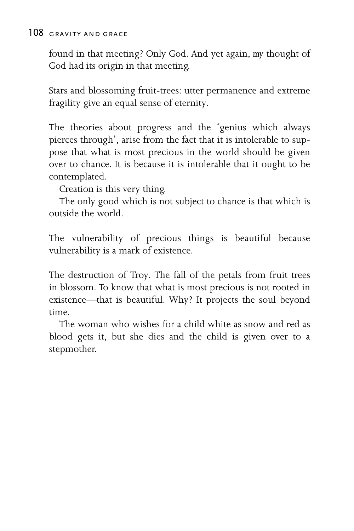#### 108 GRAVITY AND GRACE

found in that meeting? Only God. And yet again, *my* thought of God had its origin in that meeting.

Stars and blossoming fruit-trees: utter permanence and extreme fragility give an equal sense of eternity.

The theories about progress and the 'genius which always pierces through', arise from the fact that it is intolerable to suppose that what is most precious in the world should be given over to chance. It is because it is intolerable that it ought to be contemplated.

Creation is this very thing.

The only good which is not subject to chance is that which is outside the world.

The vulnerability of precious things is beautiful because vulnerability is a mark of existence.

The destruction of Troy. The fall of the petals from fruit trees in blossom. To know that what is most precious is not rooted in existence—that is beautiful. Why? It projects the soul beyond time.

The woman who wishes for a child white as snow and red as blood gets it, but she dies and the child is given over to a stepmother.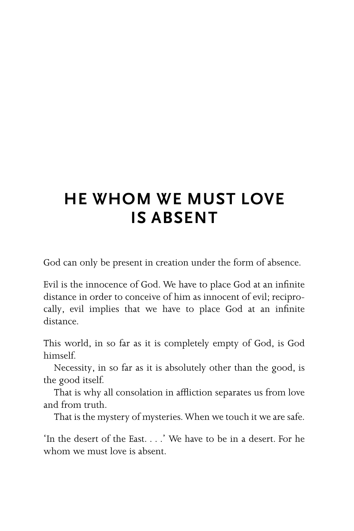# **HE WHOM WE MUST LOVE IS ABSENT**

God can only be present in creation under the form of absence.

Evil is the innocence of God. We have to place God at an infinite distance in order to conceive of him as innocent of evil; reciprocally, evil implies that we have to place God at an infinite distance.

This world, in so far as it is completely empty of God, is God himself.

Necessity, in so far as it is absolutely other than the good, is the good itself.

That is why all consolation in affliction separates us from love and from truth.

That is the mystery of mysteries. When we touch it we are safe.

'In the desert of the East. . . .' We have to be in a desert. For he whom we must love is absent.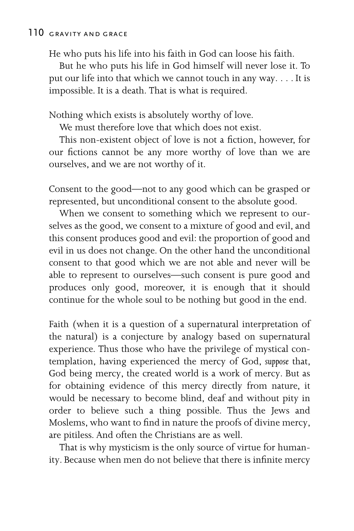He who puts his life into his faith in God can loose his faith.

But he who puts his life in God himself will never lose it. To put our life into that which we cannot touch in any way. . . . It is impossible. It is a death. That is what is required.

Nothing which exists is absolutely worthy of love.

We must therefore love that which does not exist.

This non-existent object of love is not a fiction, however, for our fictions cannot be any more worthy of love than we are ourselves, and we are not worthy of it.

Consent to the good—not to any good which can be grasped or represented, but unconditional consent to the absolute good.

When we consent to something which we represent to ourselves as the good, we consent to a mixture of good and evil, and this consent produces good and evil: the proportion of good and evil in us does not change. On the other hand the unconditional consent to that good which we are not able and never will be able to represent to ourselves—such consent is pure good and produces only good, moreover, it is enough that it should continue for the whole soul to be nothing but good in the end.

Faith (when it is a question of a supernatural interpretation of the natural) is a conjecture by analogy based on supernatural experience. Thus those who have the privilege of mystical contemplation, having experienced the mercy of God, *suppose* that, God being mercy, the created world is a work of mercy. But as for obtaining evidence of this mercy directly from nature, it would be necessary to become blind, deaf and without pity in order to believe such a thing possible. Thus the Jews and Moslems, who want to find in nature the proofs of divine mercy, are pitiless. And often the Christians are as well.

That is why mysticism is the only source of virtue for humanity. Because when men do not believe that there is infinite mercy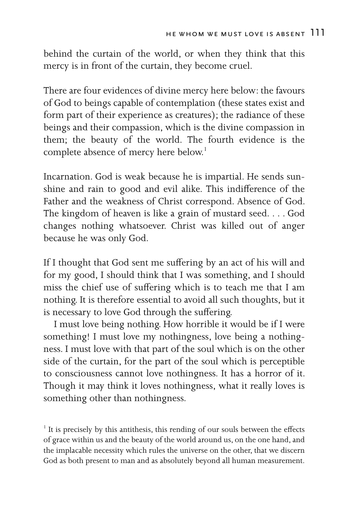behind the curtain of the world, or when they think that this mercy is in front of the curtain, they become cruel.

There are four evidences of divine mercy here below: the favours of God to beings capable of contemplation (these states exist and form part of their experience as creatures); the radiance of these beings and their compassion, which is the divine compassion in them; the beauty of the world. The fourth evidence is the complete absence of mercy here below.<sup>1</sup>

Incarnation. God is weak because he is impartial. He sends sunshine and rain to good and evil alike. This indifference of the Father and the weakness of Christ correspond. Absence of God. The kingdom of heaven is like a grain of mustard seed. . . . God changes nothing whatsoever. Christ was killed out of anger because he was only God.

If I thought that God sent me suffering by an act of his will and for my good, I should think that I was something, and I should miss the chief use of suffering which is to teach me that I am nothing. It is therefore essential to avoid all such thoughts, but it is necessary to love God through the suffering.

I must love being nothing. How horrible it would be if I were something! I must love my nothingness, love being a nothingness. I must love with that part of the soul which is on the other side of the curtain, for the part of the soul which is perceptible to consciousness cannot love nothingness. It has a horror of it. Though it may think it loves nothingness, what it really loves is something other than nothingness.

 $<sup>1</sup>$  It is precisely by this antithesis, this rending of our souls between the effects</sup> of grace within us and the beauty of the world around us, on the one hand, and the implacable necessity which rules the universe on the other, that we discern God as both present to man and as absolutely beyond all human measurement.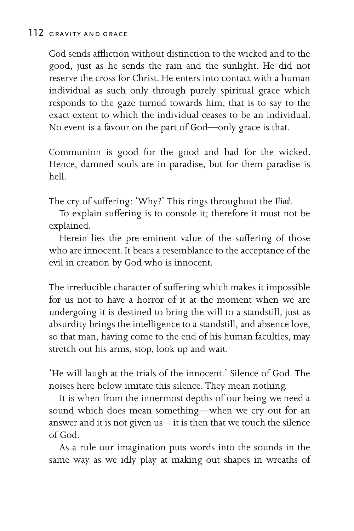### 112 GRAVITY AND GRACE

God sends affliction without distinction to the wicked and to the good, just as he sends the rain and the sunlight. He did not reserve the cross for Christ. He enters into contact with a human individual as such only through purely spiritual grace which responds to the gaze turned towards him, that is to say to the exact extent to which the individual ceases to be an individual. No event is a favour on the part of God—only grace is that.

Communion is good for the good and bad for the wicked. Hence, damned souls are in paradise, but for them paradise is hell.

The cry of suffering: 'Why?' This rings throughout the *Iliad*.

To explain suffering is to console it; therefore it must not be explained.

Herein lies the pre-eminent value of the suffering of those who are innocent. It bears a resemblance to the acceptance of the evil in creation by God who is innocent.

The irreducible character of suffering which makes it impossible for us not to have a horror of it at the moment when we are undergoing it is destined to bring the will to a standstill, just as absurdity brings the intelligence to a standstill, and absence love, so that man, having come to the end of his human faculties, may stretch out his arms, stop, look up and wait.

'He will laugh at the trials of the innocent.' Silence of God. The noises here below imitate this silence. They mean nothing.

It is when from the innermost depths of our being we need a sound which does mean something—when we cry out for an answer and it is not given us—it is then that we touch the silence of God.

As a rule our imagination puts words into the sounds in the same way as we idly play at making out shapes in wreaths of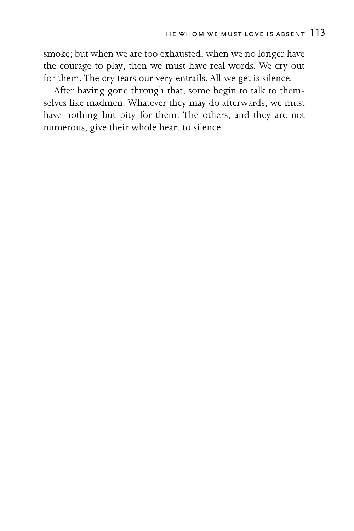smoke; but when we are too exhausted, when we no longer have the courage to play, then we must have real words. We cry out for them. The cry tears our very entrails. All we get is silence.

After having gone through that, some begin to talk to themselves like madmen. Whatever they may do afterwards, we must have nothing but pity for them. The others, and they are not numerous, give their whole heart to silence.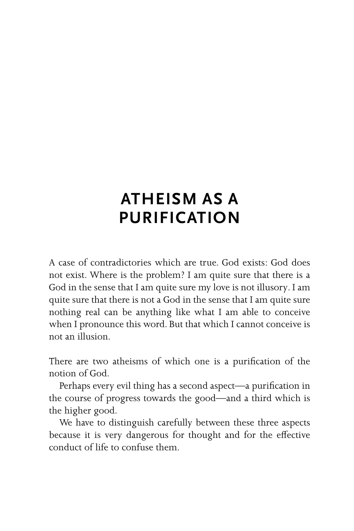## **ATHEISM AS A PURIFICATION**

A case of contradictories which are true. God exists: God does not exist. Where is the problem? I am quite sure that there is a God in the sense that I am quite sure my love is not illusory. I am quite sure that there is not a God in the sense that I am quite sure nothing real can be anything like what I am able to conceive when I pronounce this word. But that which I cannot conceive is not an illusion.

There are two atheisms of which one is a purification of the notion of God.

Perhaps every evil thing has a second aspect—a purification in the course of progress towards the good—and a third which is the higher good.

We have to distinguish carefully between these three aspects because it is very dangerous for thought and for the effective conduct of life to confuse them.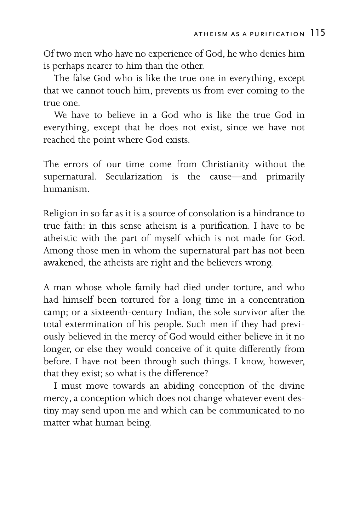Of two men who have no experience of God, he who denies him is perhaps nearer to him than the other.

The false God who is like the true one in everything, except that we cannot touch him, prevents us from ever coming to the true one.

We have to believe in a God who is like the true God in everything, except that he does not exist, since we have not reached the point where God exists.

The errors of our time come from Christianity without the supernatural. Secularization is the cause—and primarily humanism.

Religion in so far as it is a source of consolation is a hindrance to true faith: in this sense atheism is a purification. I have to be atheistic with the part of myself which is not made for God. Among those men in whom the supernatural part has not been awakened, the atheists are right and the believers wrong.

A man whose whole family had died under torture, and who had himself been tortured for a long time in a concentration camp; or a sixteenth-century Indian, the sole survivor after the total extermination of his people. Such men if they had previously believed in the mercy of God would either believe in it no longer, or else they would conceive of it quite differently from before. I have not been through such things. I know, however, that they exist; so what is the difference?

I must move towards an abiding conception of the divine mercy, a conception which does not change whatever event destiny may send upon me and which can be communicated to no matter what human being.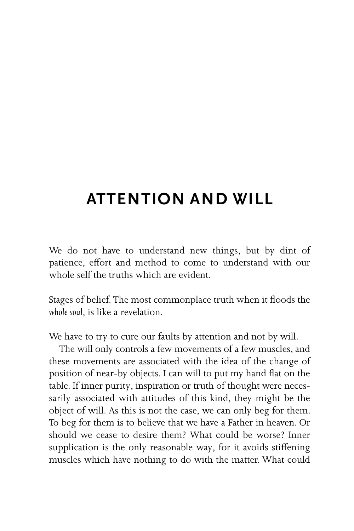### **ATTENTION AND WILL**

We do not have to understand new things, but by dint of patience, effort and method to come to understand with our whole self the truths which are evident.

Stages of belief. The most commonplace truth when it floods the *whole soul*, is like a revelation.

We have to try to cure our faults by attention and not by will.

The will only controls a few movements of a few muscles, and these movements are associated with the idea of the change of position of near-by objects. I can will to put my hand flat on the table. If inner purity, inspiration or truth of thought were necessarily associated with attitudes of this kind, they might be the object of will. As this is not the case, we can only beg for them. To beg for them is to believe that we have a Father in heaven. Or should we cease to desire them? What could be worse? Inner supplication is the only reasonable way, for it avoids stiffening muscles which have nothing to do with the matter. What could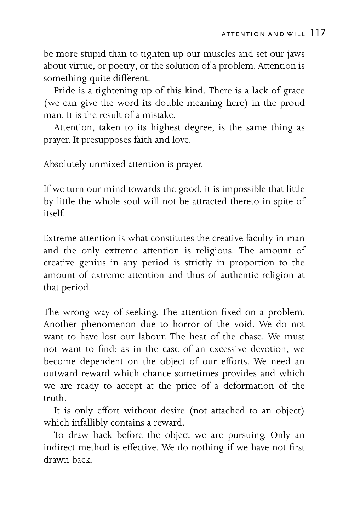be more stupid than to tighten up our muscles and set our jaws about virtue, or poetry, or the solution of a problem. Attention is something quite different.

Pride is a tightening up of this kind. There is a lack of grace (we can give the word its double meaning here) in the proud man. It is the result of a mistake.

Attention, taken to its highest degree, is the same thing as prayer. It presupposes faith and love.

Absolutely unmixed attention is prayer.

If we turn our mind towards the good, it is impossible that little by little the whole soul will not be attracted thereto in spite of itself.

Extreme attention is what constitutes the creative faculty in man and the only extreme attention is religious. The amount of creative genius in any period is strictly in proportion to the amount of extreme attention and thus of authentic religion at that period.

The wrong way of seeking. The attention fixed on a problem. Another phenomenon due to horror of the void. We do not want to have lost our labour. The heat of the chase. We must not want to find: as in the case of an excessive devotion, we become dependent on the object of our efforts. We need an outward reward which chance sometimes provides and which we are ready to accept at the price of a deformation of the truth.

It is only effort without desire (not attached to an object) which infallibly contains a reward.

To draw back before the object we are pursuing. Only an indirect method is effective. We do nothing if we have not first drawn back.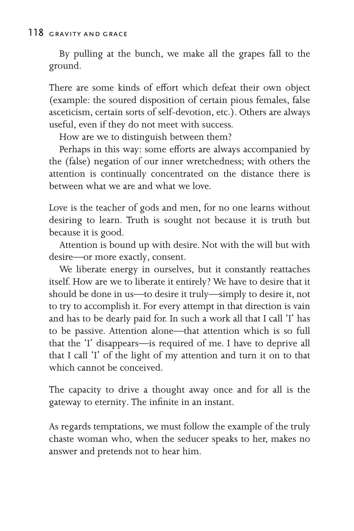By pulling at the bunch, we make all the grapes fall to the ground.

There are some kinds of effort which defeat their own object (example: the soured disposition of certain pious females, false asceticism, certain sorts of self-devotion, etc.). Others are always useful, even if they do not meet with success.

How are we to distinguish between them?

Perhaps in this way: some efforts are always accompanied by the (false) negation of our inner wretchedness; with others the attention is continually concentrated on the distance there is between what we are and what we love.

Love is the teacher of gods and men, for no one learns without desiring to learn. Truth is sought not because it is truth but because it is good.

Attention is bound up with desire. Not with the will but with desire—or more exactly, consent.

We liberate energy in ourselves, but it constantly reattaches itself. How are we to liberate it entirely? We have to desire that it should be done in us—to desire it truly—simply to desire it, not to try to accomplish it. For every attempt in that direction is vain and has to be dearly paid for. In such a work all that I call 'I' has to be passive. Attention alone—that attention which is so full that the 'I' disappears—is required of me. I have to deprive all that I call 'I' of the light of my attention and turn it on to that which cannot be conceived.

The capacity to drive a thought away once and for all is the gateway to eternity. The infinite in an instant.

As regards temptations, we must follow the example of the truly chaste woman who, when the seducer speaks to her, makes no answer and pretends not to hear him.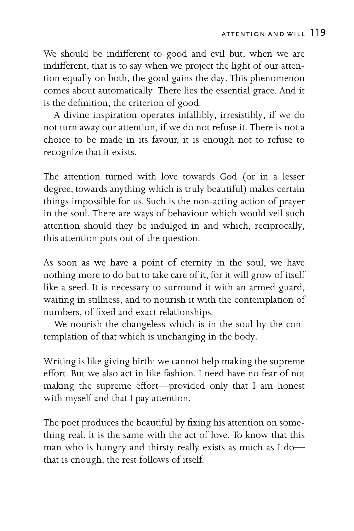We should be indifferent to good and evil but, when we are indifferent, that is to say when we project the light of our attention equally on both, the good gains the day. This phenomenon comes about automatically. There lies the essential grace. And it is the definition, the criterion of good.

A divine inspiration operates infallibly, irresistibly, if we do not turn away our attention, if we do not refuse it. There is not a choice to be made in its favour, it is enough not to refuse to recognize that it exists.

The attention turned with love towards God (or in a lesser degree, towards anything which is truly beautiful) makes certain things impossible for us. Such is the non-acting action of prayer in the soul. There are ways of behaviour which would veil such attention should they be indulged in and which, reciprocally, this attention puts out of the question.

As soon as we have a point of eternity in the soul, we have nothing more to do but to take care of it, for it will grow of itself like a seed. It is necessary to surround it with an armed guard, waiting in stillness, and to nourish it with the contemplation of numbers, of fixed and exact relationships.

We nourish the changeless which is in the soul by the contemplation of that which is unchanging in the body.

Writing is like giving birth: we cannot help making the supreme effort. But we also act in like fashion. I need have no fear of not making the supreme effort—provided only that I am honest with myself and that I pay attention.

The poet produces the beautiful by fixing his attention on something real. It is the same with the act of love. To know that this man who is hungry and thirsty really exists as much as I do that is enough, the rest follows of itself.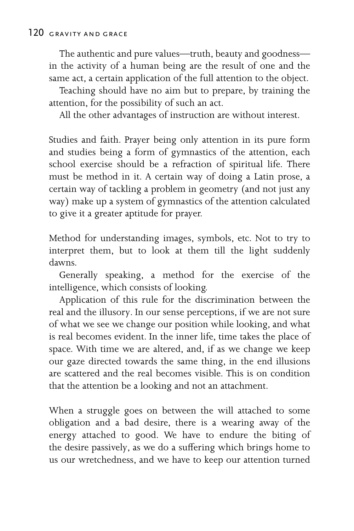The authentic and pure values—truth, beauty and goodness in the activity of a human being are the result of one and the same act, a certain application of the full attention to the object.

Teaching should have no aim but to prepare, by training the attention, for the possibility of such an act.

All the other advantages of instruction are without interest.

Studies and faith. Prayer being only attention in its pure form and studies being a form of gymnastics of the attention, each school exercise should be a refraction of spiritual life. There must be method in it. A certain way of doing a Latin prose, a certain way of tackling a problem in geometry (and not just any way) make up a system of gymnastics of the attention calculated to give it a greater aptitude for prayer.

Method for understanding images, symbols, etc. Not to try to interpret them, but to look at them till the light suddenly dawns.

Generally speaking, a method for the exercise of the intelligence, which consists of looking.

Application of this rule for the discrimination between the real and the illusory. In our sense perceptions, if we are not sure of what we see we change our position while looking, and what is real becomes evident. In the inner life, time takes the place of space. With time we are altered, and, if as we change we keep our gaze directed towards the same thing, in the end illusions are scattered and the real becomes visible. This is on condition that the attention be a looking and not an attachment.

When a struggle goes on between the will attached to some obligation and a bad desire, there is a wearing away of the energy attached to good. We have to endure the biting of the desire passively, as we do a suffering which brings home to us our wretchedness, and we have to keep our attention turned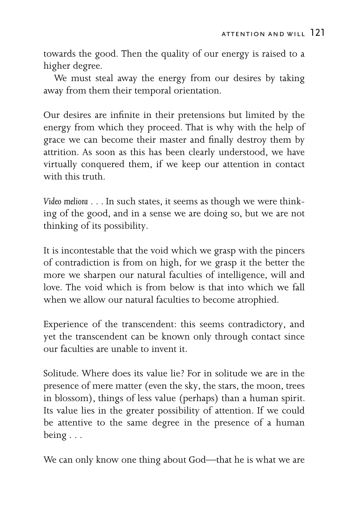towards the good. Then the quality of our energy is raised to a higher degree.

We must steal away the energy from our desires by taking away from them their temporal orientation.

Our desires are infinite in their pretensions but limited by the energy from which they proceed. That is why with the help of grace we can become their master and finally destroy them by attrition. As soon as this has been clearly understood, we have virtually conquered them, if we keep our attention in contact with this truth.

*Video meliora* . . . In such states, it seems as though we were thinking of the good, and in a sense we are doing so, but we are not thinking of its possibility.

It is incontestable that the void which we grasp with the pincers of contradiction is from on high, for we grasp it the better the more we sharpen our natural faculties of intelligence, will and love. The void which is from below is that into which we fall when we allow our natural faculties to become atrophied.

Experience of the transcendent: this seems contradictory, and yet the transcendent can be known only through contact since our faculties are unable to invent it.

Solitude. Where does its value lie? For in solitude we are in the presence of mere matter (even the sky, the stars, the moon, trees in blossom), things of less value (perhaps) than a human spirit. Its value lies in the greater possibility of attention. If we could be attentive to the same degree in the presence of a human being . . .

We can only know one thing about God—that he is what we are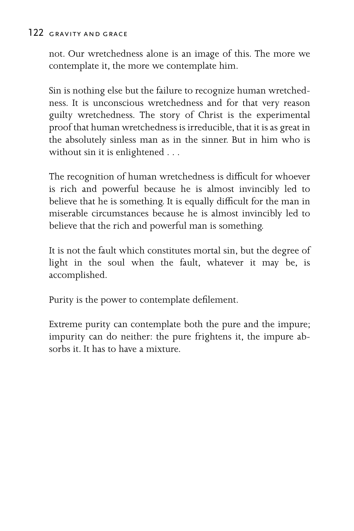### 122 gravity and grace

not. Our wretchedness alone is an image of this. The more we contemplate it, the more we contemplate him.

Sin is nothing else but the failure to recognize human wretchedness. It is unconscious wretchedness and for that very reason guilty wretchedness. The story of Christ is the experimental proof that human wretchedness is irreducible, that it is as great in the absolutely sinless man as in the sinner. But in him who is without sin it is enlightened . . .

The recognition of human wretchedness is difficult for whoever is rich and powerful because he is almost invincibly led to believe that he is something. It is equally difficult for the man in miserable circumstances because he is almost invincibly led to believe that the rich and powerful man is something.

It is not the fault which constitutes mortal sin, but the degree of light in the soul when the fault, whatever it may be, is accomplished.

Purity is the power to contemplate defilement.

Extreme purity can contemplate both the pure and the impure; impurity can do neither: the pure frightens it, the impure absorbs it. It has to have a mixture.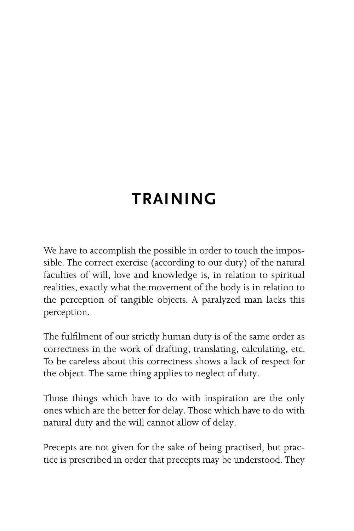# **TRAINING**

We have to accomplish the possible in order to touch the impossible. The correct exercise (according to our duty) of the natural faculties of will, love and knowledge is, in relation to spiritual realities, exactly what the movement of the body is in relation to the perception of tangible objects. A paralyzed man lacks this perception.

The fulfilment of our strictly human duty is of the same order as correctness in the work of drafting, translating, calculating, etc. To be careless about this correctness shows a lack of respect for the object. The same thing applies to neglect of duty.

Those things which have to do with inspiration are the only ones which are the better for delay. Those which have to do with natural duty and the will cannot allow of delay.

Precepts are not given for the sake of being practised, but practice is prescribed in order that precepts may be understood. They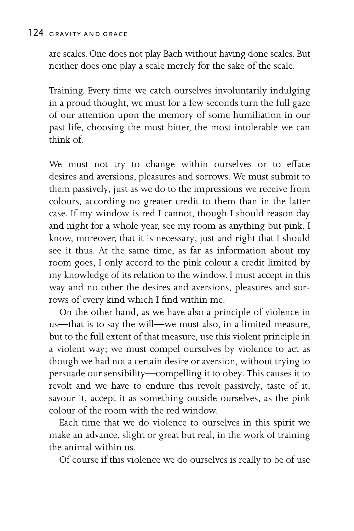### 124 gravity and grace

are scales. One does not play Bach without having done scales. But neither does one play a scale merely for the sake of the scale.

Training. Every time we catch ourselves involuntarily indulging in a proud thought, we must for a few seconds turn the full gaze of our attention upon the memory of some humiliation in our past life, choosing the most bitter, the most intolerable we can think of.

We must not try to change within ourselves or to efface desires and aversions, pleasures and sorrows. We must submit to them passively, just as we do to the impressions we receive from colours, according no greater credit to them than in the latter case. If my window is red I cannot, though I should reason day and night for a whole year, see my room as anything but pink. I know, moreover, that it is necessary, just and right that I should see it thus. At the same time, as far as information about my room goes, I only accord to the pink colour a credit limited by my knowledge of its relation to the window. I must accept in this way and no other the desires and aversions, pleasures and sorrows of every kind which I find within me.

On the other hand, as we have also a principle of violence in us—that is to say the will—we must also, in a limited measure, but to the full extent of that measure, use this violent principle in a violent way; we must compel ourselves by violence to act as though we had not a certain desire or aversion, without trying to persuade our sensibility—compelling it to obey. This causes it to revolt and we have to endure this revolt passively, taste of it, savour it, accept it as something outside ourselves, as the pink colour of the room with the red window.

Each time that we do violence to ourselves in this spirit we make an advance, slight or great but real, in the work of training the animal within us.

Of course if this violence we do ourselves is really to be of use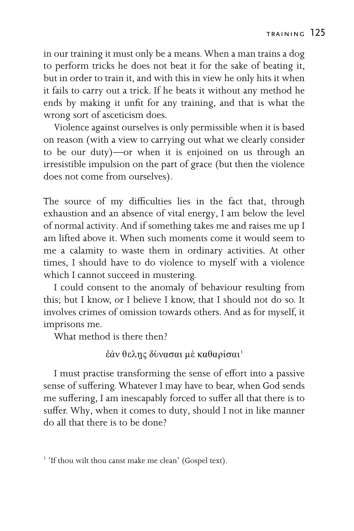in our training it must only be a means. When a man trains a dog to perform tricks he does not beat it for the sake of beating it, but in order to train it, and with this in view he only hits it when it fails to carry out a trick. If he beats it without any method he ends by making it unfit for any training, and that is what the wrong sort of asceticism does.

Violence against ourselves is only permissible when it is based on reason (with a view to carrying out what we clearly consider to be our duty)—or when it is enjoined on us through an irresistible impulsion on the part of grace (but then the violence does not come from ourselves).

The source of my difficulties lies in the fact that, through exhaustion and an absence of vital energy, I am below the level of normal activity. And if something takes me and raises me up I am lifted above it. When such moments come it would seem to me a calamity to waste them in ordinary activities. At other times, I should have to do violence to myself with a violence which I cannot succeed in mustering.

I could consent to the anomaly of behaviour resulting from this; but I know, or I believe I know, that I should not do so. It involves crimes of omission towards others. And as for myself, it imprisons me.

What method is there then?

έάν θελης δύνασαι με καθαρίσαι<sup>1</sup>

I must practise transforming the sense of effort into a passive sense of suffering. Whatever I may have to bear, when God sends me suffering, I am inescapably forced to suffer all that there is to suffer. Why, when it comes to duty, should I not in like manner do all that there is to be done?

 $1$  'If thou wilt thou canst make me clean' (Gospel text).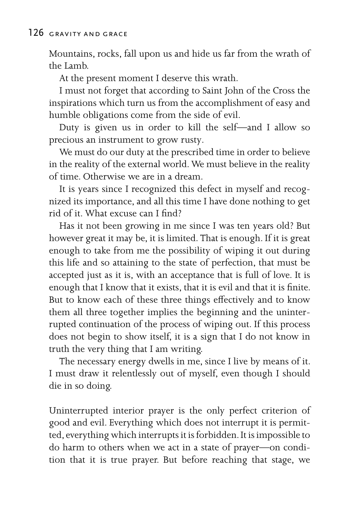Mountains, rocks, fall upon us and hide us far from the wrath of the Lamb.

At the present moment I deserve this wrath.

I must not forget that according to Saint John of the Cross the inspirations which turn us from the accomplishment of easy and humble obligations come from the side of evil.

Duty is given us in order to kill the self—and I allow so precious an instrument to grow rusty.

We must do our duty at the prescribed time in order to believe in the reality of the external world. We must believe in the reality of time. Otherwise we are in a dream.

It is years since I recognized this defect in myself and recognized its importance, and all this time I have done nothing to get rid of it. What excuse can I find?

Has it not been growing in me since I was ten years old? But however great it may be, it is limited. That is enough. If it is great enough to take from me the possibility of wiping it out during this life and so attaining to the state of perfection, that must be accepted just as it is, with an acceptance that is full of love. It is enough that I know that it exists, that it is evil and that it is finite. But to know each of these three things effectively and to know them all three together implies the beginning and the uninterrupted continuation of the process of wiping out. If this process does not begin to show itself, it is a sign that I do not know in truth the very thing that I am writing.

The necessary energy dwells in me, since I live by means of it. I must draw it relentlessly out of myself, even though I should die in so doing.

Uninterrupted interior prayer is the only perfect criterion of good and evil. Everything which does not interrupt it is permitted, everything which interrupts it is forbidden. It is impossible to do harm to others when we act in a state of prayer—on condition that it is true prayer. But before reaching that stage, we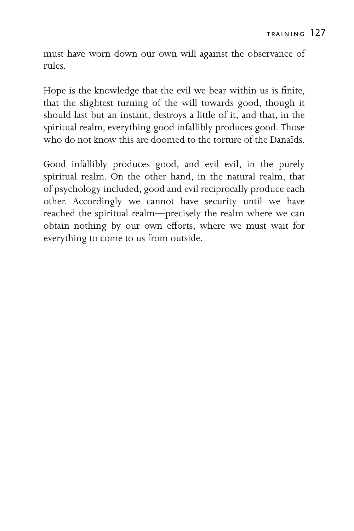must have worn down our own will against the observance of rules.

Hope is the knowledge that the evil we bear within us is finite, that the slightest turning of the will towards good, though it should last but an instant, destroys a little of it, and that, in the spiritual realm, everything good infallibly produces good. Those who do not know this are doomed to the torture of the Danaïds.

Good infallibly produces good, and evil evil, in the purely spiritual realm. On the other hand, in the natural realm, that of psychology included, good and evil reciprocally produce each other. Accordingly we cannot have security until we have reached the spiritual realm—precisely the realm where we can obtain nothing by our own efforts, where we must wait for everything to come to us from outside.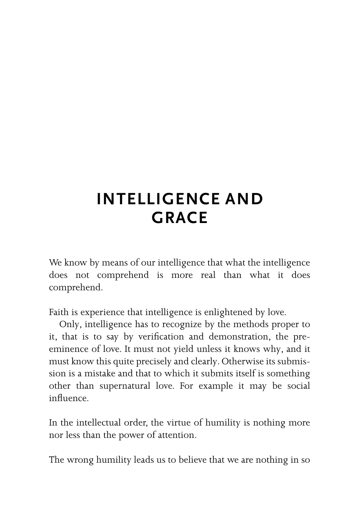# **INTELLIGENCE AND GRACE**

We know by means of our intelligence that what the intelligence does not comprehend is more real than what it does comprehend.

Faith is experience that intelligence is enlightened by love.

Only, intelligence has to recognize by the methods proper to it, that is to say by verification and demonstration, the preeminence of love. It must not yield unless it knows why, and it must know this quite precisely and clearly. Otherwise its submission is a mistake and that to which it submits itself is something other than supernatural love. For example it may be social influence.

In the intellectual order, the virtue of humility is nothing more nor less than the power of attention.

The wrong humility leads us to believe that we are nothing in so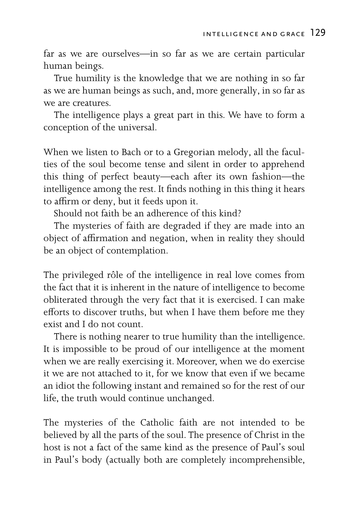far as we are ourselves—in so far as we are certain particular human beings.

True humility is the knowledge that we are nothing in so far as we are human beings as such, and, more generally, in so far as we are creatures.

The intelligence plays a great part in this. We have to form a conception of the universal.

When we listen to Bach or to a Gregorian melody, all the faculties of the soul become tense and silent in order to apprehend this thing of perfect beauty—each after its own fashion—the intelligence among the rest. It finds nothing in this thing it hears to affirm or deny, but it feeds upon it.

Should not faith be an adherence of this kind?

The mysteries of faith are degraded if they are made into an object of affirmation and negation, when in reality they should be an object of contemplation.

The privileged rôle of the intelligence in real love comes from the fact that it is inherent in the nature of intelligence to become obliterated through the very fact that it is exercised. I can make efforts to discover truths, but when I have them before me they exist and I do not count.

There is nothing nearer to true humility than the intelligence. It is impossible to be proud of our intelligence at the moment when we are really exercising it. Moreover, when we do exercise it we are not attached to it, for we know that even if we became an idiot the following instant and remained so for the rest of our life, the truth would continue unchanged.

The mysteries of the Catholic faith are not intended to be believed by all the parts of the soul. The presence of Christ in the host is not a fact of the same kind as the presence of Paul's soul in Paul's body (actually both are completely incomprehensible,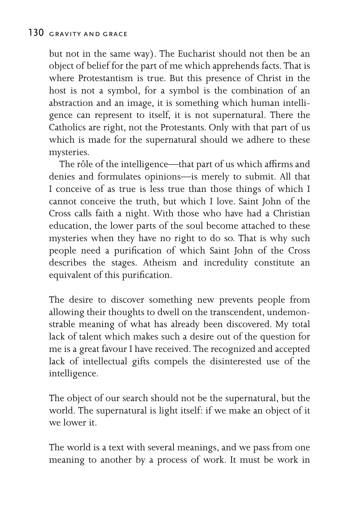but not in the same way). The Eucharist should not then be an object of belief for the part of me which apprehends facts. That is where Protestantism is true. But this presence of Christ in the host is not a symbol, for a symbol is the combination of an abstraction and an image, it is something which human intelligence can represent to itself, it is not supernatural. There the Catholics are right, not the Protestants. Only with that part of us which is made for the supernatural should we adhere to these mysteries.

The rôle of the intelligence—that part of us which affirms and denies and formulates opinions—is merely to submit. All that I conceive of as true is less true than those things of which I cannot conceive the truth, but which I love. Saint John of the Cross calls faith a night. With those who have had a Christian education, the lower parts of the soul become attached to these mysteries when they have no right to do so. That is why such people need a purification of which Saint John of the Cross describes the stages. Atheism and incredulity constitute an equivalent of this purification.

The desire to discover something new prevents people from allowing their thoughts to dwell on the transcendent, undemonstrable meaning of what has already been discovered. My total lack of talent which makes such a desire out of the question for me is a great favour I have received. The recognized and accepted lack of intellectual gifts compels the disinterested use of the intelligence.

The object of our search should not be the supernatural, but the world. The supernatural is light itself: if we make an object of it we lower it.

The world is a text with several meanings, and we pass from one meaning to another by a process of work. It must be work in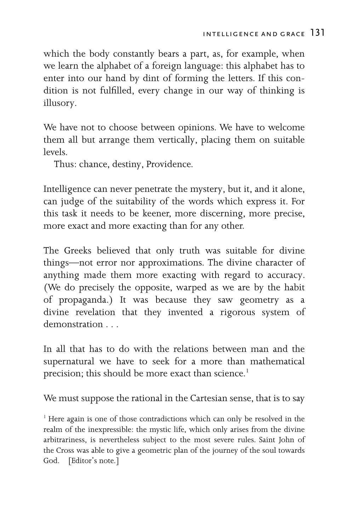which the body constantly bears a part, as, for example, when we learn the alphabet of a foreign language: this alphabet has to enter into our hand by dint of forming the letters. If this condition is not fulfilled, every change in our way of thinking is illusory.

We have not to choose between opinions. We have to welcome them all but arrange them vertically, placing them on suitable levels.

Thus: chance, destiny, Providence.

Intelligence can never penetrate the mystery, but it, and it alone, can judge of the suitability of the words which express it. For this task it needs to be keener, more discerning, more precise, more exact and more exacting than for any other.

The Greeks believed that only truth was suitable for divine things—not error nor approximations. The divine character of anything made them more exacting with regard to accuracy. (We do precisely the opposite, warped as we are by the habit of propaganda.) It was because they saw geometry as a divine revelation that they invented a rigorous system of demonstration . . .

In all that has to do with the relations between man and the supernatural we have to seek for a more than mathematical precision; this should be more exact than science.<sup>1</sup>

We must suppose the rational in the Cartesian sense, that is to say

<sup>1</sup> Here again is one of those contradictions which can only be resolved in the realm of the inexpressible: the mystic life, which only arises from the divine arbitrariness, is nevertheless subject to the most severe rules. Saint John of the Cross was able to give a geometric plan of the journey of the soul towards God. [Editor's note.]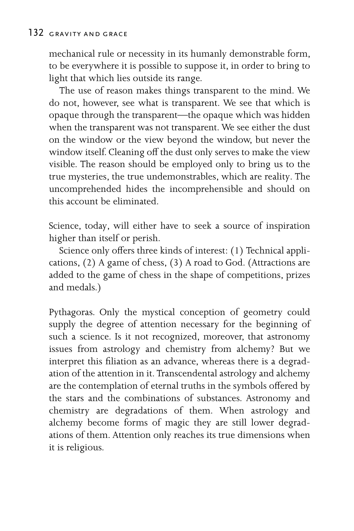mechanical rule or necessity in its humanly demonstrable form, to be everywhere it is possible to suppose it, in order to bring to light that which lies outside its range.

The use of reason makes things transparent to the mind. We do not, however, see what is transparent. We see that which is opaque through the transparent—the opaque which was hidden when the transparent was not transparent. We see either the dust on the window or the view beyond the window, but never the window itself. Cleaning off the dust only serves to make the view visible. The reason should be employed only to bring us to the true mysteries, the true undemonstrables, which are reality. The uncomprehended hides the incomprehensible and should on this account be eliminated.

Science, today, will either have to seek a source of inspiration higher than itself or perish.

Science only offers three kinds of interest: (1) Technical applications, (2) A game of chess, (3) A road to God. (Attractions are added to the game of chess in the shape of competitions, prizes and medals.)

Pythagoras. Only the mystical conception of geometry could supply the degree of attention necessary for the beginning of such a science. Is it not recognized, moreover, that astronomy issues from astrology and chemistry from alchemy? But we interpret this filiation as an advance, whereas there is a degradation of the attention in it. Transcendental astrology and alchemy are the contemplation of eternal truths in the symbols offered by the stars and the combinations of substances. Astronomy and chemistry are degradations of them. When astrology and alchemy become forms of magic they are still lower degradations of them. Attention only reaches its true dimensions when it is religious.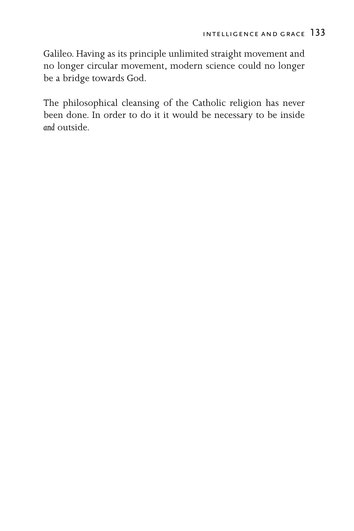Galileo. Having as its principle unlimited straight movement and no longer circular movement, modern science could no longer be a bridge towards God.

The philosophical cleansing of the Catholic religion has never been done. In order to do it it would be necessary to be inside *and* outside.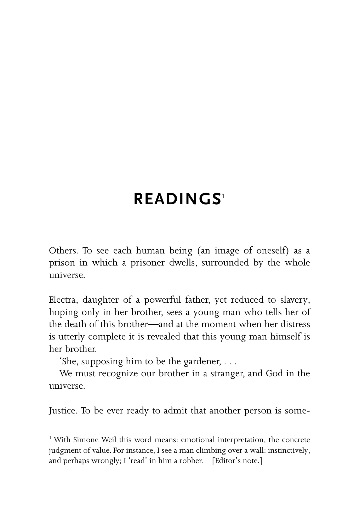## **READINGS**<sup>1</sup>

Others. To see each human being (an image of oneself) as a prison in which a prisoner dwells, surrounded by the whole universe.

Electra, daughter of a powerful father, yet reduced to slavery, hoping only in her brother, sees a young man who tells her of the death of this brother—and at the moment when her distress is utterly complete it is revealed that this young man himself is her brother.

'She, supposing him to be the gardener, . . .

We must recognize our brother in a stranger, and God in the universe.

Justice. To be ever ready to admit that another person is some-

<sup>1</sup> With Simone Weil this word means: emotional interpretation, the concrete judgment of value. For instance, I see a man climbing over a wall: instinctively, and perhaps wrongly; I 'read' in him a robber. [Editor's note.]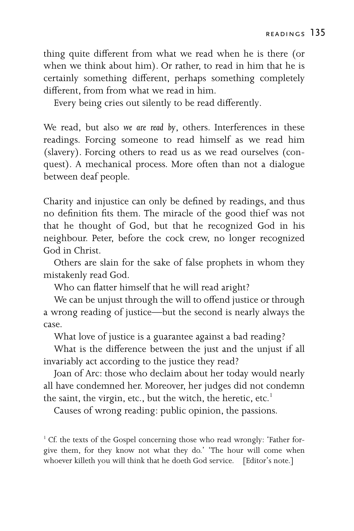thing quite different from what we read when he is there (or when we think about him). Or rather, to read in him that he is certainly something different, perhaps something completely different, from from what we read in him.

Every being cries out silently to be read differently.

We read, but also *we are read by*, others. Interferences in these readings. Forcing someone to read himself as we read him (slavery). Forcing others to read us as we read ourselves (conquest). A mechanical process. More often than not a dialogue between deaf people.

Charity and injustice can only be defined by readings, and thus no definition fits them. The miracle of the good thief was not that he thought of God, but that he recognized God in his neighbour. Peter, before the cock crew, no longer recognized God in Christ.

Others are slain for the sake of false prophets in whom they mistakenly read God.

Who can flatter himself that he will read aright?

We can be unjust through the will to offend justice or through a wrong reading of justice—but the second is nearly always the case.

What love of justice is a guarantee against a bad reading?

What is the difference between the just and the unjust if all invariably act according to the justice they read?

Joan of Arc: those who declaim about her today would nearly all have condemned her. Moreover, her judges did not condemn the saint, the virgin, etc., but the witch, the heretic, etc.<sup>1</sup>

Causes of wrong reading: public opinion, the passions.

 $1$  Cf. the texts of the Gospel concerning those who read wrongly: 'Father forgive them, for they know not what they do.' 'The hour will come when whoever killeth you will think that he doeth God service. [Editor's note.]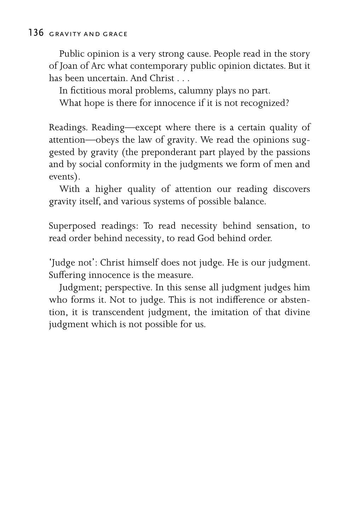Public opinion is a very strong cause. People read in the story of Joan of Arc what contemporary public opinion dictates. But it has been uncertain. And Christ . . .

In fictitious moral problems, calumny plays no part.

What hope is there for innocence if it is not recognized?

Readings. Reading—except where there is a certain quality of attention—obeys the law of gravity. We read the opinions suggested by gravity (the preponderant part played by the passions and by social conformity in the judgments we form of men and events).

With a higher quality of attention our reading discovers gravity itself, and various systems of possible balance.

Superposed readings: To read necessity behind sensation, to read order behind necessity, to read God behind order.

'Judge not': Christ himself does not judge. He is our judgment. Suffering innocence is the measure.

Judgment; perspective. In this sense all judgment judges him who forms it. Not to judge. This is not indifference or abstention, it is transcendent judgment, the imitation of that divine judgment which is not possible for us.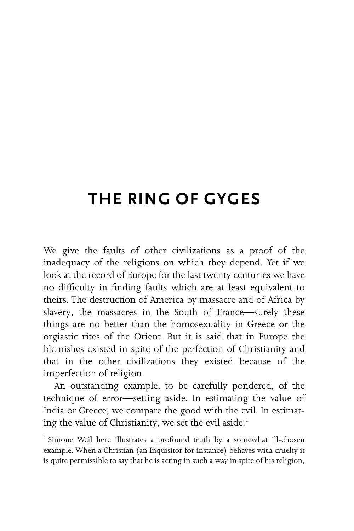### **THE RING OF GYGES**

We give the faults of other civilizations as a proof of the inadequacy of the religions on which they depend. Yet if we look at the record of Europe for the last twenty centuries we have no difficulty in finding faults which are at least equivalent to theirs. The destruction of America by massacre and of Africa by slavery, the massacres in the South of France—surely these things are no better than the homosexuality in Greece or the orgiastic rites of the Orient. But it is said that in Europe the blemishes existed in spite of the perfection of Christianity and that in the other civilizations they existed because of the imperfection of religion.

An outstanding example, to be carefully pondered, of the technique of error—setting aside. In estimating the value of India or Greece, we compare the good with the evil. In estimating the value of Christianity, we set the evil aside. $1$ 

<sup>1</sup> Simone Weil here illustrates a profound truth by a somewhat ill-chosen example. When a Christian (an Inquisitor for instance) behaves with cruelty it is quite permissible to say that he is acting in such a way in spite of his religion,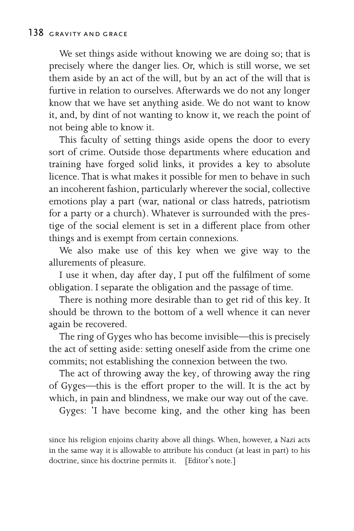We set things aside without knowing we are doing so; that is precisely where the danger lies. Or, which is still worse, we set them aside by an act of the will, but by an act of the will that is furtive in relation to ourselves. Afterwards we do not any longer know that we have set anything aside. We do not want to know it, and, by dint of not wanting to know it, we reach the point of not being able to know it.

This faculty of setting things aside opens the door to every sort of crime. Outside those departments where education and training have forged solid links, it provides a key to absolute licence. That is what makes it possible for men to behave in such an incoherent fashion, particularly wherever the social, collective emotions play a part (war, national or class hatreds, patriotism for a party or a church). Whatever is surrounded with the prestige of the social element is set in a different place from other things and is exempt from certain connexions.

We also make use of this key when we give way to the allurements of pleasure.

I use it when, day after day, I put off the fulfilment of some obligation. I separate the obligation and the passage of time.

There is nothing more desirable than to get rid of this key. It should be thrown to the bottom of a well whence it can never again be recovered.

The ring of Gyges who has become invisible—this is precisely the act of setting aside: setting oneself aside from the crime one commits; not establishing the connexion between the two.

The act of throwing away the key, of throwing away the ring of Gyges—this is the effort proper to the will. It is the act by which, in pain and blindness, we make our way out of the cave.

Gyges: 'I have become king, and the other king has been

since his religion enjoins charity above all things. When, however, a Nazi acts in the same way it is allowable to attribute his conduct (at least in part) to his doctrine, since his doctrine permits it. [Editor's note.]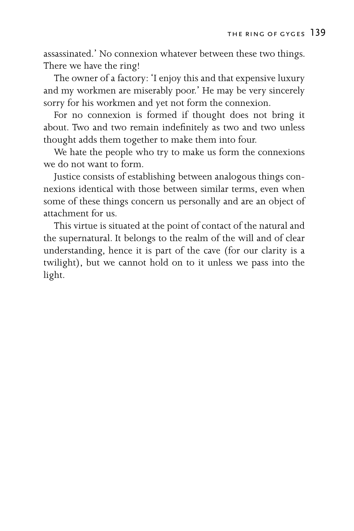assassinated.' No connexion whatever between these two things. There we have the ring!

The owner of a factory: 'I enjoy this and that expensive luxury and my workmen are miserably poor.' He may be very sincerely sorry for his workmen and yet not form the connexion.

For no connexion is formed if thought does not bring it about. Two and two remain indefinitely as two and two unless thought adds them together to make them into four.

We hate the people who try to make us form the connexions we do not want to form.

Justice consists of establishing between analogous things connexions identical with those between similar terms, even when some of these things concern us personally and are an object of attachment for us.

This virtue is situated at the point of contact of the natural and the supernatural. It belongs to the realm of the will and of clear understanding, hence it is part of the cave (for our clarity is a twilight), but we cannot hold on to it unless we pass into the light.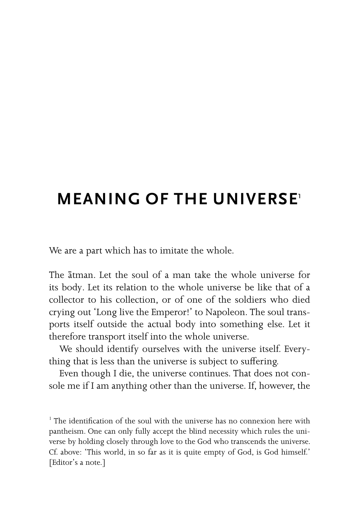### **MEANING OF THE UNIVERSE**<sup>1</sup>

We are a part which has to imitate the whole.

The atman. Let the soul of a man take the whole universe for its body. Let its relation to the whole universe be like that of a collector to his collection, or of one of the soldiers who died crying out 'Long live the Emperor!' to Napoleon. The soul transports itself outside the actual body into something else. Let it therefore transport itself into the whole universe.

We should identify ourselves with the universe itself. Everything that is less than the universe is subject to suffering.

Even though I die, the universe continues. That does not console me if I am anything other than the universe. If, however, the

 $1$  The identification of the soul with the universe has no connexion here with pantheism. One can only fully accept the blind necessity which rules the universe by holding closely through love to the God who transcends the universe. Cf. above: 'This world, in so far as it is quite empty of God, is God himself.' [Editor's a note.]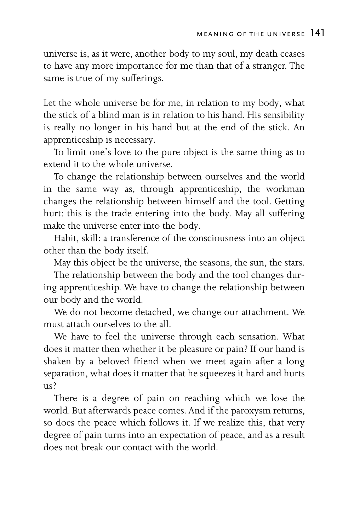universe is, as it were, another body to my soul, my death ceases to have any more importance for me than that of a stranger. The same is true of my sufferings.

Let the whole universe be for me, in relation to my body, what the stick of a blind man is in relation to his hand. His sensibility is really no longer in his hand but at the end of the stick. An apprenticeship is necessary.

To limit one's love to the pure object is the same thing as to extend it to the whole universe.

To change the relationship between ourselves and the world in the same way as, through apprenticeship, the workman changes the relationship between himself and the tool. Getting hurt: this is the trade entering into the body. May all suffering make the universe enter into the body.

Habit, skill: a transference of the consciousness into an object other than the body itself.

May this object be the universe, the seasons, the sun, the stars.

The relationship between the body and the tool changes during apprenticeship. We have to change the relationship between our body and the world.

We do not become detached, we change our attachment. We must attach ourselves to the all.

We have to feel the universe through each sensation. What does it matter then whether it be pleasure or pain? If our hand is shaken by a beloved friend when we meet again after a long separation, what does it matter that he squeezes it hard and hurts us?

There is a degree of pain on reaching which we lose the world. But afterwards peace comes. And if the paroxysm returns, so does the peace which follows it. If we realize this, that very degree of pain turns into an expectation of peace, and as a result does not break our contact with the world.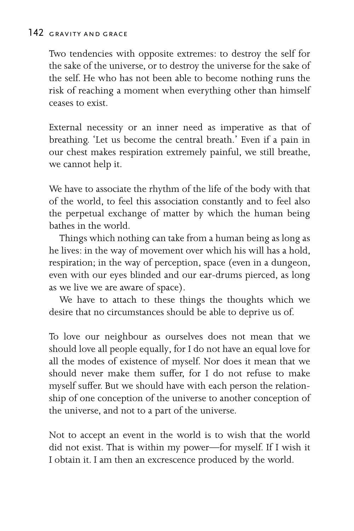#### 142 GRAVITY AND GRACE

Two tendencies with opposite extremes: to destroy the self for the sake of the universe, or to destroy the universe for the sake of the self. He who has not been able to become nothing runs the risk of reaching a moment when everything other than himself ceases to exist.

External necessity or an inner need as imperative as that of breathing. 'Let us become the central breath.' Even if a pain in our chest makes respiration extremely painful, we still breathe, we cannot help it.

We have to associate the rhythm of the life of the body with that of the world, to feel this association constantly and to feel also the perpetual exchange of matter by which the human being bathes in the world.

Things which nothing can take from a human being as long as he lives: in the way of movement over which his will has a hold, respiration; in the way of perception, space (even in a dungeon, even with our eyes blinded and our ear-drums pierced, as long as we live we are aware of space).

We have to attach to these things the thoughts which we desire that no circumstances should be able to deprive us of.

To love our neighbour as ourselves does not mean that we should love all people equally, for I do not have an equal love for all the modes of existence of myself. Nor does it mean that we should never make them suffer, for I do not refuse to make myself suffer. But we should have with each person the relationship of one conception of the universe to another conception of the universe, and not to a part of the universe.

Not to accept an event in the world is to wish that the world did not exist. That is within my power—for myself. If I wish it I obtain it. I am then an excrescence produced by the world.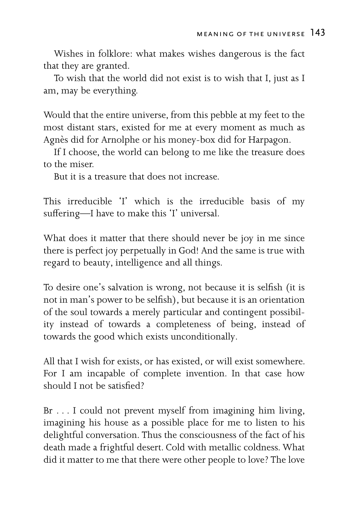Wishes in folklore: what makes wishes dangerous is the fact that they are granted.

To wish that the world did not exist is to wish that I, just as I am, may be everything.

Would that the entire universe, from this pebble at my feet to the most distant stars, existed for me at every moment as much as Agnès did for Arnolphe or his money-box did for Harpagon.

If I choose, the world can belong to me like the treasure does to the miser.

But it is a treasure that does not increase.

This irreducible 'I' which is the irreducible basis of my suffering—I have to make this 'I' universal.

What does it matter that there should never be joy in me since there is perfect joy perpetually in God! And the same is true with regard to beauty, intelligence and all things.

To desire one's salvation is wrong, not because it is selfish (it is not in man's power to be selfish), but because it is an orientation of the soul towards a merely particular and contingent possibility instead of towards a completeness of being, instead of towards the good which exists unconditionally.

All that I wish for exists, or has existed, or will exist somewhere. For I am incapable of complete invention. In that case how should I not be satisfied?

Br . . . I could not prevent myself from imagining him living, imagining his house as a possible place for me to listen to his delightful conversation. Thus the consciousness of the fact of his death made a frightful desert. Cold with metallic coldness. What did it matter to me that there were other people to love? The love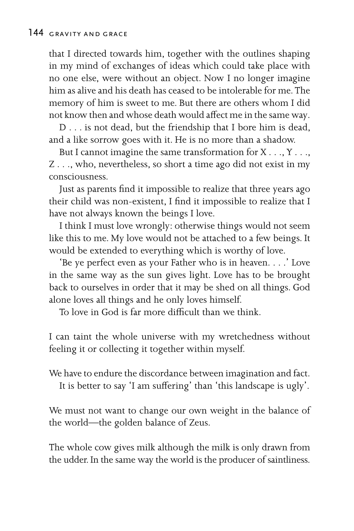that I directed towards him, together with the outlines shaping in my mind of exchanges of ideas which could take place with no one else, were without an object. Now I no longer imagine him as alive and his death has ceased to be intolerable for me. The memory of him is sweet to me. But there are others whom I did not know then and whose death would affect me in the same way.

D . . . is not dead, but the friendship that I bore him is dead, and a like sorrow goes with it. He is no more than a shadow.

But I cannot imagine the same transformation for X . . ., Y . . ., Z . . ., who, nevertheless, so short a time ago did not exist in my consciousness.

Just as parents find it impossible to realize that three years ago their child was non-existent, I find it impossible to realize that I have not always known the beings I love.

I think I must love wrongly: otherwise things would not seem like this to me. My love would not be attached to a few beings. It would be extended to everything which is worthy of love.

'Be ye perfect even as your Father who is in heaven. . . .' Love in the same way as the sun gives light. Love has to be brought back to ourselves in order that it may be shed on all things. God alone loves all things and he only loves himself.

To love in God is far more difficult than we think.

I can taint the whole universe with my wretchedness without feeling it or collecting it together within myself.

We have to endure the discordance between imagination and fact. It is better to say 'I am suffering' than 'this landscape is ugly'.

We must not want to change our own weight in the balance of the world—the golden balance of Zeus.

The whole cow gives milk although the milk is only drawn from the udder. In the same way the world is the producer of saintliness.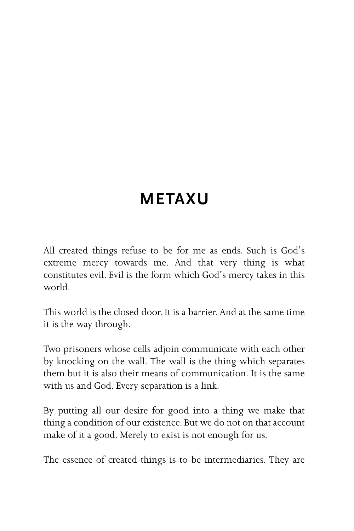# **METAXU**

All created things refuse to be for me as ends. Such is God's extreme mercy towards me. And that very thing is what constitutes evil. Evil is the form which God's mercy takes in this world.

This world is the closed door. It is a barrier. And at the same time it is the way through.

Two prisoners whose cells adjoin communicate with each other by knocking on the wall. The wall is the thing which separates them but it is also their means of communication. It is the same with us and God. Every separation is a link.

By putting all our desire for good into a thing we make that thing a condition of our existence. But we do not on that account make of it a good. Merely to exist is not enough for us.

The essence of created things is to be intermediaries. They are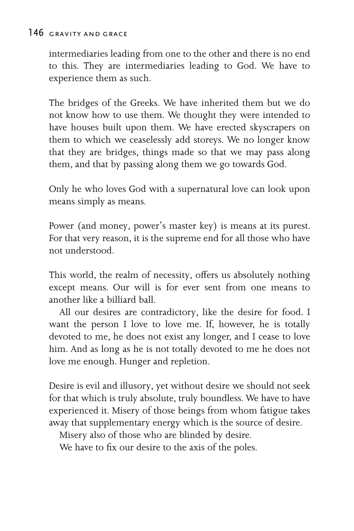#### 146 gravity and grace

intermediaries leading from one to the other and there is no end to this. They are intermediaries leading to God. We have to experience them as such.

The bridges of the Greeks. We have inherited them but we do not know how to use them. We thought they were intended to have houses built upon them. We have erected skyscrapers on them to which we ceaselessly add storeys. We no longer know that they are bridges, things made so that we may pass along them, and that by passing along them we go towards God.

Only he who loves God with a supernatural love can look upon means simply as means.

Power (and money, power's master key) is means at its purest. For that very reason, it is the supreme end for all those who have not understood.

This world, the realm of necessity, offers us absolutely nothing except means. Our will is for ever sent from one means to another like a billiard ball.

All our desires are contradictory, like the desire for food. I want the person I love to love me. If, however, he is totally devoted to me, he does not exist any longer, and I cease to love him. And as long as he is not totally devoted to me he does not love me enough. Hunger and repletion.

Desire is evil and illusory, yet without desire we should not seek for that which is truly absolute, truly boundless. We have to have experienced it. Misery of those beings from whom fatigue takes away that supplementary energy which is the source of desire.

Misery also of those who are blinded by desire.

We have to fix our desire to the axis of the poles.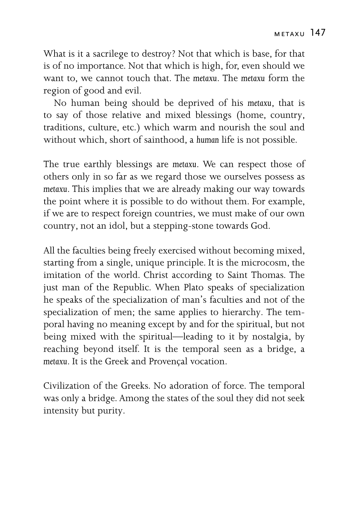What is it a sacrilege to destroy? Not that which is base, for that is of no importance. Not that which is high, for, even should we want to, we cannot touch that. The *metaxu*. The *metaxu* form the region of good and evil.

No human being should be deprived of his *metaxu*, that is to say of those relative and mixed blessings (home, country, traditions, culture, etc.) which warm and nourish the soul and without which, short of sainthood, a *human* life is not possible.

The true earthly blessings are *metaxu*. We can respect those of others only in so far as we regard those we ourselves possess as *metaxu*. This implies that we are already making our way towards the point where it is possible to do without them. For example, if we are to respect foreign countries, we must make of our own country, not an idol, but a stepping-stone towards God.

All the faculties being freely exercised without becoming mixed, starting from a single, unique principle. It is the microcosm, the imitation of the world. Christ according to Saint Thomas. The just man of the Republic. When Plato speaks of specialization he speaks of the specialization of man's faculties and not of the specialization of men; the same applies to hierarchy. The temporal having no meaning except by and for the spiritual, but not being mixed with the spiritual—leading to it by nostalgia, by reaching beyond itself. It is the temporal seen as a bridge, a *metaxu*. It is the Greek and Provençal vocation.

Civilization of the Greeks. No adoration of force. The temporal was only a bridge. Among the states of the soul they did not seek intensity but purity.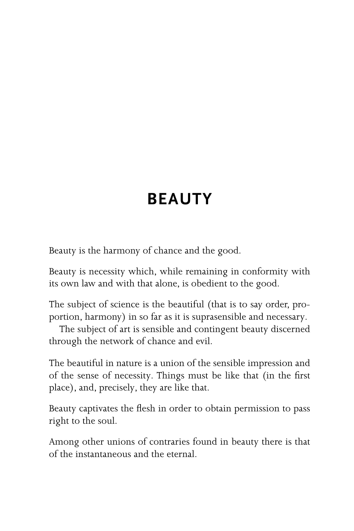# **BEAUTY**

Beauty is the harmony of chance and the good.

Beauty is necessity which, while remaining in conformity with its own law and with that alone, is obedient to the good.

The subject of science is the beautiful (that is to say order, proportion, harmony) in so far as it is suprasensible and necessary.

The subject of art is sensible and contingent beauty discerned through the network of chance and evil.

The beautiful in nature is a union of the sensible impression and of the sense of necessity. Things must be like that (in the first place), and, precisely, they are like that.

Beauty captivates the flesh in order to obtain permission to pass right to the soul.

Among other unions of contraries found in beauty there is that of the instantaneous and the eternal.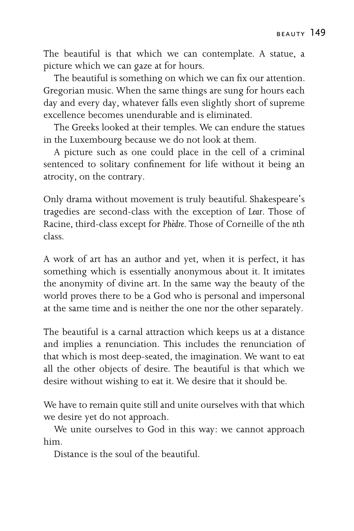The beautiful is that which we can contemplate. A statue, a picture which we can gaze at for hours.

The beautiful is something on which we can fix our attention. Gregorian music. When the same things are sung for hours each day and every day, whatever falls even slightly short of supreme excellence becomes unendurable and is eliminated.

The Greeks looked at their temples. We can endure the statues in the Luxembourg because we do not look at them.

A picture such as one could place in the cell of a criminal sentenced to solitary confinement for life without it being an atrocity, on the contrary.

Only drama without movement is truly beautiful. Shakespeare's tragedies are second-class with the exception of *Lear*. Those of Racine, third-class except for *Phèdre*. Those of Corneille of the *n*th class.

A work of art has an author and yet, when it is perfect, it has something which is essentially anonymous about it. It imitates the anonymity of divine art. In the same way the beauty of the world proves there to be a God who is personal and impersonal at the same time and is neither the one nor the other separately.

The beautiful is a carnal attraction which keeps us at a distance and implies a renunciation. This includes the renunciation of that which is most deep-seated, the imagination. We want to eat all the other objects of desire. The beautiful is that which we desire without wishing to eat it. We desire that it should be.

We have to remain quite still and unite ourselves with that which we desire yet do not approach.

We unite ourselves to God in this way: we cannot approach him.

Distance is the soul of the beautiful.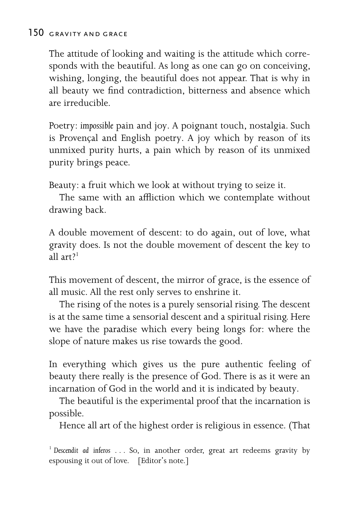#### 150 GRAVITY AND GRACE

The attitude of looking and waiting is the attitude which corresponds with the beautiful. As long as one can go on conceiving, wishing, longing, the beautiful does not appear. That is why in all beauty we find contradiction, bitterness and absence which are irreducible.

Poetry: *impossible* pain and joy. A poignant touch, nostalgia. Such is Provençal and English poetry. A joy which by reason of its unmixed purity hurts, a pain which by reason of its unmixed purity brings peace.

Beauty: a fruit which we look at without trying to seize it.

The same with an affliction which we contemplate without drawing back.

A double movement of descent: to do again, out of love, what gravity does. Is not the double movement of descent the key to all  $\arctan 2^1$ 

This movement of descent, the mirror of grace, is the essence of all music. All the rest only serves to enshrine it.

The rising of the notes is a purely sensorial rising. The descent is at the same time a sensorial descent and a spiritual rising. Here we have the paradise which every being longs for: where the slope of nature makes us rise towards the good.

In everything which gives us the pure authentic feeling of beauty there really is the presence of God. There is as it were an incarnation of God in the world and it is indicated by beauty.

The beautiful is the experimental proof that the incarnation is possible.

Hence all art of the highest order is religious in essence. (That

<sup>&</sup>lt;sup>1</sup> Descendit ad inferos ... So, in another order, great art redeems gravity by espousing it out of love. [Editor's note.]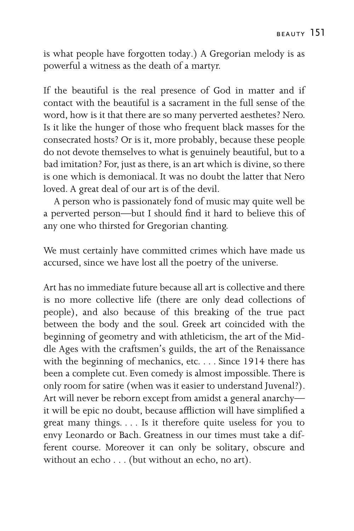is what people have forgotten today.) A Gregorian melody is as powerful a witness as the death of a martyr.

If the beautiful is the real presence of God in matter and if contact with the beautiful is a sacrament in the full sense of the word, how is it that there are so many perverted aesthetes? Nero. Is it like the hunger of those who frequent black masses for the consecrated hosts? Or is it, more probably, because these people do not devote themselves to what is genuinely beautiful, but to a bad imitation? For, just as there, is an art which is divine, so there is one which is demoniacal. It was no doubt the latter that Nero loved. A great deal of our art is of the devil.

A person who is passionately fond of music may quite well be a perverted person—but I should find it hard to believe this of any one who thirsted for Gregorian chanting.

We must certainly have committed crimes which have made us accursed, since we have lost all the poetry of the universe.

Art has no immediate future because all art is collective and there is no more collective life (there are only dead collections of people), and also because of this breaking of the true pact between the body and the soul. Greek art coincided with the beginning of geometry and with athleticism, the art of the Middle Ages with the craftsmen's guilds, the art of the Renaissance with the beginning of mechanics, etc. . . . Since 1914 there has been a complete cut. Even comedy is almost impossible. There is only room for satire (when was it easier to understand Juvenal?). Art will never be reborn except from amidst a general anarchy it will be epic no doubt, because affliction will have simplified a great many things. . . . Is it therefore quite useless for you to envy Leonardo or Bach. Greatness in our times must take a different course. Moreover it can only be solitary, obscure and without an echo . . . (but without an echo, no art).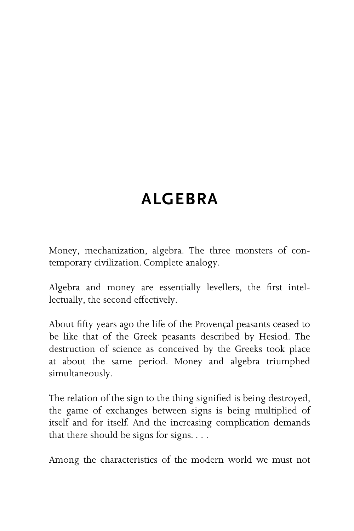# **ALGEBRA**

Money, mechanization, algebra. The three monsters of contemporary civilization. Complete analogy.

Algebra and money are essentially levellers, the first intellectually, the second effectively.

About fifty years ago the life of the Provençal peasants ceased to be like that of the Greek peasants described by Hesiod. The destruction of science as conceived by the Greeks took place at about the same period. Money and algebra triumphed simultaneously.

The relation of the sign to the thing signified is being destroyed, the game of exchanges between signs is being multiplied of itself and for itself. And the increasing complication demands that there should be signs for signs. . . .

Among the characteristics of the modern world we must not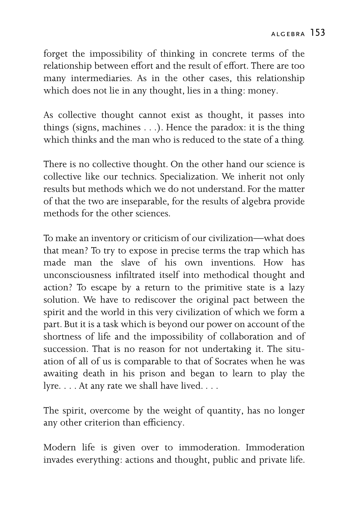forget the impossibility of thinking in concrete terms of the relationship between effort and the result of effort. There are too many intermediaries. As in the other cases, this relationship which does not lie in any thought, lies in a thing: money.

As collective thought cannot exist as thought, it passes into things (signs, machines . . .). Hence the paradox: it is the thing which thinks and the man who is reduced to the state of a thing.

There is no collective thought. On the other hand our science is collective like our technics. Specialization. We inherit not only results but methods which we do not understand. For the matter of that the two are inseparable, for the results of algebra provide methods for the other sciences.

To make an inventory or criticism of our civilization—what does that mean? To try to expose in precise terms the trap which has made man the slave of his own inventions. How has unconsciousness infiltrated itself into methodical thought and action? To escape by a return to the primitive state is a lazy solution. We have to rediscover the original pact between the spirit and the world in this very civilization of which we form a part. But it is a task which is beyond our power on account of the shortness of life and the impossibility of collaboration and of succession. That is no reason for not undertaking it. The situation of all of us is comparable to that of Socrates when he was awaiting death in his prison and began to learn to play the lyre. . . . At any rate we shall have lived. . . .

The spirit, overcome by the weight of quantity, has no longer any other criterion than efficiency.

Modern life is given over to immoderation. Immoderation invades everything: actions and thought, public and private life.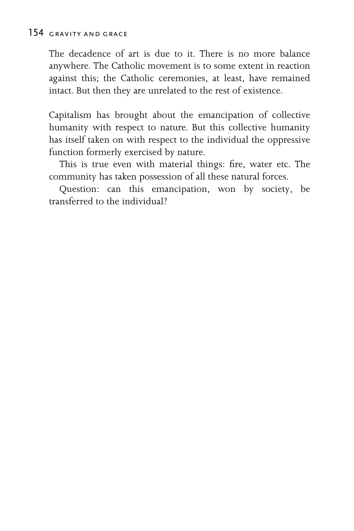#### 154 gravity and grace

The decadence of art is due to it. There is no more balance anywhere. The Catholic movement is to some extent in reaction against this; the Catholic ceremonies, at least, have remained intact. But then they are unrelated to the rest of existence.

Capitalism has brought about the emancipation of collective humanity with respect to nature. But this collective humanity has itself taken on with respect to the individual the oppressive function formerly exercised by nature.

This is true even with material things: fire, water etc. The community has taken possession of all these natural forces.

Question: can this emancipation, won by society, be transferred to the individual?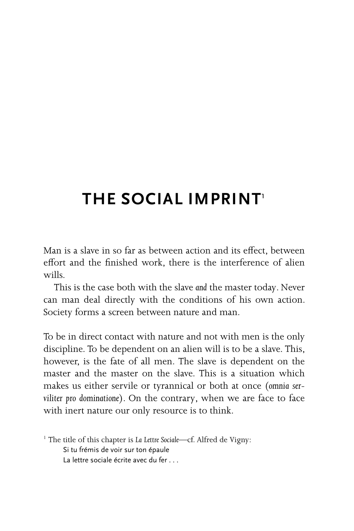### **THE SOCIAL IMPRINT**<sup>1</sup>

Man is a slave in so far as between action and its effect, between effort and the finished work, there is the interference of alien wills.

This is the case both with the slave *and* the master today. Never can man deal directly with the conditions of his own action. Society forms a screen between nature and man.

To be in direct contact with nature and not with men is the only discipline. To be dependent on an alien will is to be a slave. This, however, is the fate of all men. The slave is dependent on the master and the master on the slave. This is a situation which makes us either servile or tyrannical or both at once (*omnia serviliter pro dominatione*). On the contrary, when we are face to face with inert nature our only resource is to think.

<sup>1</sup> The title of this chapter is *La Lettre Sociale*—cf. Alfred de Vigny: Si tu frémis de voir sur ton épaule La lettre sociale écrite avec du fer . . .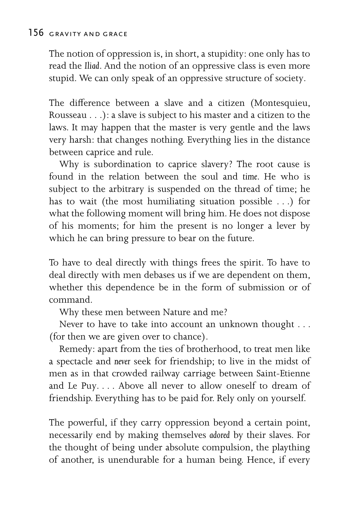The notion of oppression is, in short, a stupidity: one only has to read the *Iliad*. And the notion of an oppressive class is even more stupid. We can only speak of an oppressive structure of society.

The difference between a slave and a citizen (Montesquieu, Rousseau . . .): a slave is subject to his master and a citizen to the laws. It may happen that the master is very gentle and the laws very harsh: that changes nothing. Everything lies in the distance between caprice and rule.

Why is subordination to caprice slavery? The root cause is found in the relation between the soul and *time*. He who is subject to the arbitrary is suspended on the thread of time; he has to wait (the most humiliating situation possible . . .) for what the following moment will bring him. He does not dispose of his moments; for him the present is no longer a lever by which he can bring pressure to bear on the future.

To have to deal directly with things frees the spirit. To have to deal directly with men debases us if we are dependent on them, whether this dependence be in the form of submission or of command.

Why these men between Nature and me?

Never to have to take into account an unknown thought . . . (for then we are given over to chance).

Remedy: apart from the ties of brotherhood, to treat men like a spectacle and *never* seek for friendship; to live in the midst of men as in that crowded railway carriage between Saint-Etienne and Le Puy. . . . Above all never to allow oneself to dream of friendship. Everything has to be paid for. Rely only on yourself.

The powerful, if they carry oppression beyond a certain point, necessarily end by making themselves *adored* by their slaves. For the thought of being under absolute compulsion, the plaything of another, is unendurable for a human being. Hence, if every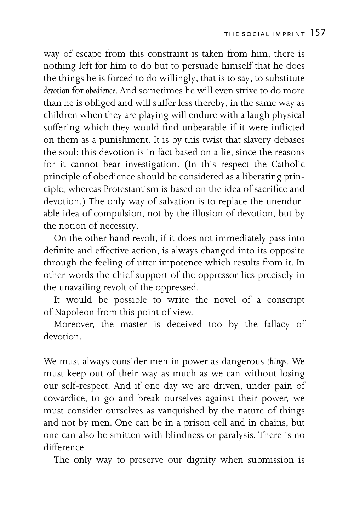way of escape from this constraint is taken from him, there is nothing left for him to do but to persuade himself that he does the things he is forced to do willingly, that is to say, to substitute *devotion* for *obedience*. And sometimes he will even strive to do more than he is obliged and will suffer less thereby, in the same way as children when they are playing will endure with a laugh physical suffering which they would find unbearable if it were inflicted on them as a punishment. It is by this twist that slavery debases the soul: this devotion is in fact based on a lie, since the reasons for it cannot bear investigation. (In this respect the Catholic principle of obedience should be considered as a liberating principle, whereas Protestantism is based on the idea of sacrifice and devotion.) The only way of salvation is to replace the unendurable idea of compulsion, not by the illusion of devotion, but by the notion of necessity.

On the other hand revolt, if it does not immediately pass into definite and effective action, is always changed into its opposite through the feeling of utter impotence which results from it. In other words the chief support of the oppressor lies precisely in the unavailing revolt of the oppressed.

It would be possible to write the novel of a conscript of Napoleon from this point of view.

Moreover, the master is deceived too by the fallacy of devotion.

We must always consider men in power as dangerous *things*. We must keep out of their way as much as we can without losing our self-respect. And if one day we are driven, under pain of cowardice, to go and break ourselves against their power, we must consider ourselves as vanquished by the nature of things and not by men. One can be in a prison cell and in chains, but one can also be smitten with blindness or paralysis. There is no difference.

The only way to preserve our dignity when submission is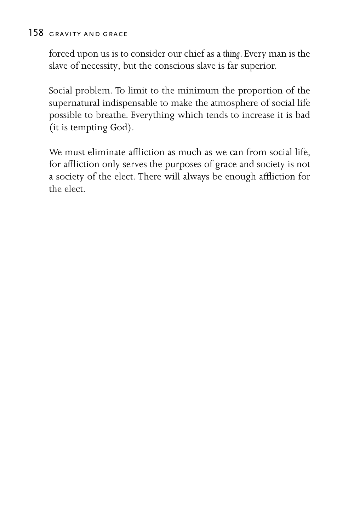#### 158 gravity and grace

forced upon us is to consider our chief as a *thing*. Every man is the slave of necessity, but the conscious slave is far superior.

Social problem. To limit to the minimum the proportion of the supernatural indispensable to make the atmosphere of social life possible to breathe. Everything which tends to increase it is bad (it is tempting God).

We must eliminate affliction as much as we can from social life, for affliction only serves the purposes of grace and society is not a society of the elect. There will always be enough affliction for the elect.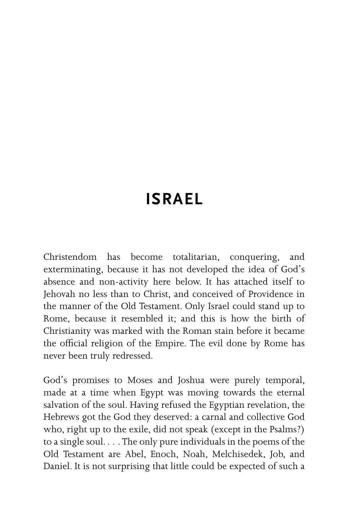# **ISRAEL**

Christendom has become totalitarian, conquering, and exterminating, because it has not developed the idea of God's absence and non-activity here below. It has attached itself to Jehovah no less than to Christ, and conceived of Providence in the manner of the Old Testament. Only Israel could stand up to Rome, because it resembled it; and this is how the birth of Christianity was marked with the Roman stain before it became the official religion of the Empire. The evil done by Rome has never been truly redressed.

God's promises to Moses and Joshua were purely temporal, made at a time when Egypt was moving towards the eternal salvation of the soul. Having refused the Egyptian revelation, the Hebrews got the God they deserved: a carnal and collective God who, right up to the exile, did not speak (except in the Psalms?) to a single soul. . . . The only pure individuals in the poems of the Old Testament are Abel, Enoch, Noah, Melchisedek, Job, and Daniel. It is not surprising that little could be expected of such a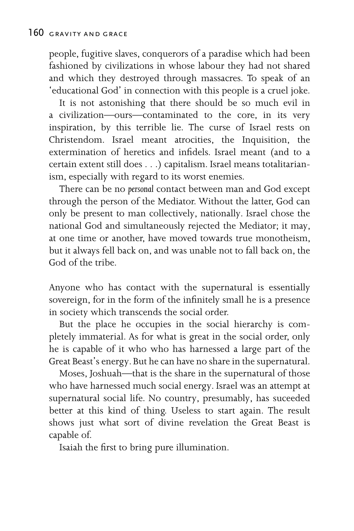people, fugitive slaves, conquerors of a paradise which had been fashioned by civilizations in whose labour they had not shared and which they destroyed through massacres. To speak of an 'educational God' in connection with this people is a cruel joke.

It is not astonishing that there should be so much evil in a civilization—ours—contaminated to the core, in its very inspiration, by this terrible lie. The curse of Israel rests on Christendom. Israel meant atrocities, the Inquisition, the extermination of heretics and infidels. Israel meant (and to a certain extent still does . . .) capitalism. Israel means totalitarianism, especially with regard to its worst enemies.

There can be no *personal* contact between man and God except through the person of the Mediator. Without the latter, God can only be present to man collectively, nationally. Israel chose the national God and simultaneously rejected the Mediator; it may, at one time or another, have moved towards true monotheism, but it always fell back on, and was unable not to fall back on, the God of the tribe.

Anyone who has contact with the supernatural is essentially sovereign, for in the form of the infinitely small he is a presence in society which transcends the social order.

But the place he occupies in the social hierarchy is completely immaterial. As for what is great in the social order, only he is capable of it who who has harnessed a large part of the Great Beast's energy. But he can have no share in the supernatural.

Moses, Joshuah—that is the share in the supernatural of those who have harnessed much social energy. Israel was an attempt at supernatural social life. No country, presumably, has suceeded better at this kind of thing. Useless to start again. The result shows just what sort of divine revelation the Great Beast is capable of.

Isaiah the first to bring pure illumination.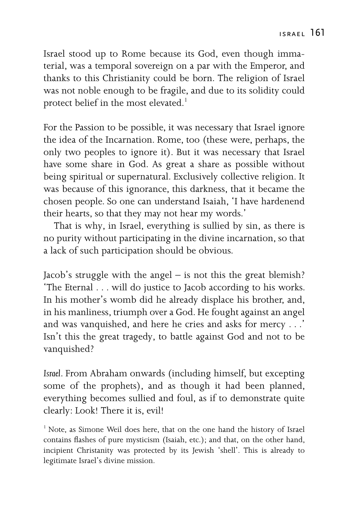Israel stood up to Rome because its God, even though immaterial, was a temporal sovereign on a par with the Emperor, and thanks to this Christianity could be born. The religion of Israel was not noble enough to be fragile, and due to its solidity could protect belief in the most elevated.<sup>1</sup>

For the Passion to be possible, it was necessary that Israel ignore the idea of the Incarnation. Rome, too (these were, perhaps, the only two peoples to ignore it). But it was necessary that Israel have some share in God. As great a share as possible without being spiritual or supernatural. Exclusively collective religion. It was because of this ignorance, this darkness, that it became the chosen people. So one can understand Isaiah, 'I have hardenend their hearts, so that they may not hear my words.'

That is why, in Israel, everything is sullied by sin, as there is no purity without participating in the divine incarnation, so that a lack of such participation should be obvious.

Jacob's struggle with the angel – is not this the great blemish? 'The Eternal . . . will do justice to Jacob according to his works. In his mother's womb did he already displace his brother, and, in his manliness, triumph over a God. He fought against an angel and was vanquished, and here he cries and asks for mercy . . .' Isn't this the great tragedy, to battle against God and not to be vanquished?

*Israel*. From Abraham onwards (including himself, but excepting some of the prophets), and as though it had been planned, everything becomes sullied and foul, as if to demonstrate quite clearly: Look! There it is, evil!

<sup>1</sup> Note, as Simone Weil does here, that on the one hand the history of Israel contains flashes of pure mysticism (Isaiah, etc.); and that, on the other hand, incipient Christanity was protected by its Jewish 'shell'. This is already to legitimate Israel's divine mission.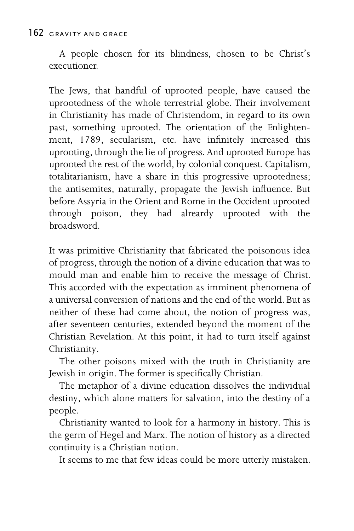A people chosen for its blindness, chosen to be Christ's executioner.

The Jews, that handful of uprooted people, have caused the uprootedness of the whole terrestrial globe. Their involvement in Christianity has made of Christendom, in regard to its own past, something uprooted. The orientation of the Enlightenment, 1789, secularism, etc. have infinitely increased this uprooting, through the lie of progress. And uprooted Europe has uprooted the rest of the world, by colonial conquest. Capitalism, totalitarianism, have a share in this progressive uprootedness; the antisemites, naturally, propagate the Jewish influence. But before Assyria in the Orient and Rome in the Occident uprooted through poison, they had alreardy uprooted with the broadsword.

It was primitive Christianity that fabricated the poisonous idea of progress, through the notion of a divine education that was to mould man and enable him to receive the message of Christ. This accorded with the expectation as imminent phenomena of a universal conversion of nations and the end of the world. But as neither of these had come about, the notion of progress was, after seventeen centuries, extended beyond the moment of the Christian Revelation. At this point, it had to turn itself against Christianity.

The other poisons mixed with the truth in Christianity are Jewish in origin. The former is specifically Christian.

The metaphor of a divine education dissolves the individual destiny, which alone matters for salvation, into the destiny of a people.

Christianity wanted to look for a harmony in history. This is the germ of Hegel and Marx. The notion of history as a directed continuity is a Christian notion.

It seems to me that few ideas could be more utterly mistaken.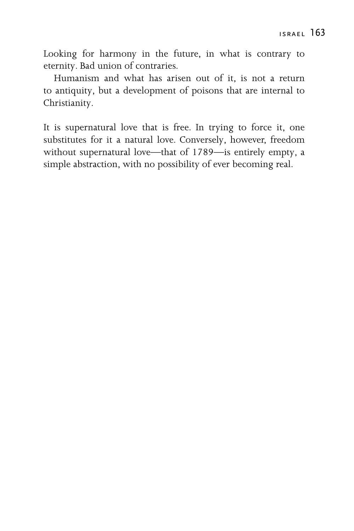Looking for harmony in the future, in what is contrary to eternity. Bad union of contraries.

Humanism and what has arisen out of it, is not a return to antiquity, but a development of poisons that are internal to Christianity.

It is supernatural love that is free. In trying to force it, one substitutes for it a natural love. Conversely, however, freedom without supernatural love—that of 1789—is entirely empty, a simple abstraction, with no possibility of ever becoming real.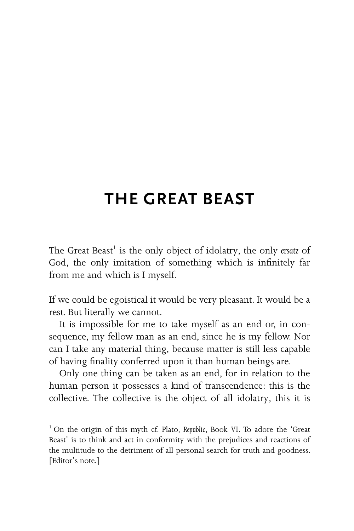## **THE GREAT BEAST**

The Great Beast<sup>1</sup> is the only object of idolatry, the only *ersatz* of God, the only imitation of something which is infinitely far from me and which is I myself.

If we could be egoistical it would be very pleasant. It would be a rest. But literally we cannot.

It is impossible for me to take myself as an end or, in consequence, my fellow man as an end, since he is my fellow. Nor can I take any material thing, because matter is still less capable of having finality conferred upon it than human beings are.

Only one thing can be taken as an end, for in relation to the human person it possesses a kind of transcendence: this is the collective. The collective is the object of all idolatry, this it is

<sup>1</sup> On the origin of this myth cf. Plato, *Republic*, Book VI. To adore the 'Great Beast' is to think and act in conformity with the prejudices and reactions of the multitude to the detriment of all personal search for truth and goodness. [Editor's note.]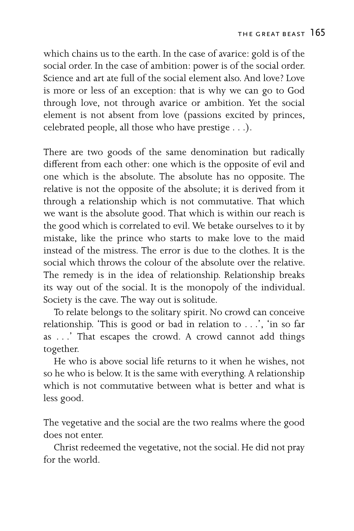which chains us to the earth. In the case of avarice: gold is of the social order. In the case of ambition: power is of the social order. Science and art ate full of the social element also. And love? Love is more or less of an exception: that is why we can go to God through love, not through avarice or ambition. Yet the social element is not absent from love (passions excited by princes, celebrated people, all those who have prestige . . .).

There are two goods of the same denomination but radically different from each other: one which is the opposite of evil and one which is the absolute. The absolute has no opposite. The relative is not the opposite of the absolute; it is derived from it through a relationship which is not commutative. That which we want is the absolute good. That which is within our reach is the good which is correlated to evil. We betake ourselves to it by mistake, like the prince who starts to make love to the maid instead of the mistress. The error is due to the clothes. It is the social which throws the colour of the absolute over the relative. The remedy is in the idea of relationship. Relationship breaks its way out of the social. It is the monopoly of the individual. Society is the cave. The way out is solitude.

To relate belongs to the solitary spirit. No crowd can conceive relationship. 'This is good or bad in relation to . . .', 'in so far as . . .' That escapes the crowd. A crowd cannot add things together.

He who is above social life returns to it when he wishes, not so he who is below. It is the same with everything. A relationship which is not commutative between what is better and what is less good.

The vegetative and the social are the two realms where the good does not enter.

Christ redeemed the vegetative, not the social. He did not pray for the world.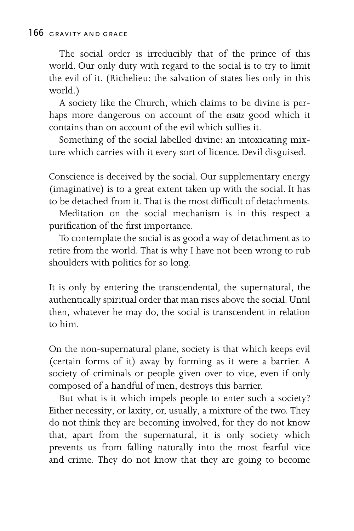The social order is irreducibly that of the prince of this world. Our only duty with regard to the social is to try to limit the evil of it. (Richelieu: the salvation of states lies only in this world.)

A society like the Church, which claims to be divine is perhaps more dangerous on account of the *ersatz* good which it contains than on account of the evil which sullies it.

Something of the social labelled divine: an intoxicating mixture which carries with it every sort of licence. Devil disguised.

Conscience is deceived by the social. Our supplementary energy (imaginative) is to a great extent taken up with the social. It has to be detached from it. That is the most difficult of detachments.

Meditation on the social mechanism is in this respect a purification of the first importance.

To contemplate the social is as good a way of detachment as to retire from the world. That is why I have not been wrong to rub shoulders with politics for so long.

It is only by entering the transcendental, the supernatural, the authentically spiritual order that man rises above the social. Until then, whatever he may do, the social is transcendent in relation to him.

On the non-supernatural plane, society is that which keeps evil (certain forms of it) away by forming as it were a barrier. A society of criminals or people given over to vice, even if only composed of a handful of men, destroys this barrier.

But what is it which impels people to enter such a society? Either necessity, or laxity, or, usually, a mixture of the two. They do not think they are becoming involved, for they do not know that, apart from the supernatural, it is only society which prevents us from falling naturally into the most fearful vice and crime. They do not know that they are going to become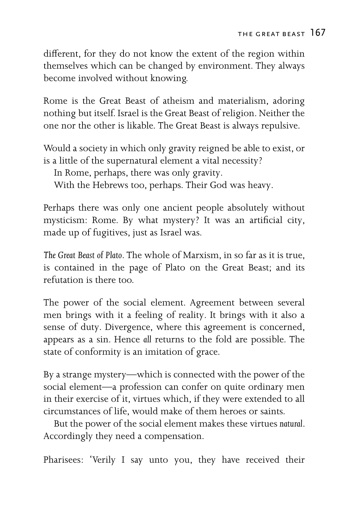different, for they do not know the extent of the region within themselves which can be changed by environment. They always become involved without knowing.

Rome is the Great Beast of atheism and materialism, adoring nothing but itself. Israel is the Great Beast of religion. Neither the one nor the other is likable. The Great Beast is always repulsive.

Would a society in which only gravity reigned be able to exist, or is a little of the supernatural element a vital necessity?

In Rome, perhaps, there was only gravity.

With the Hebrews too, perhaps. Their God was heavy.

Perhaps there was only one ancient people absolutely without mysticism: Rome. By what mystery? It was an artificial city, made up of fugitives, just as Israel was.

*The Great Beast of Plato*. The whole of Marxism, in so far as it is true, is contained in the page of Plato on the Great Beast; and its refutation is there too.

The power of the social element. Agreement between several men brings with it a feeling of reality. It brings with it also a sense of duty. Divergence, where this agreement is concerned, appears as a sin. Hence *all* returns to the fold are possible. The state of conformity is an imitation of grace.

By a strange mystery—which is connected with the power of the social element—a profession can confer on quite ordinary men in their exercise of it, virtues which, if they were extended to all circumstances of life, would make of them heroes or saints.

But the power of the social element makes these virtues *natural*. Accordingly they need a compensation.

Pharisees: 'Verily I say unto you, they have received their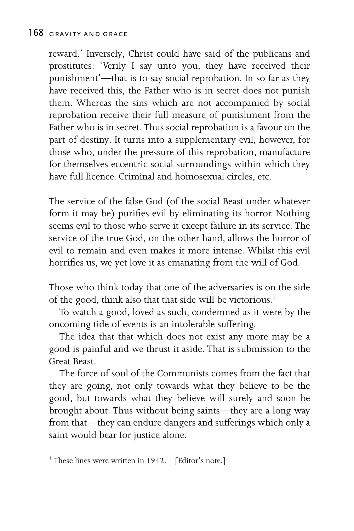#### 168 gravity and grace

reward.' Inversely, Christ could have said of the publicans and prostitutes: 'Verily I say unto you, they have received their punishment'—that is to say social reprobation. In so far as they have received this, the Father who is in secret does not punish them. Whereas the sins which are not accompanied by social reprobation receive their full measure of punishment from the Father who is in secret. Thus social reprobation is a favour on the part of destiny. It turns into a supplementary evil, however, for those who, under the pressure of this reprobation, manufacture for themselves eccentric social surroundings within which they have full licence. Criminal and homosexual circles, etc.

The service of the false God (of the social Beast under whatever form it may be) purifies evil by eliminating its horror. Nothing seems evil to those who serve it except failure in its service. The service of the true God, on the other hand, allows the horror of evil to remain and even makes it more intense. Whilst this evil horrifies us, we yet love it as emanating from the will of God.

Those who think today that one of the adversaries is on the side of the good, think also that that side will be victorious.<sup>1</sup>

To watch a good, loved as such, condemned as it were by the oncoming tide of events is an intolerable suffering.

The idea that that which does not exist any more may be a good is painful and we thrust it aside. That is submission to the Great Beast.

The force of soul of the Communists comes from the fact that they are going, not only towards what they believe to be the good, but towards what they believe will surely and soon be brought about. Thus without being saints—they are a long way from that—they can endure dangers and sufferings which only a saint would bear for justice alone.

 $1$  These lines were written in 1942. [Editor's note.]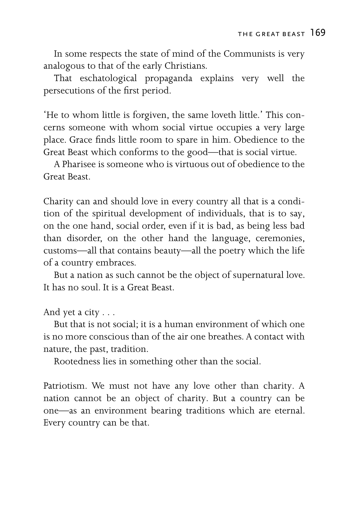In some respects the state of mind of the Communists is very analogous to that of the early Christians.

That eschatological propaganda explains very well the persecutions of the first period.

'He to whom little is forgiven, the same loveth little.' This concerns someone with whom social virtue occupies a very large place. Grace finds little room to spare in him. Obedience to the Great Beast which conforms to the good—that is social virtue.

A Pharisee is someone who is virtuous out of obedience to the Great Beast.

Charity can and should love in every country all that is a condition of the spiritual development of individuals, that is to say, on the one hand, social order, even if it is bad, as being less bad than disorder, on the other hand the language, ceremonies, customs—all that contains beauty—all the poetry which the life of a country embraces.

But a nation as such cannot be the object of supernatural love. It has no soul. It is a Great Beast.

And yet a city . . .

But that is not social; it is a human environment of which one is no more conscious than of the air one breathes. A contact with nature, the past, tradition.

Rootedness lies in something other than the social.

Patriotism. We must not have any love other than charity. A nation cannot be an object of charity. But a country can be one—as an environment bearing traditions which are eternal. Every country can be that.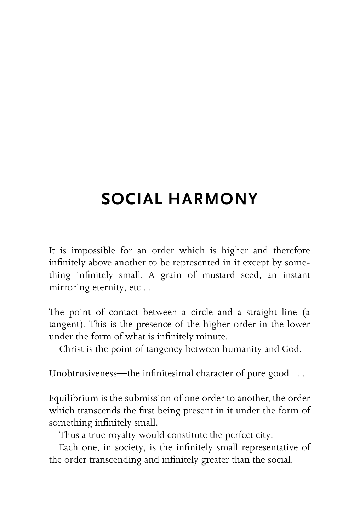## **SOCIAL HARMONY**

It is impossible for an order which is higher and therefore infinitely above another to be represented in it except by something infinitely small. A grain of mustard seed, an instant mirroring eternity, etc . . .

The point of contact between a circle and a straight line (a tangent). This is the presence of the higher order in the lower under the form of what is infinitely minute.

Christ is the point of tangency between humanity and God.

Unobtrusiveness—the infinitesimal character of pure good . . .

Equilibrium is the submission of one order to another, the order which transcends the first being present in it under the form of something infinitely small.

Thus a true royalty would constitute the perfect city.

Each one, in society, is the infinitely small representative of the order transcending and infinitely greater than the social.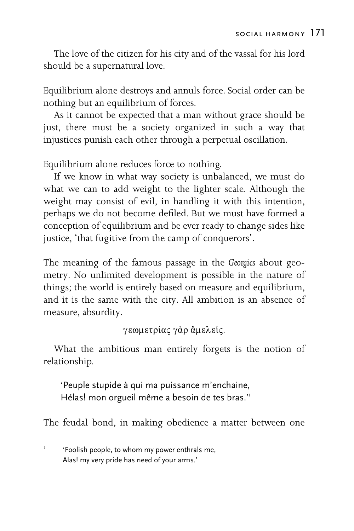The love of the citizen for his city and of the vassal for his lord should be a supernatural love.

Equilibrium alone destroys and annuls force. Social order can be nothing but an equilibrium of forces.

As it cannot be expected that a man without grace should be just, there must be a society organized in such a way that injustices punish each other through a perpetual oscillation.

Equilibrium alone reduces force to nothing.

If we know in what way society is unbalanced, we must do what we can to add weight to the lighter scale. Although the weight may consist of evil, in handling it with this intention, perhaps we do not become defiled. But we must have formed a conception of equilibrium and be ever ready to change sides like justice, 'that fugitive from the camp of conquerors'.

The meaning of the famous passage in the *Georgics* about geometry. No unlimited development is possible in the nature of things; the world is entirely based on measure and equilibrium, and it is the same with the city. All ambition is an absence of measure, absurdity.

γεωμετρίας γὰρ ἀμελείς.

What the ambitious man entirely forgets is the notion of relationship.

'Peuple stupide à qui ma puissance m'enchaine, Hélas! mon orgueil même a besoin de tes bras."

The feudal bond, in making obedience a matter between one

 $1$  'Foolish people, to whom my power enthrals me, Alas! my very pride has need of your arms.'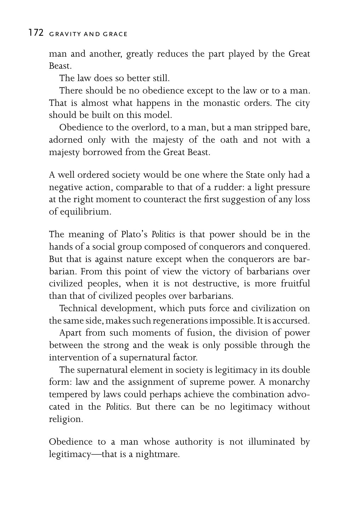man and another, greatly reduces the part played by the Great Beast.

The law does so better still.

There should be no obedience except to the law or to a man. That is almost what happens in the monastic orders. The city should be built on this model.

Obedience to the overlord, to a man, but a man stripped bare, adorned only with the majesty of the oath and not with a majesty borrowed from the Great Beast.

A well ordered society would be one where the State only had a negative action, comparable to that of a rudder: a light pressure at the right moment to counteract the first suggestion of any loss of equilibrium.

The meaning of Plato's *Politics* is that power should be in the hands of a social group composed of conquerors and conquered. But that is against nature except when the conquerors are barbarian. From this point of view the victory of barbarians over civilized peoples, when it is not destructive, is more fruitful than that of civilized peoples over barbarians.

Technical development, which puts force and civilization on the same side, makes such regenerations impossible. It is accursed.

Apart from such moments of fusion, the division of power between the strong and the weak is only possible through the intervention of a supernatural factor.

The supernatural element in society is legitimacy in its double form: law and the assignment of supreme power. A monarchy tempered by laws could perhaps achieve the combination advocated in the *Politics*. But there can be no legitimacy without religion.

Obedience to a man whose authority is not illuminated by legitimacy—that is a nightmare.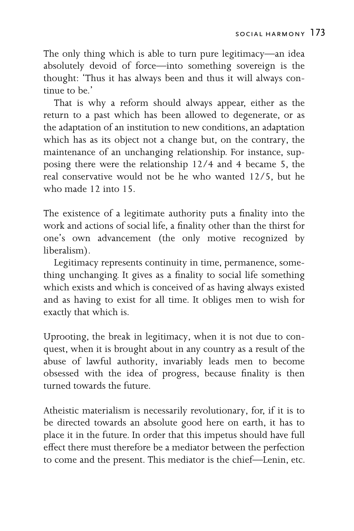The only thing which is able to turn pure legitimacy—an idea absolutely devoid of force—into something sovereign is the thought: 'Thus it has always been and thus it will always continue to be.'

That is why a reform should always appear, either as the return to a past which has been allowed to degenerate, or as the adaptation of an institution to new conditions, an adaptation which has as its object not a change but, on the contrary, the maintenance of an unchanging relationship. For instance, supposing there were the relationship 12/4 and 4 became 5, the real conservative would not be he who wanted 12/5, but he who made 12 into 15.

The existence of a legitimate authority puts a finality into the work and actions of social life, a finality other than the thirst for one's own advancement (the only motive recognized by liberalism).

Legitimacy represents continuity in time, permanence, something unchanging. It gives as a finality to social life something which exists and which is conceived of as having always existed and as having to exist for all time. It obliges men to wish for exactly that which is.

Uprooting, the break in legitimacy, when it is not due to conquest, when it is brought about in any country as a result of the abuse of lawful authority, invariably leads men to become obsessed with the idea of progress, because finality is then turned towards the future.

Atheistic materialism is necessarily revolutionary, for, if it is to be directed towards an absolute good here on earth, it has to place it in the future. In order that this impetus should have full effect there must therefore be a mediator between the perfection to come and the present. This mediator is the chief—Lenin, etc.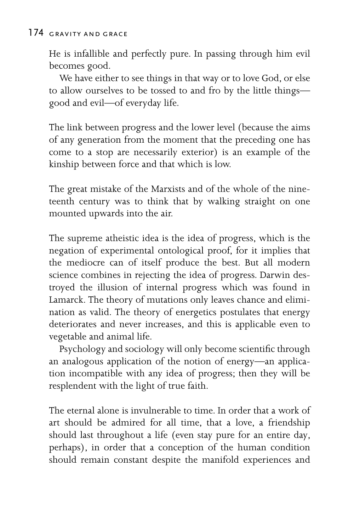He is infallible and perfectly pure. In passing through him evil becomes good.

We have either to see things in that way or to love God, or else to allow ourselves to be tossed to and fro by the little things good and evil—of everyday life.

The link between progress and the lower level (because the aims of any generation from the moment that the preceding one has come to a stop are necessarily exterior) is an example of the kinship between force and that which is low.

The great mistake of the Marxists and of the whole of the nineteenth century was to think that by walking straight on one mounted upwards into the air.

The supreme atheistic idea is the idea of progress, which is the negation of experimental ontological proof, for it implies that the mediocre can of itself produce the best. But all modern science combines in rejecting the idea of progress. Darwin destroyed the illusion of internal progress which was found in Lamarck. The theory of mutations only leaves chance and elimination as valid. The theory of energetics postulates that energy deteriorates and never increases, and this is applicable even to vegetable and animal life.

Psychology and sociology will only become scientific through an analogous application of the notion of energy—an application incompatible with any idea of progress; then they will be resplendent with the light of true faith.

The eternal alone is invulnerable to time. In order that a work of art should be admired for all time, that a love, a friendship should last throughout a life (even stay pure for an entire day, perhaps), in order that a conception of the human condition should remain constant despite the manifold experiences and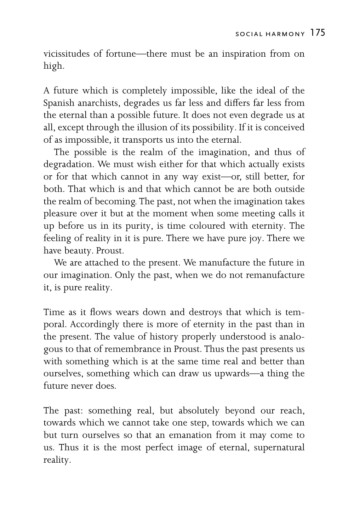vicissitudes of fortune—there must be an inspiration from on high.

A future which is completely impossible, like the ideal of the Spanish anarchists, degrades us far less and differs far less from the eternal than a possible future. It does not even degrade us at all, except through the illusion of its possibility. If it is conceived of as impossible, it transports us into the eternal.

The possible is the realm of the imagination, and thus of degradation. We must wish either for that which actually exists or for that which cannot in any way exist—or, still better, for both. That which is and that which cannot be are both outside the realm of becoming. The past, not when the imagination takes pleasure over it but at the moment when some meeting calls it up before us in its purity, is time coloured with eternity. The feeling of reality in it is pure. There we have pure joy. There we have beauty. Proust.

We are attached to the present. We manufacture the future in our imagination. Only the past, when we do not remanufacture it, is pure reality.

Time as it flows wears down and destroys that which is temporal. Accordingly there is more of eternity in the past than in the present. The value of history properly understood is analogous to that of remembrance in Proust. Thus the past presents us with something which is at the same time real and better than ourselves, something which can draw us upwards—a thing the future never does.

The past: something real, but absolutely beyond our reach, towards which we cannot take one step, towards which we can but turn ourselves so that an emanation from it may come to us. Thus it is the most perfect image of eternal, supernatural reality.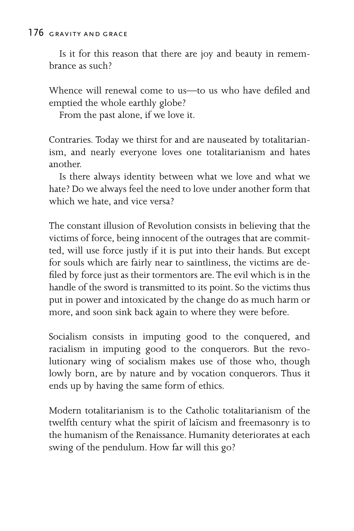Is it for this reason that there are joy and beauty in remembrance as such?

Whence will renewal come to us—to us who have defiled and emptied the whole earthly globe?

From the past alone, if we love it.

Contraries. Today we thirst for and are nauseated by totalitarianism, and nearly everyone loves one totalitarianism and hates another.

Is there always identity between what we love and what we hate? Do we always feel the need to love under another form that which we hate, and vice versa?

The constant illusion of Revolution consists in believing that the victims of force, being innocent of the outrages that are committed, will use force justly if it is put into their hands. But except for souls which are fairly near to saintliness, the victims are defiled by force just as their tormentors are. The evil which is in the handle of the sword is transmitted to its point. So the victims thus put in power and intoxicated by the change do as much harm or more, and soon sink back again to where they were before.

Socialism consists in imputing good to the conquered, and racialism in imputing good to the conquerors. But the revolutionary wing of socialism makes use of those who, though lowly born, are by nature and by vocation conquerors. Thus it ends up by having the same form of ethics.

Modern totalitarianism is to the Catholic totalitarianism of the twelfth century what the spirit of laïcism and freemasonry is to the humanism of the Renaissance. Humanity deteriorates at each swing of the pendulum. How far will this go?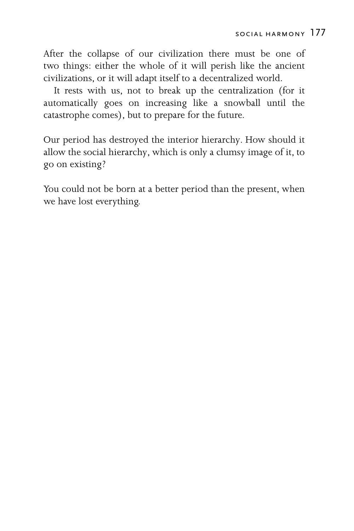After the collapse of our civilization there must be one of two things: either the whole of it will perish like the ancient civilizations, or it will adapt itself to a decentralized world.

It rests with us, not to break up the centralization (for it automatically goes on increasing like a snowball until the catastrophe comes), but to prepare for the future.

Our period has destroyed the interior hierarchy. How should it allow the social hierarchy, which is only a clumsy image of it, to go on existing?

You could not be born at a better period than the present, when we have lost everything.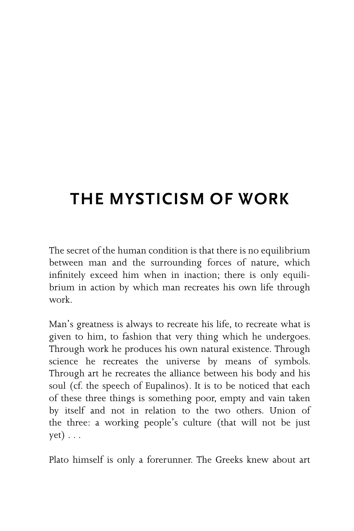## **THE MYSTICISM OF WORK**

The secret of the human condition is that there is no equilibrium between man and the surrounding forces of nature, which infinitely exceed him when in inaction; there is only equilibrium in action by which man recreates his own life through work.

Man's greatness is always to recreate his life, to recreate what is given to him, to fashion that very thing which he undergoes. Through work he produces his own natural existence. Through science he recreates the universe by means of symbols. Through art he recreates the alliance between his body and his soul (cf. the speech of Eupalinos). It is to be noticed that each of these three things is something poor, empty and vain taken by itself and not in relation to the two others. Union of the three: a working people's culture (that will not be just yet) . . .

Plato himself is only a forerunner. The Greeks knew about art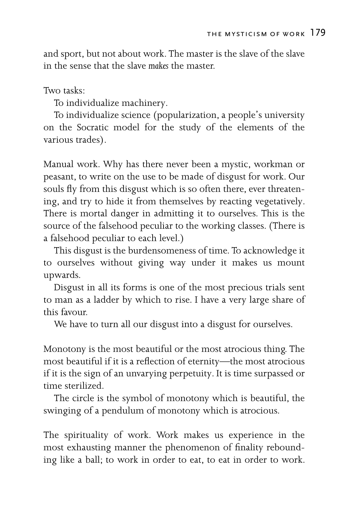and sport, but not about work. The master is the slave of the slave in the sense that the slave *makes* the master.

Two tasks:

To individualize machinery.

To individualize science (popularization, a people's university on the Socratic model for the study of the elements of the various trades).

Manual work. Why has there never been a mystic, workman or peasant, to write on the use to be made of disgust for work. Our souls fly from this disgust which is so often there, ever threatening, and try to hide it from themselves by reacting vegetatively. There is mortal danger in admitting it to ourselves. This is the source of the falsehood peculiar to the working classes. (There is a falsehood peculiar to each level.)

This disgust is the burdensomeness of time. To acknowledge it to ourselves without giving way under it makes us mount upwards.

Disgust in all its forms is one of the most precious trials sent to man as a ladder by which to rise. I have a very large share of this favour.

We have to turn all our disgust into a disgust for ourselves.

Monotony is the most beautiful or the most atrocious thing. The most beautiful if it is a reflection of eternity—the most atrocious if it is the sign of an unvarying perpetuity. It is time surpassed or time sterilized.

The circle is the symbol of monotony which is beautiful, the swinging of a pendulum of monotony which is atrocious.

The spirituality of work. Work makes us experience in the most exhausting manner the phenomenon of finality rebounding like a ball; to work in order to eat, to eat in order to work.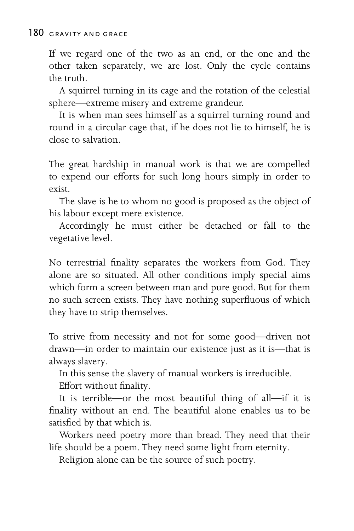If we regard one of the two as an end, or the one and the other taken separately, we are lost. Only the cycle contains the truth.

A squirrel turning in its cage and the rotation of the celestial sphere—extreme misery and extreme grandeur.

It is when man sees himself as a squirrel turning round and round in a circular cage that, if he does not lie to himself, he is close to salvation.

The great hardship in manual work is that we are compelled to expend our efforts for such long hours simply in order to exist.

The slave is he to whom no good is proposed as the object of his labour except mere existence.

Accordingly he must either be detached or fall to the vegetative level.

No terrestrial finality separates the workers from God. They alone are so situated. All other conditions imply special aims which form a screen between man and pure good. But for them no such screen exists. They have nothing superfluous of which they have to strip themselves.

To strive from necessity and not for some good—driven not drawn—in order to maintain our existence just as it is—that is always slavery.

In this sense the slavery of manual workers is irreducible.

Effort without finality.

It is terrible—or the most beautiful thing of all—if it is finality without an end. The beautiful alone enables us to be satisfied by that which is.

Workers need poetry more than bread. They need that their life should be a poem. They need some light from eternity.

Religion alone can be the source of such poetry.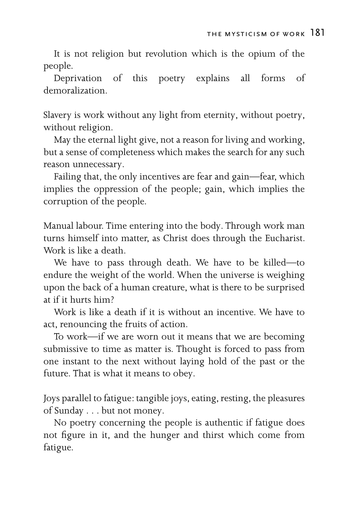It is not religion but revolution which is the opium of the people.

Deprivation of this poetry explains all forms of demoralization.

Slavery is work without any light from eternity, without poetry, without religion.

May the eternal light give, not a reason for living and working, but a sense of completeness which makes the search for any such reason unnecessary.

Failing that, the only incentives are fear and gain—fear, which implies the oppression of the people; gain, which implies the corruption of the people.

Manual labour. Time entering into the body. Through work man turns himself into matter, as Christ does through the Eucharist. Work is like a death.

We have to pass through death. We have to be killed—to endure the weight of the world. When the universe is weighing upon the back of a human creature, what is there to be surprised at if it hurts him?

Work is like a death if it is without an incentive. We have to act, renouncing the fruits of action.

To work—if we are worn out it means that we are becoming submissive to time as matter is. Thought is forced to pass from one instant to the next without laying hold of the past or the future. That is what it means to obey.

Joys parallel to fatigue: tangible joys, eating, resting, the pleasures of Sunday . . . but not money.

No poetry concerning the people is authentic if fatigue does not figure in it, and the hunger and thirst which come from fatigue.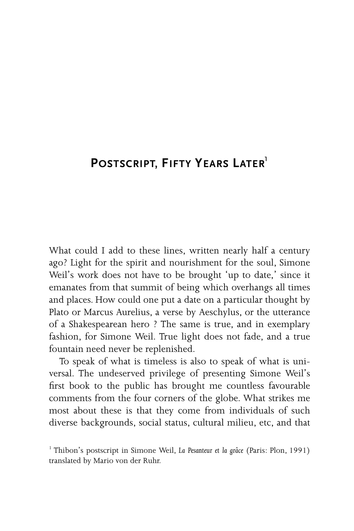## POSTSCRIPT, FIFTY YEARS LATER<sup>1</sup>

What could I add to these lines, written nearly half a century ago? Light for the spirit and nourishment for the soul, Simone Weil's work does not have to be brought 'up to date,' since it emanates from that summit of being which overhangs all times and places. How could one put a date on a particular thought by Plato or Marcus Aurelius, a verse by Aeschylus, or the utterance of a Shakespearean hero ? The same is true, and in exemplary fashion, for Simone Weil. True light does not fade, and a true fountain need never be replenished.

To speak of what is timeless is also to speak of what is universal. The undeserved privilege of presenting Simone Weil's first book to the public has brought me countless favourable comments from the four corners of the globe. What strikes me most about these is that they come from individuals of such diverse backgrounds, social status, cultural milieu, etc, and that

<sup>1</sup> Thibon's postscript in Simone Weil, *La Pesanteur et la grâce* (Paris: Plon, 1991) translated by Mario von der Ruhr.